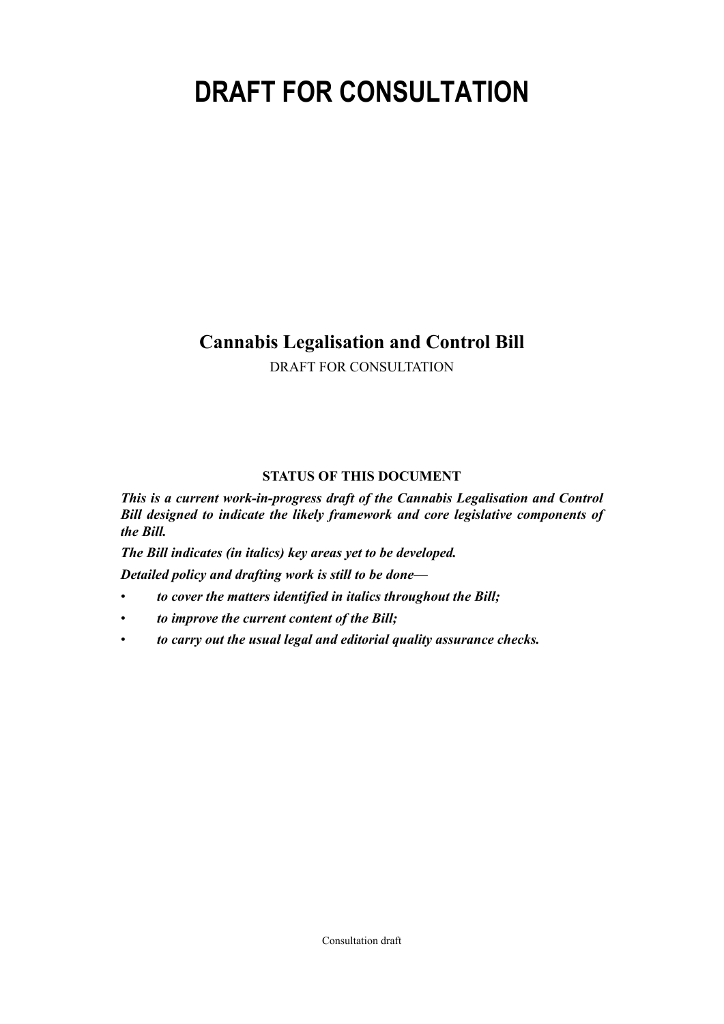# **DRAFT FOR CONSULTATION**

### **Cannabis Legalisation and Control Bill**

DRAFT FOR CONSULTATION

### **STATUS OF THIS DOCUMENT**

*This is a current work-in-progress draft of the Cannabis Legalisation and Control Bill designed to indicate the likely framework and core legislative components of the Bill.*

*The Bill indicates (in italics) key areas yet to be developed. Detailed policy and drafting work is still to be done—*

- *to cover the matters identified in italics throughout the Bill;*
- *to improve the current content of the Bill;*
- *to carry out the usual legal and editorial quality assurance checks.*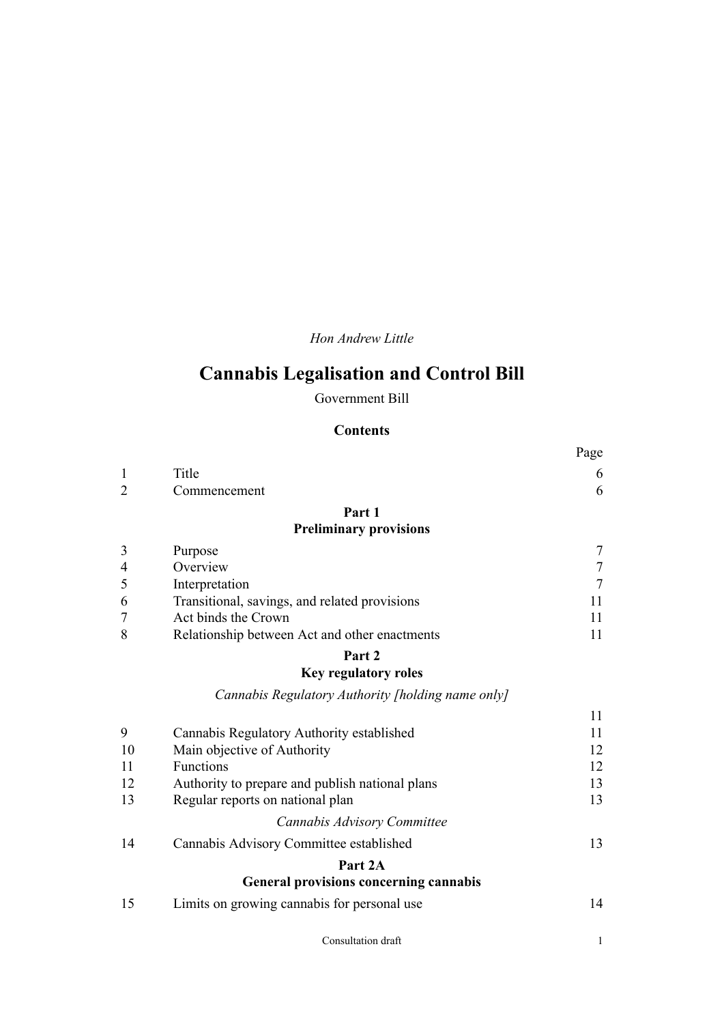*Hon Andrew Little*

## **Cannabis Legalisation and Control Bill**

Government Bill

### **Contents**

|                |                                                   | Page           |
|----------------|---------------------------------------------------|----------------|
| 1              | Title                                             | 6              |
| $\overline{2}$ | Commencement                                      | 6              |
|                | Part 1                                            |                |
|                | <b>Preliminary provisions</b>                     |                |
| 3              | Purpose                                           | 7              |
| $\overline{4}$ | Overview                                          | $\tau$         |
| 5              | Interpretation                                    | $\overline{7}$ |
| 6              | Transitional, savings, and related provisions     | 11             |
| 7              | Act binds the Crown                               | 11             |
| 8              | Relationship between Act and other enactments     | 11             |
|                | Part 2                                            |                |
|                | Key regulatory roles                              |                |
|                | Cannabis Regulatory Authority [holding name only] |                |
|                |                                                   | 11             |
| 9              | Cannabis Regulatory Authority established         | 11             |
| 10             | Main objective of Authority                       | 12             |
| 11             | Functions                                         | 12             |
| 12             | Authority to prepare and publish national plans   | 13             |
| 13             | Regular reports on national plan                  | 13             |
|                | Cannabis Advisory Committee                       |                |
| 14             | Cannabis Advisory Committee established           | 13             |
|                | Part 2A                                           |                |
|                | <b>General provisions concerning cannabis</b>     |                |
| 15             | Limits on growing cannabis for personal use       | 14             |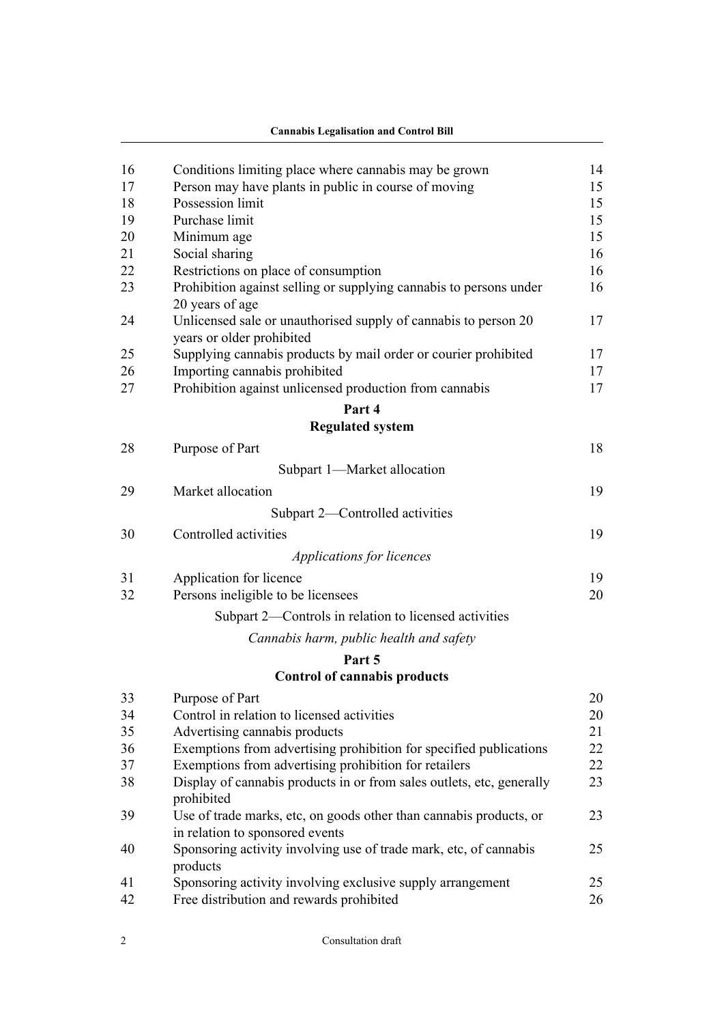|    | <b>Cannabis Legalisation and Control Bill</b>                                                         |    |  |
|----|-------------------------------------------------------------------------------------------------------|----|--|
| 16 | Conditions limiting place where cannabis may be grown                                                 | 14 |  |
| 17 | Person may have plants in public in course of moving                                                  | 15 |  |
| 18 | Possession limit                                                                                      | 15 |  |
| 19 | Purchase limit                                                                                        | 15 |  |
| 20 | Minimum age                                                                                           | 15 |  |
| 21 | Social sharing                                                                                        | 16 |  |
| 22 | Restrictions on place of consumption                                                                  | 16 |  |
| 23 | Prohibition against selling or supplying cannabis to persons under<br>20 years of age                 | 16 |  |
| 24 | Unlicensed sale or unauthorised supply of cannabis to person 20<br>years or older prohibited          | 17 |  |
| 25 | Supplying cannabis products by mail order or courier prohibited                                       | 17 |  |
| 26 | Importing cannabis prohibited                                                                         | 17 |  |
| 27 | Prohibition against unlicensed production from cannabis                                               | 17 |  |
|    | Part 4<br><b>Regulated system</b>                                                                     |    |  |
| 28 | Purpose of Part                                                                                       | 18 |  |
|    | Subpart 1-Market allocation                                                                           |    |  |
|    |                                                                                                       |    |  |
| 29 | Market allocation                                                                                     | 19 |  |
|    | Subpart 2—Controlled activities                                                                       |    |  |
| 30 | Controlled activities                                                                                 | 19 |  |
|    | Applications for licences                                                                             |    |  |
| 31 | Application for licence                                                                               | 19 |  |
| 32 | Persons ineligible to be licensees                                                                    | 20 |  |
|    | Subpart 2—Controls in relation to licensed activities                                                 |    |  |
|    | Cannabis harm, public health and safety                                                               |    |  |
|    | Part 5                                                                                                |    |  |
|    | <b>Control of cannabis products</b>                                                                   |    |  |
| 33 | Purpose of Part                                                                                       | 20 |  |
| 34 | Control in relation to licensed activities                                                            | 20 |  |
| 35 | Advertising cannabis products                                                                         | 21 |  |
| 36 | Exemptions from advertising prohibition for specified publications                                    | 22 |  |
| 37 | Exemptions from advertising prohibition for retailers                                                 | 22 |  |
| 38 | Display of cannabis products in or from sales outlets, etc, generally<br>prohibited                   | 23 |  |
| 39 | Use of trade marks, etc, on goods other than cannabis products, or<br>in relation to sponsored events | 23 |  |
| 40 | Sponsoring activity involving use of trade mark, etc, of cannabis<br>products                         | 25 |  |
| 41 | Sponsoring activity involving exclusive supply arrangement                                            | 25 |  |
| 42 | Free distribution and rewards prohibited                                                              | 26 |  |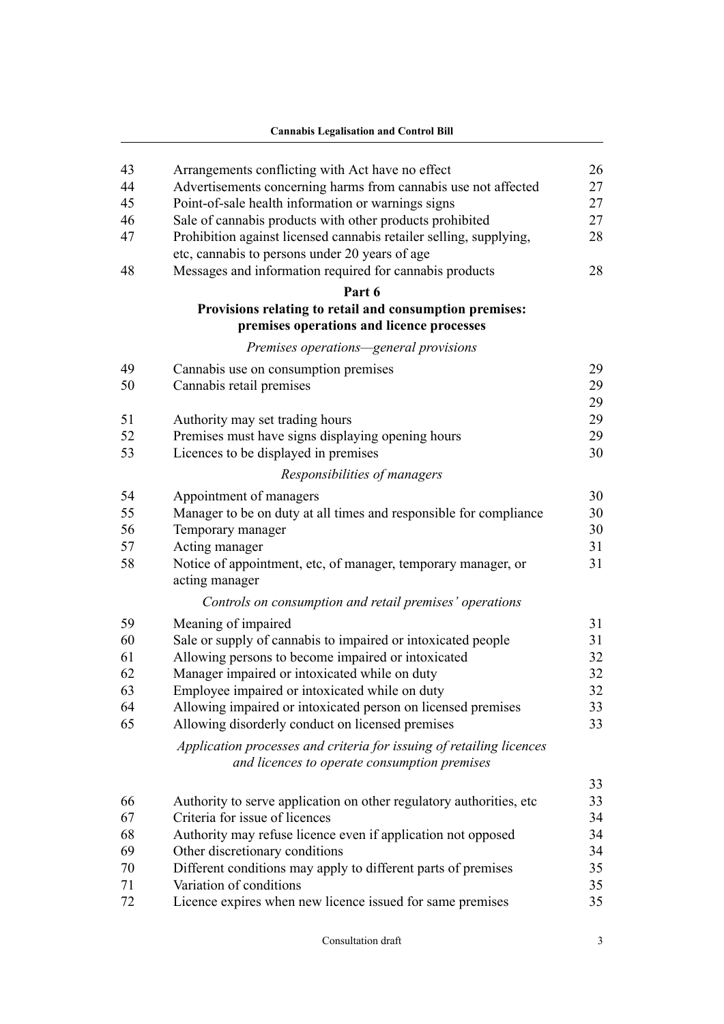**Cannabis Legalisation and Control Bill**

| 43 | Arrangements conflicting with Act have no effect                                                                     | 26 |
|----|----------------------------------------------------------------------------------------------------------------------|----|
| 44 | Advertisements concerning harms from cannabis use not affected                                                       | 27 |
| 45 | Point-of-sale health information or warnings signs                                                                   | 27 |
| 46 | Sale of cannabis products with other products prohibited                                                             | 27 |
| 47 | Prohibition against licensed cannabis retailer selling, supplying,                                                   | 28 |
|    | etc, cannabis to persons under 20 years of age                                                                       |    |
| 48 | Messages and information required for cannabis products                                                              | 28 |
|    | Part 6                                                                                                               |    |
|    | Provisions relating to retail and consumption premises:                                                              |    |
|    | premises operations and licence processes                                                                            |    |
|    | Premises operations—general provisions                                                                               |    |
| 49 | Cannabis use on consumption premises                                                                                 | 29 |
| 50 | Cannabis retail premises                                                                                             | 29 |
|    |                                                                                                                      | 29 |
| 51 | Authority may set trading hours                                                                                      | 29 |
| 52 | Premises must have signs displaying opening hours                                                                    | 29 |
| 53 | Licences to be displayed in premises                                                                                 | 30 |
|    | Responsibilities of managers                                                                                         |    |
| 54 | Appointment of managers                                                                                              | 30 |
| 55 | Manager to be on duty at all times and responsible for compliance                                                    | 30 |
| 56 | Temporary manager                                                                                                    | 30 |
| 57 | Acting manager                                                                                                       | 31 |
| 58 | Notice of appointment, etc, of manager, temporary manager, or                                                        | 31 |
|    | acting manager                                                                                                       |    |
|    | Controls on consumption and retail premises' operations                                                              |    |
| 59 | Meaning of impaired                                                                                                  | 31 |
| 60 | Sale or supply of cannabis to impaired or intoxicated people                                                         | 31 |
| 61 | Allowing persons to become impaired or intoxicated                                                                   | 32 |
| 62 | Manager impaired or intoxicated while on duty                                                                        | 32 |
| 63 | Employee impaired or intoxicated while on duty                                                                       | 32 |
| 64 | Allowing impaired or intoxicated person on licensed premises                                                         | 33 |
| 65 | Allowing disorderly conduct on licensed premises                                                                     | 33 |
|    |                                                                                                                      |    |
|    | Application processes and criteria for issuing of retailing licences<br>and licences to operate consumption premises |    |
|    |                                                                                                                      | 33 |
| 66 | Authority to serve application on other regulatory authorities, etc.                                                 | 33 |
| 67 | Criteria for issue of licences                                                                                       | 34 |
| 68 | Authority may refuse licence even if application not opposed                                                         | 34 |
| 69 | Other discretionary conditions                                                                                       | 34 |
| 70 | Different conditions may apply to different parts of premises                                                        | 35 |
| 71 | Variation of conditions                                                                                              | 35 |
| 72 | Licence expires when new licence issued for same premises                                                            | 35 |
|    |                                                                                                                      |    |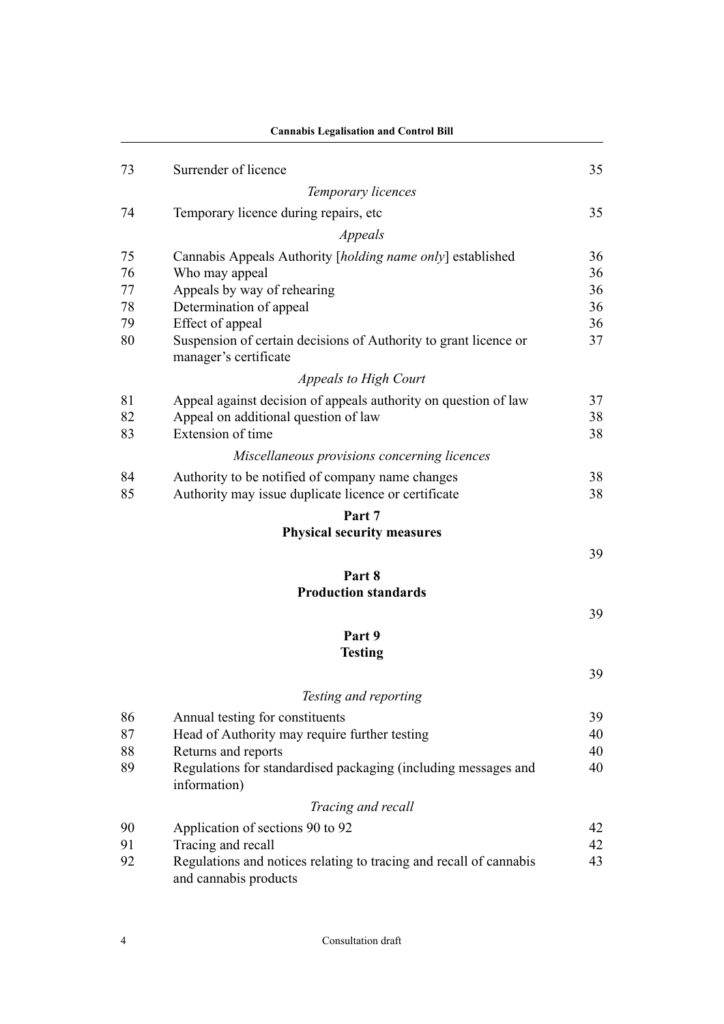|    | <b>Cannabis Legalisation and Control Bill</b>                                               |    |  |
|----|---------------------------------------------------------------------------------------------|----|--|
| 73 | Surrender of licence                                                                        | 35 |  |
|    | Temporary licences                                                                          |    |  |
| 74 | Temporary licence during repairs, etc.                                                      | 35 |  |
|    | Appeals                                                                                     |    |  |
| 75 | Cannabis Appeals Authority [ <i>holding name only</i> ] established                         | 36 |  |
| 76 | Who may appeal                                                                              | 36 |  |
| 77 | Appeals by way of rehearing                                                                 | 36 |  |
| 78 | Determination of appeal                                                                     | 36 |  |
| 79 | Effect of appeal                                                                            | 36 |  |
| 80 | Suspension of certain decisions of Authority to grant licence or<br>manager's certificate   | 37 |  |
|    | Appeals to High Court                                                                       |    |  |
| 81 | Appeal against decision of appeals authority on question of law                             | 37 |  |
| 82 | Appeal on additional question of law                                                        | 38 |  |
| 83 | Extension of time                                                                           | 38 |  |
|    | Miscellaneous provisions concerning licences                                                |    |  |
| 84 | Authority to be notified of company name changes                                            | 38 |  |
| 85 | Authority may issue duplicate licence or certificate                                        | 38 |  |
|    | Part 7                                                                                      |    |  |
|    | <b>Physical security measures</b>                                                           |    |  |
|    |                                                                                             | 39 |  |
|    | Part 8                                                                                      |    |  |
|    | <b>Production standards</b>                                                                 |    |  |
|    |                                                                                             | 39 |  |
|    | Part 9                                                                                      |    |  |
|    | <b>Testing</b>                                                                              |    |  |
|    |                                                                                             | 39 |  |
|    | Testing and reporting                                                                       |    |  |
| 86 |                                                                                             | 39 |  |
| 87 | Annual testing for constituents<br>Head of Authority may require further testing            | 40 |  |
| 88 | Returns and reports                                                                         | 40 |  |
| 89 | Regulations for standardised packaging (including messages and<br>information)              | 40 |  |
|    | Tracing and recall                                                                          |    |  |
| 90 |                                                                                             | 42 |  |
| 91 | Application of sections 90 to 92<br>Tracing and recall                                      | 42 |  |
| 92 | Regulations and notices relating to tracing and recall of cannabis<br>and cannabis products | 43 |  |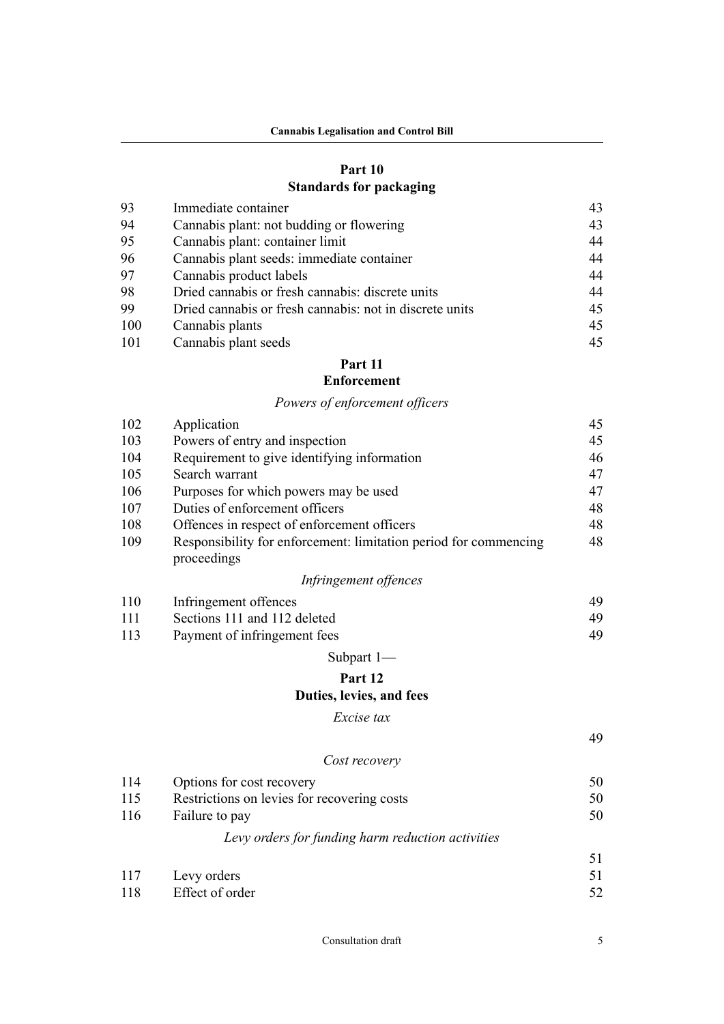### **[Part 10](#page-44-0) [Standards for packaging](#page-44-0)**

| 93  | Immediate container                                     | 43 |
|-----|---------------------------------------------------------|----|
| 94  | Cannabis plant: not budding or flowering                | 43 |
| 95  | Cannabis plant: container limit                         | 44 |
| 96  | Cannabis plant seeds: immediate container               | 44 |
| 97  | Cannabis product labels                                 | 44 |
| 98  | Dried cannabis or fresh cannabis: discrete units        | 44 |
| 99  | Dried cannabis or fresh cannabis: not in discrete units | 45 |
| 100 | Cannabis plants                                         | 45 |
| 101 | Cannabis plant seeds                                    | 45 |

### **[Part 11](#page-46-0)**

### **[Enforcement](#page-46-0)**

### *[Powers of enforcement officers](#page-46-0)*

| 102 | Application                                                                     | 45 |
|-----|---------------------------------------------------------------------------------|----|
| 103 | Powers of entry and inspection                                                  | 45 |
| 104 | Requirement to give identifying information                                     | 46 |
| 105 | Search warrant                                                                  | 47 |
| 106 | Purposes for which powers may be used                                           | 47 |
| 107 | Duties of enforcement officers                                                  | 48 |
| 108 | Offences in respect of enforcement officers                                     | 48 |
| 109 | Responsibility for enforcement: limitation period for commencing<br>proceedings | 48 |
|     | Infringement offences                                                           |    |
| 110 | Infringement offences                                                           | 49 |
| 111 | Sections 111 and 112 deleted                                                    | 40 |

| -111 | Sections 111 and 112 deleted |  |
|------|------------------------------|--|
| 113  | Payment of infringement fees |  |

### [Subpart 1—](#page-50-0)

### **[Part 12](#page-50-0)**

### **[Duties, levies, and fees](#page-50-0)**

### *[Excise tax](#page-50-0)*

| 114 | Options for cost recovery                         | 50 |
|-----|---------------------------------------------------|----|
| 115 | Restrictions on levies for recovering costs       | 50 |
| 116 | Failure to pay                                    | 50 |
|     | Levy orders for funding harm reduction activities |    |
|     |                                                   |    |
| 117 | Levy orders                                       | 51 |
| 118 | Effect of order                                   | 52 |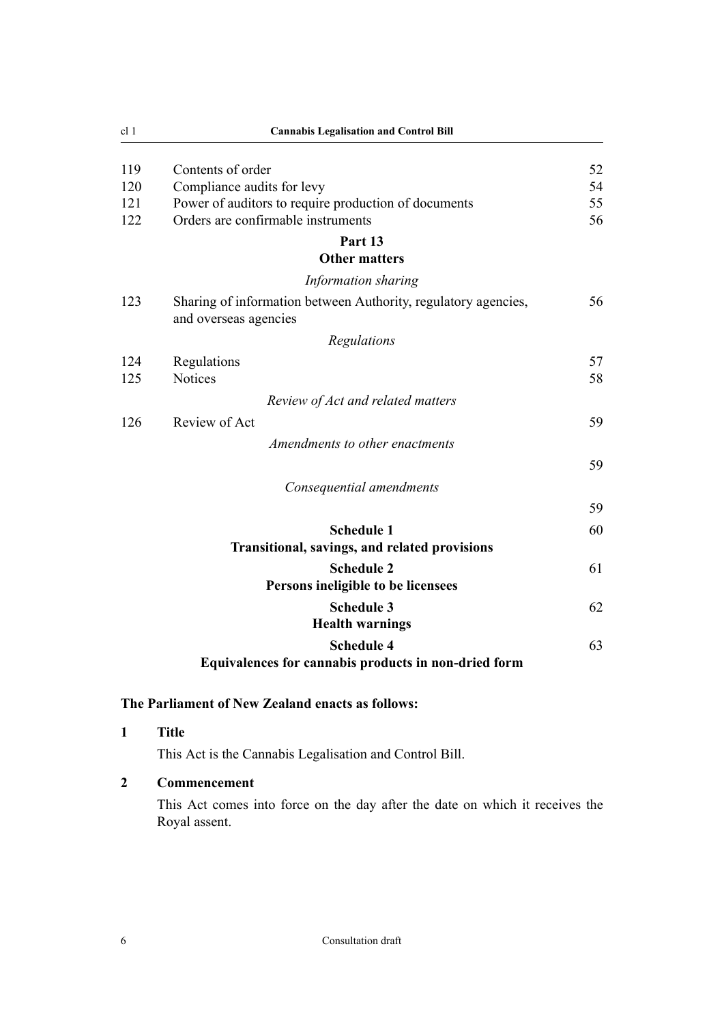<span id="page-7-0"></span>

| cl <sub>1</sub> | <b>Cannabis Legalisation and Control Bill</b>                                           |    |
|-----------------|-----------------------------------------------------------------------------------------|----|
| 119             | Contents of order                                                                       | 52 |
| 120             | Compliance audits for levy                                                              | 54 |
| 121             | Power of auditors to require production of documents                                    | 55 |
| 122             | Orders are confirmable instruments                                                      | 56 |
|                 | Part 13                                                                                 |    |
|                 | <b>Other matters</b>                                                                    |    |
|                 | Information sharing                                                                     |    |
| 123             | Sharing of information between Authority, regulatory agencies,<br>and overseas agencies | 56 |
|                 | Regulations                                                                             |    |
| 124             | Regulations                                                                             | 57 |
| 125             | Notices                                                                                 | 58 |
|                 | Review of Act and related matters                                                       |    |
| 126             | Review of Act                                                                           | 59 |
|                 | Amendments to other enactments                                                          |    |
|                 |                                                                                         | 59 |
|                 | Consequential amendments                                                                |    |
|                 |                                                                                         | 59 |
|                 | <b>Schedule 1</b>                                                                       | 60 |
|                 | Transitional, savings, and related provisions                                           |    |
|                 | <b>Schedule 2</b>                                                                       | 61 |
|                 | Persons ineligible to be licensees                                                      |    |
|                 | <b>Schedule 3</b>                                                                       | 62 |
|                 | <b>Health warnings</b>                                                                  |    |
|                 | <b>Schedule 4</b>                                                                       | 63 |
|                 | Equivalences for cannabis products in non-dried form                                    |    |

### **The Parliament of New Zealand enacts as follows:**

#### **1 Title**

This Act is the Cannabis Legalisation and Control Bill.

### **2 Commencement**

This Act comes into force on the day after the date on which it receives the Royal assent.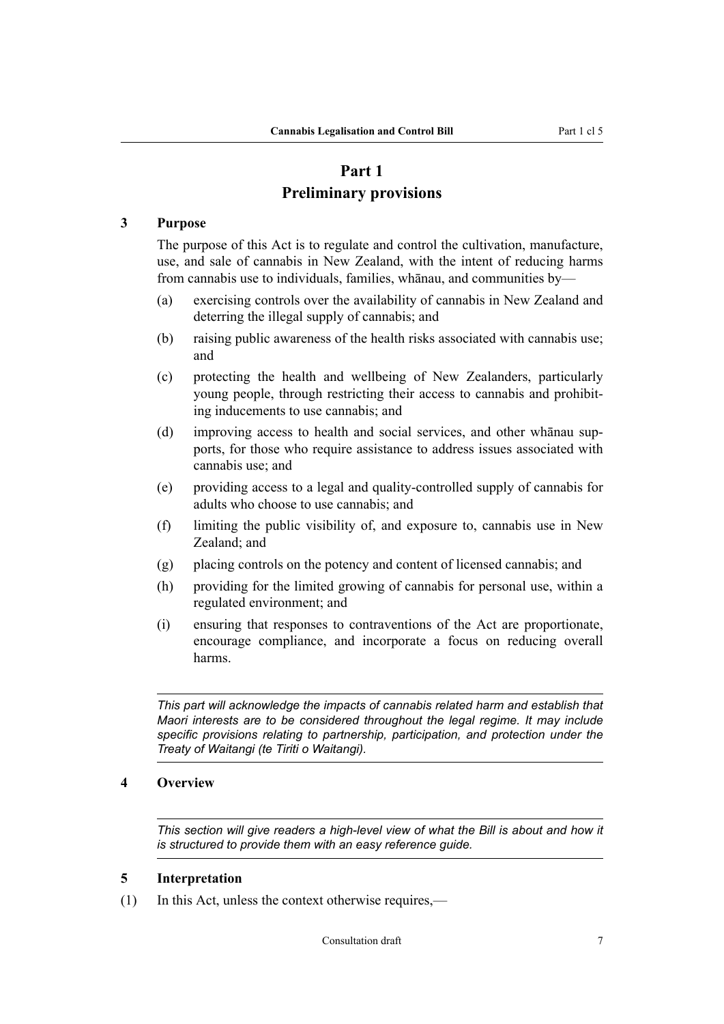### **Part 1 Preliminary provisions**

#### <span id="page-8-0"></span>**3 Purpose**

The purpose of this Act is to regulate and control the cultivation, manufacture, use, and sale of cannabis in New Zealand, with the intent of reducing harms from cannabis use to individuals, families, whānau, and communities by—

- (a) exercising controls over the availability of cannabis in New Zealand and deterring the illegal supply of cannabis; and
- (b) raising public awareness of the health risks associated with cannabis use; and
- (c) protecting the health and wellbeing of New Zealanders, particularly young people, through restricting their access to cannabis and prohibiting inducements to use cannabis; and
- (d) improving access to health and social services, and other whānau supports, for those who require assistance to address issues associated with cannabis use; and
- (e) providing access to a legal and quality-controlled supply of cannabis for adults who choose to use cannabis; and
- (f) limiting the public visibility of, and exposure to, cannabis use in New Zealand; and
- (g) placing controls on the potency and content of licensed cannabis; and
- (h) providing for the limited growing of cannabis for personal use, within a regulated environment; and
- (i) ensuring that responses to contraventions of the Act are proportionate, encourage compliance, and incorporate a focus on reducing overall harms.

*This part will acknowledge the impacts of cannabis related harm and establish that Maori interests are to be considered throughout the legal regime. It may include specific provisions relating to partnership, participation, and protection under the Treaty of Waitangi (te Tiriti o Waitangi).*

#### **4 Overview**

*This section will give readers a high-level view of what the Bill is about and how it is structured to provide them with an easy reference guide.*

#### **5 Interpretation**

(1) In this Act, unless the context otherwise requires,—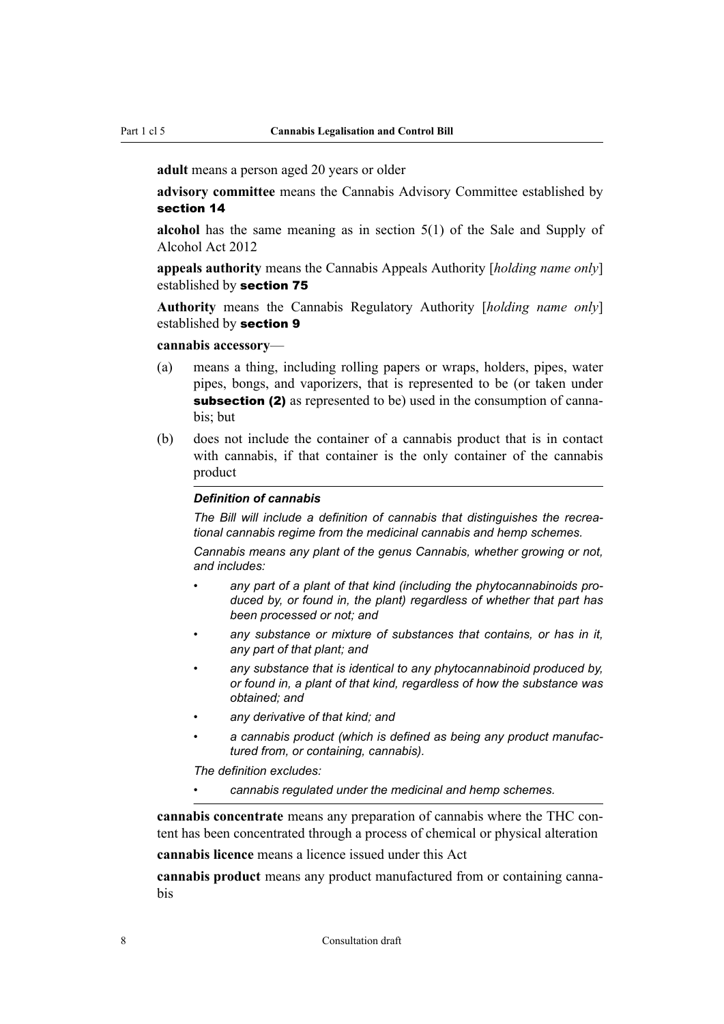**adult** means a person aged 20 years or older

**advisory committee** means the Cannabis Advisory Committee established by section 14

**alcohol** has the same meaning as in section 5(1) of the Sale and Supply of Alcohol Act 2012

**appeals authority** means the Cannabis Appeals Authority [*holding name only*] established by section 75

**Authority** means the Cannabis Regulatory Authority [*holding name only*] established by **section 9** 

#### **cannabis accessory**—

- (a) means a thing, including rolling papers or wraps, holders, pipes, water pipes, bongs, and vaporizers, that is represented to be (or taken under subsection (2) as represented to be) used in the consumption of cannabis; but
- (b) does not include the container of a cannabis product that is in contact with cannabis, if that container is the only container of the cannabis product

#### *Definition of cannabis*

*The Bill will include a definition of cannabis that distinguishes the recreational cannabis regime from the medicinal cannabis and hemp schemes.*

*Cannabis means any plant of the genus Cannabis, whether growing or not, and includes:*

- *any part of a plant of that kind (including the phytocannabinoids produced by, or found in, the plant) regardless of whether that part has been processed or not; and*
- *any substance or mixture of substances that contains, or has in it, any part of that plant; and*
- *any substance that is identical to any phytocannabinoid produced by, or found in, a plant of that kind, regardless of how the substance was obtained; and*
- *any derivative of that kind; and*
- *a cannabis product (which is defined as being any product manufactured from, or containing, cannabis).*

*The definition excludes:*

• *cannabis regulated under the medicinal and hemp schemes.*

**cannabis concentrate** means any preparation of cannabis where the THC content has been concentrated through a process of chemical or physical alteration

**cannabis licence** means a licence issued under this Act

**cannabis product** means any product manufactured from or containing cannabis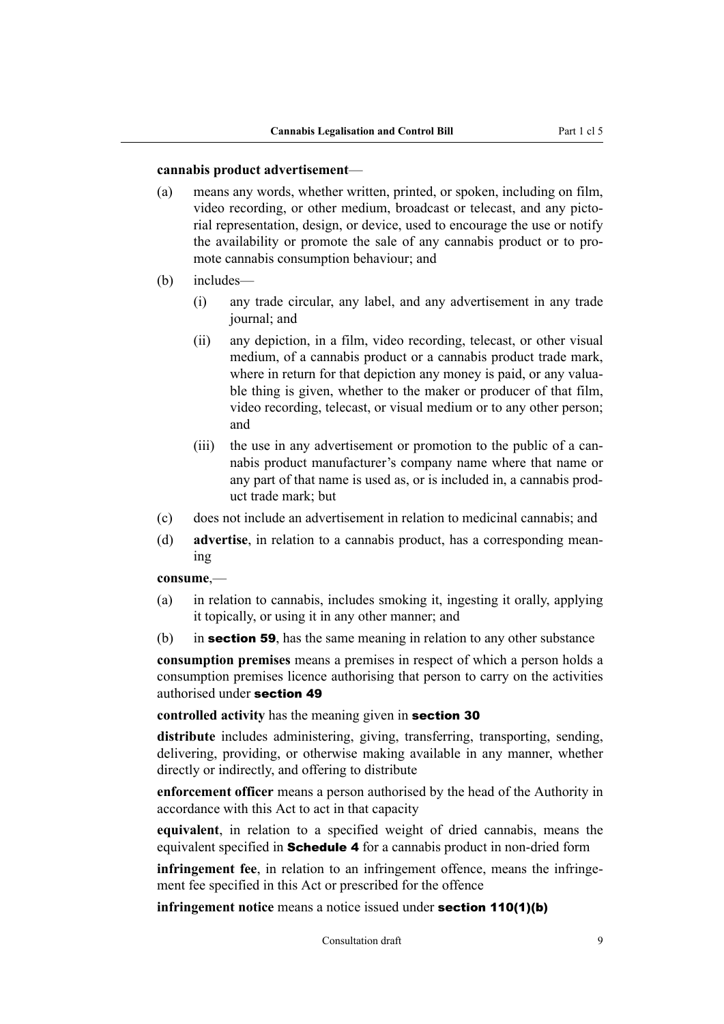#### **cannabis product advertisement**—

- (a) means any words, whether written, printed, or spoken, including on film, video recording, or other medium, broadcast or telecast, and any pictorial representation, design, or device, used to encourage the use or notify the availability or promote the sale of any cannabis product or to promote cannabis consumption behaviour; and
- (b) includes—
	- (i) any trade circular, any label, and any advertisement in any trade journal; and
	- (ii) any depiction, in a film, video recording, telecast, or other visual medium, of a cannabis product or a cannabis product trade mark, where in return for that depiction any money is paid, or any valuable thing is given, whether to the maker or producer of that film, video recording, telecast, or visual medium or to any other person; and
	- (iii) the use in any advertisement or promotion to the public of a cannabis product manufacturer's company name where that name or any part of that name is used as, or is included in, a cannabis product trade mark; but
- (c) does not include an advertisement in relation to medicinal cannabis; and
- (d) **advertise**, in relation to a cannabis product, has a corresponding meaning

#### **consume**,—

- (a) in relation to cannabis, includes smoking it, ingesting it orally, applying it topically, or using it in any other manner; and
- (b) in **section 59**, has the same meaning in relation to any other substance

**consumption premises** means a premises in respect of which a person holds a consumption premises licence authorising that person to carry on the activities authorised under section 49

**controlled activity** has the meaning given in section 30

**distribute** includes administering, giving, transferring, transporting, sending, delivering, providing, or otherwise making available in any manner, whether directly or indirectly, and offering to distribute

**enforcement officer** means a person authorised by the head of the Authority in accordance with this Act to act in that capacity

**equivalent**, in relation to a specified weight of dried cannabis, means the equivalent specified in **Schedule 4** for a cannabis product in non-dried form

**infringement fee**, in relation to an infringement offence, means the infringement fee specified in this Act or prescribed for the offence

**infringement notice** means a notice issued under **section 110(1)(b)**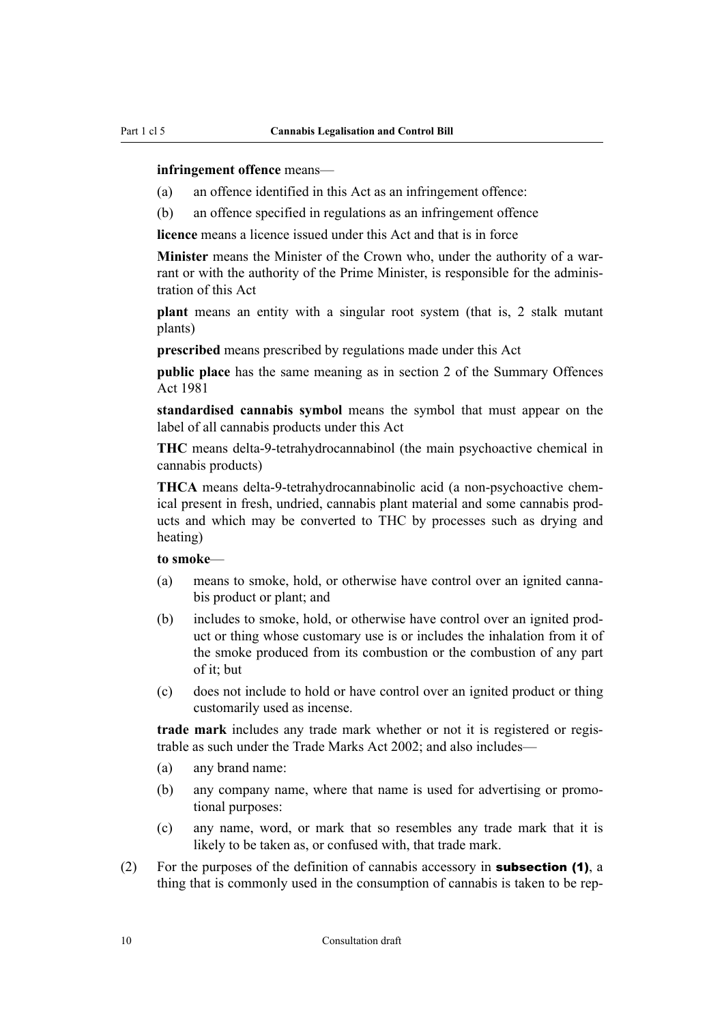#### **infringement offence** means—

- (a) an offence identified in this Act as an infringement offence:
- (b) an offence specified in regulations as an infringement offence

**licence** means a licence issued under this Act and that is in force

**Minister** means the Minister of the Crown who, under the authority of a warrant or with the authority of the Prime Minister, is responsible for the administration of this Act

**plant** means an entity with a singular root system (that is, 2 stalk mutant plants)

**prescribed** means prescribed by regulations made under this Act

**public place** has the same meaning as in section 2 of the Summary Offences Act 1981

**standardised cannabis symbol** means the symbol that must appear on the label of all cannabis products under this Act

**THC** means delta-9-tetrahydrocannabinol (the main psychoactive chemical in cannabis products)

**THCA** means delta-9-tetrahydrocannabinolic acid (a non-psychoactive chemical present in fresh, undried, cannabis plant material and some cannabis products and which may be converted to THC by processes such as drying and heating)

#### **to smoke**—

- (a) means to smoke, hold, or otherwise have control over an ignited cannabis product or plant; and
- (b) includes to smoke, hold, or otherwise have control over an ignited product or thing whose customary use is or includes the inhalation from it of the smoke produced from its combustion or the combustion of any part of it; but
- (c) does not include to hold or have control over an ignited product or thing customarily used as incense.

**trade mark** includes any trade mark whether or not it is registered or registrable as such under the Trade Marks Act 2002; and also includes—

- (a) any brand name:
- (b) any company name, where that name is used for advertising or promotional purposes:
- (c) any name, word, or mark that so resembles any trade mark that it is likely to be taken as, or confused with, that trade mark.
- (2) For the purposes of the definition of cannabis accessory in **subsection (1)**, a thing that is commonly used in the consumption of cannabis is taken to be rep-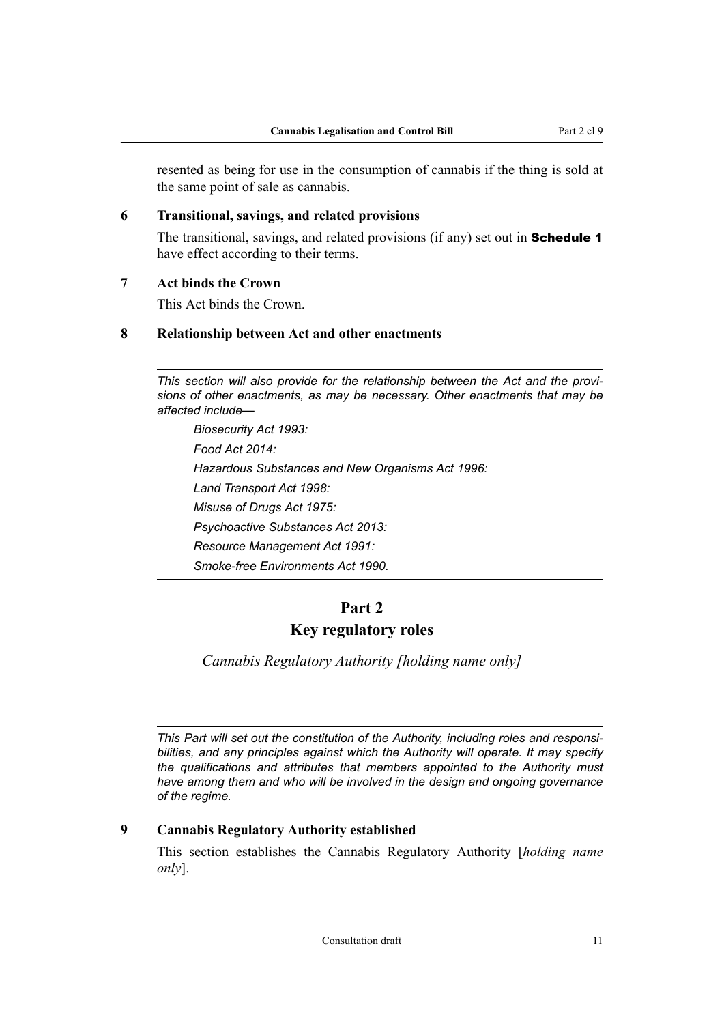<span id="page-12-0"></span>resented as being for use in the consumption of cannabis if the thing is sold at the same point of sale as cannabis.

#### **6 Transitional, savings, and related provisions**

The transitional, savings, and related provisions (if any) set out in **Schedule 1** have effect according to their terms.

#### **7 Act binds the Crown**

This Act binds the Crown.

#### **8 Relationship between Act and other enactments**

*This section will also provide for the relationship between the Act and the provisions of other enactments, as may be necessary. Other enactments that may be affected include—*

*Biosecurity Act 1993: Food Act 2014: Hazardous Substances and New Organisms Act 1996: Land Transport Act 1998: Misuse of Drugs Act 1975: Psychoactive Substances Act 2013: Resource Management Act 1991: Smoke-free Environments Act 1990.*

### **Part 2 Key regulatory roles**

*Cannabis Regulatory Authority [holding name only]*

*This Part will set out the constitution of the Authority, including roles and responsibilities, and any principles against which the Authority will operate. It may specify the qualifications and attributes that members appointed to the Authority must have among them and who will be involved in the design and ongoing governance of the regime.*

#### **9 Cannabis Regulatory Authority established**

This section establishes the Cannabis Regulatory Authority [*holding name only*].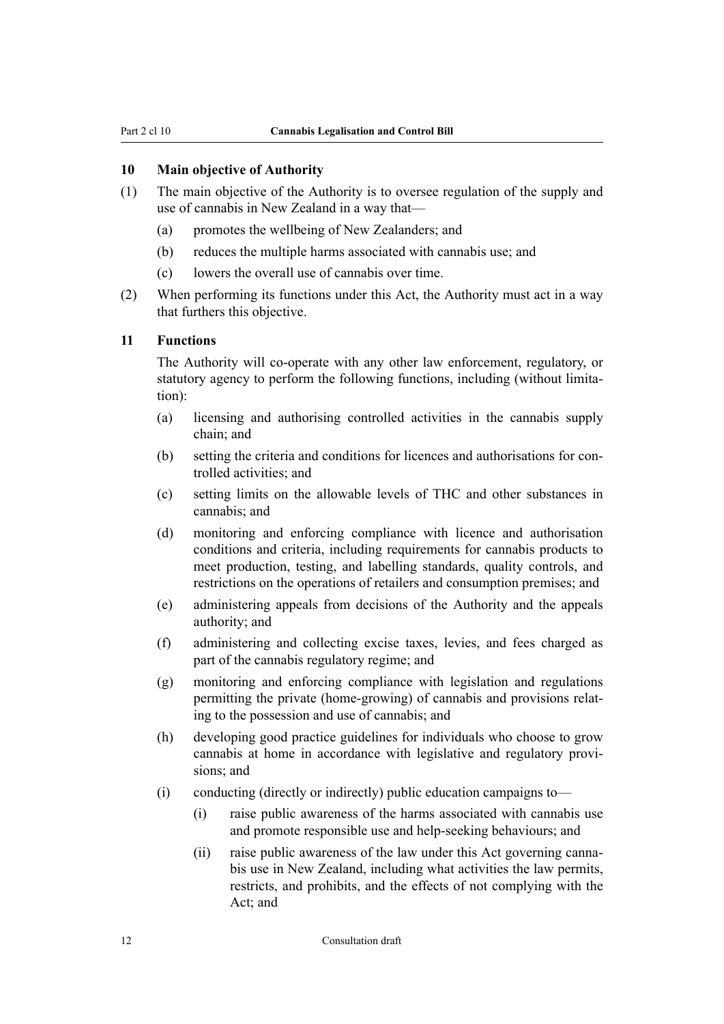#### <span id="page-13-0"></span>**10 Main objective of Authority**

- (1) The main objective of the Authority is to oversee regulation of the supply and use of cannabis in New Zealand in a way that—
	- (a) promotes the wellbeing of New Zealanders; and
	- (b) reduces the multiple harms associated with cannabis use; and
	- (c) lowers the overall use of cannabis over time.
- (2) When performing its functions under this Act, the Authority must act in a way that furthers this objective.

#### **11 Functions**

The Authority will co-operate with any other law enforcement, regulatory, or statutory agency to perform the following functions, including (without limitation):

- (a) licensing and authorising controlled activities in the cannabis supply chain; and
- (b) setting the criteria and conditions for licences and authorisations for controlled activities; and
- (c) setting limits on the allowable levels of THC and other substances in cannabis; and
- (d) monitoring and enforcing compliance with licence and authorisation conditions and criteria, including requirements for cannabis products to meet production, testing, and labelling standards, quality controls, and restrictions on the operations of retailers and consumption premises; and
- (e) administering appeals from decisions of the Authority and the appeals authority; and
- (f) administering and collecting excise taxes, levies, and fees charged as part of the cannabis regulatory regime; and
- (g) monitoring and enforcing compliance with legislation and regulations permitting the private (home-growing) of cannabis and provisions relating to the possession and use of cannabis; and
- (h) developing good practice guidelines for individuals who choose to grow cannabis at home in accordance with legislative and regulatory provisions; and
- (i) conducting (directly or indirectly) public education campaigns to—
	- (i) raise public awareness of the harms associated with cannabis use and promote responsible use and help-seeking behaviours; and
	- (ii) raise public awareness of the law under this Act governing cannabis use in New Zealand, including what activities the law permits, restricts, and prohibits, and the effects of not complying with the Act; and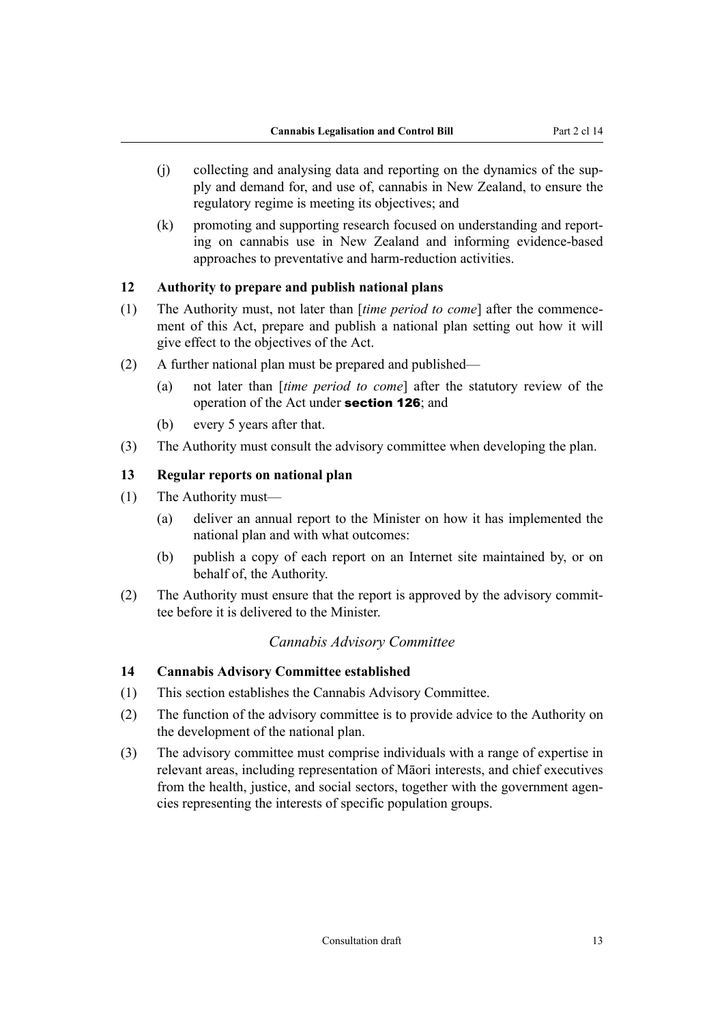- <span id="page-14-0"></span>(j) collecting and analysing data and reporting on the dynamics of the supply and demand for, and use of, cannabis in New Zealand, to ensure the regulatory regime is meeting its objectives; and
- (k) promoting and supporting research focused on understanding and reporting on cannabis use in New Zealand and informing evidence-based approaches to preventative and harm-reduction activities.

#### **12 Authority to prepare and publish national plans**

- (1) The Authority must, not later than [*time period to come*] after the commencement of this Act, prepare and publish a national plan setting out how it will give effect to the objectives of the Act.
- (2) A further national plan must be prepared and published—
	- (a) not later than [*time period to come*] after the statutory review of the operation of the Act under section 126; and
	- (b) every 5 years after that.
- (3) The Authority must consult the advisory committee when developing the plan.

#### **13 Regular reports on national plan**

- (1) The Authority must—
	- (a) deliver an annual report to the Minister on how it has implemented the national plan and with what outcomes:
	- (b) publish a copy of each report on an Internet site maintained by, or on behalf of, the Authority.
- (2) The Authority must ensure that the report is approved by the advisory committee before it is delivered to the Minister.

#### *Cannabis Advisory Committee*

#### **14 Cannabis Advisory Committee established**

- (1) This section establishes the Cannabis Advisory Committee.
- (2) The function of the advisory committee is to provide advice to the Authority on the development of the national plan.
- (3) The advisory committee must comprise individuals with a range of expertise in relevant areas, including representation of Māori interests, and chief executives from the health, justice, and social sectors, together with the government agencies representing the interests of specific population groups.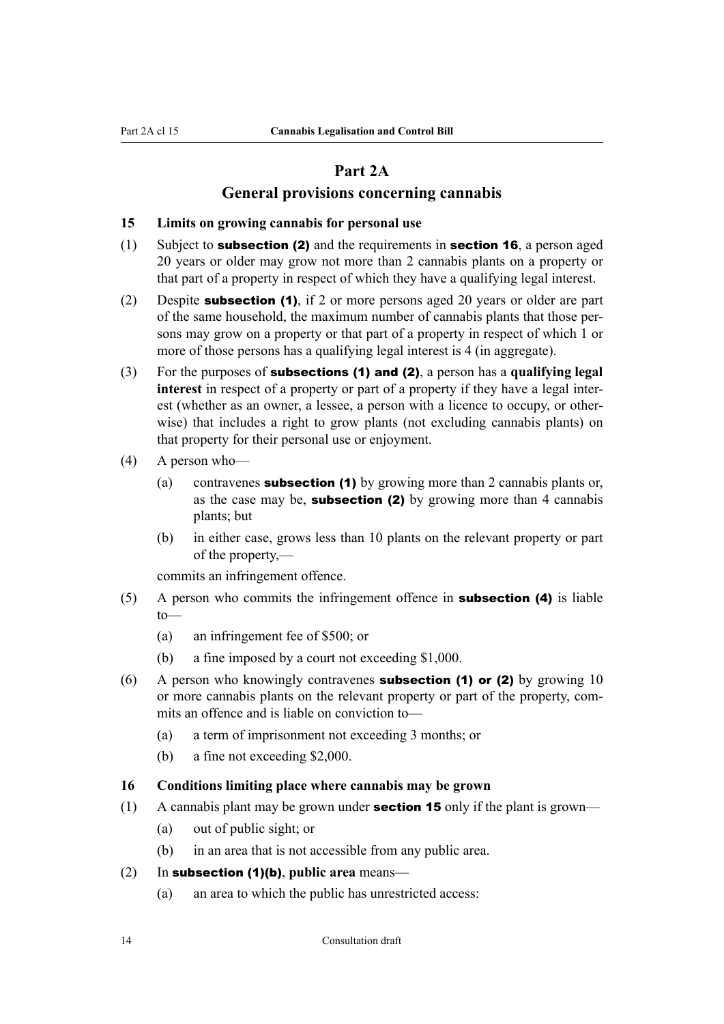#### **Part 2A**

#### **General provisions concerning cannabis**

#### <span id="page-15-0"></span>**15 Limits on growing cannabis for personal use**

- (1) Subject to **subsection (2)** and the requirements in **section 16**, a person aged 20 years or older may grow not more than 2 cannabis plants on a property or that part of a property in respect of which they have a qualifying legal interest.
- (2) Despite subsection (1), if 2 or more persons aged 20 years or older are part of the same household, the maximum number of cannabis plants that those persons may grow on a property or that part of a property in respect of which 1 or more of those persons has a qualifying legal interest is 4 (in aggregate).
- (3) For the purposes of subsections (1) and (2), a person has a **qualifying legal interest** in respect of a property or part of a property if they have a legal interest (whether as an owner, a lessee, a person with a licence to occupy, or otherwise) that includes a right to grow plants (not excluding cannabis plants) on that property for their personal use or enjoyment.
- (4) A person who—
	- (a) contravenes **subsection (1)** by growing more than 2 cannabis plants or, as the case may be, subsection (2) by growing more than 4 cannabis plants; but
	- (b) in either case, grows less than 10 plants on the relevant property or part of the property,—

commits an infringement offence.

- (5) A person who commits the infringement offence in subsection (4) is liable to—
	- (a) an infringement fee of \$500; or
	- (b) a fine imposed by a court not exceeding \$1,000.
- (6) A person who knowingly contravenes **subsection (1) or (2)** by growing 10 or more cannabis plants on the relevant property or part of the property, commits an offence and is liable on conviction to—
	- (a) a term of imprisonment not exceeding 3 months; or
	- (b) a fine not exceeding \$2,000.

#### **16 Conditions limiting place where cannabis may be grown**

- (1) A cannabis plant may be grown under **section 15** only if the plant is grown—
	- (a) out of public sight; or
	- (b) in an area that is not accessible from any public area.
- (2) In subsection (1)(b), **public area** means—
	- (a) an area to which the public has unrestricted access: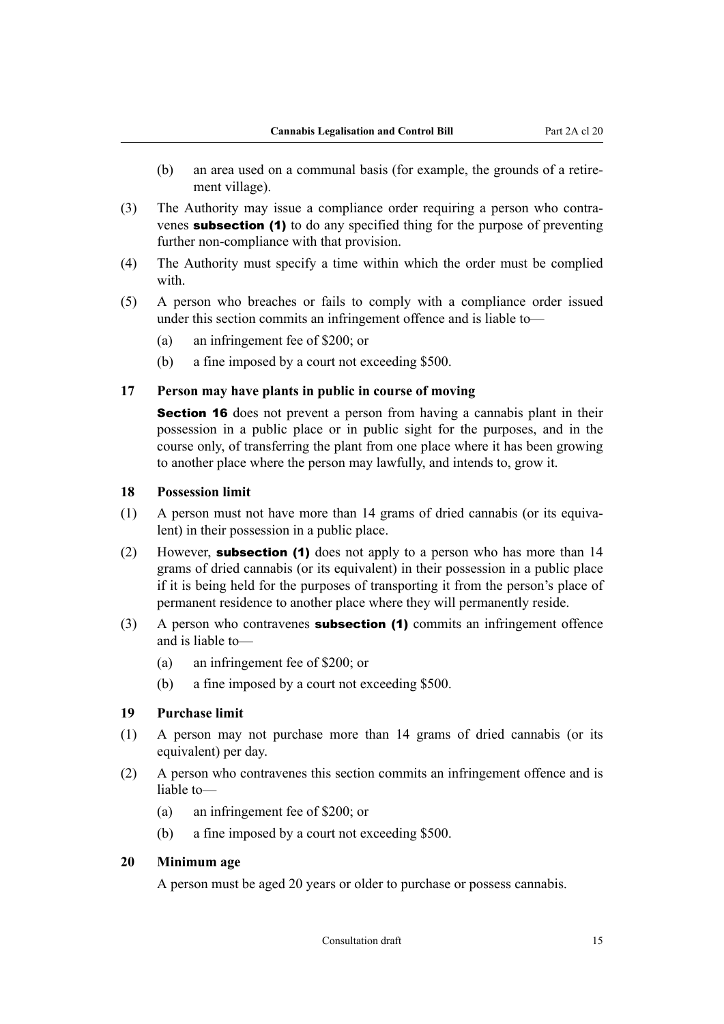- <span id="page-16-0"></span>(b) an area used on a communal basis (for example, the grounds of a retirement village).
- (3) The Authority may issue a compliance order requiring a person who contravenes **subsection** (1) to do any specified thing for the purpose of preventing further non-compliance with that provision.
- (4) The Authority must specify a time within which the order must be complied with.
- (5) A person who breaches or fails to comply with a compliance order issued under this section commits an infringement offence and is liable to—
	- (a) an infringement fee of \$200; or
	- (b) a fine imposed by a court not exceeding \$500.

#### **17 Person may have plants in public in course of moving**

Section 16 does not prevent a person from having a cannabis plant in their possession in a public place or in public sight for the purposes, and in the course only, of transferring the plant from one place where it has been growing to another place where the person may lawfully, and intends to, grow it.

#### **18 Possession limit**

- (1) A person must not have more than 14 grams of dried cannabis (or its equivalent) in their possession in a public place.
- (2) However, **subsection (1)** does not apply to a person who has more than 14 grams of dried cannabis (or its equivalent) in their possession in a public place if it is being held for the purposes of transporting it from the person's place of permanent residence to another place where they will permanently reside.
- (3) A person who contravenes **subsection (1)** commits an infringement offence and is liable to—
	- (a) an infringement fee of \$200; or
	- (b) a fine imposed by a court not exceeding \$500.

#### **19 Purchase limit**

- (1) A person may not purchase more than 14 grams of dried cannabis (or its equivalent) per day.
- (2) A person who contravenes this section commits an infringement offence and is liable to—
	- (a) an infringement fee of \$200; or
	- (b) a fine imposed by a court not exceeding \$500.

#### **20 Minimum age**

A person must be aged 20 years or older to purchase or possess cannabis.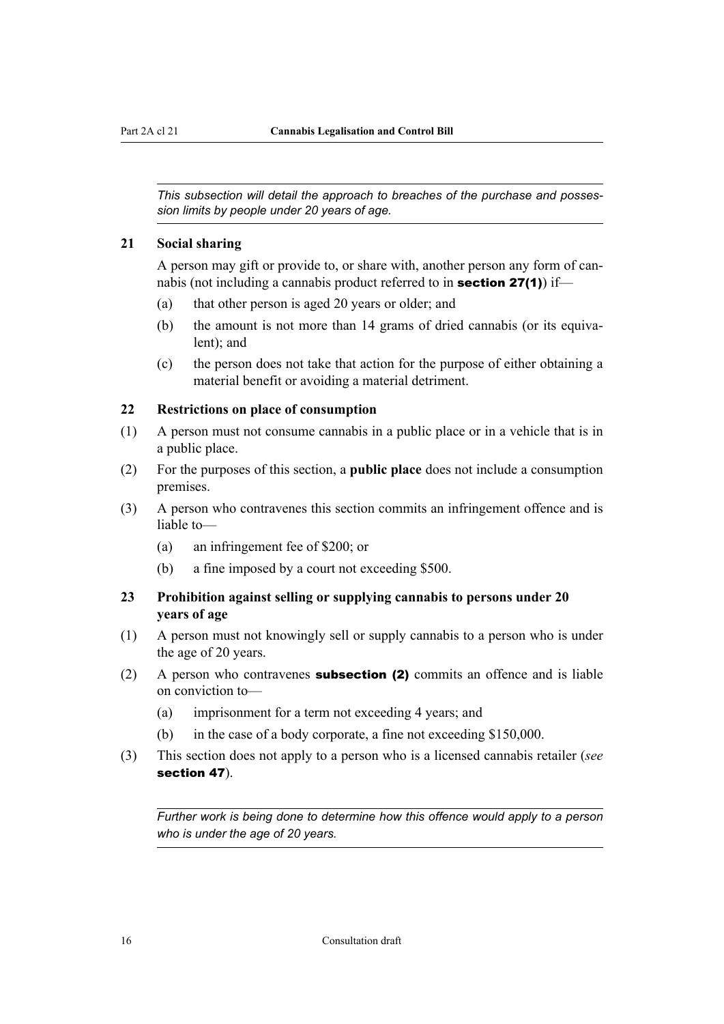<span id="page-17-0"></span>*This subsection will detail the approach to breaches of the purchase and possession limits by people under 20 years of age.*

#### **21 Social sharing**

A person may gift or provide to, or share with, another person any form of cannabis (not including a cannabis product referred to in **section 27(1)**) if—

- (a) that other person is aged 20 years or older; and
- (b) the amount is not more than 14 grams of dried cannabis (or its equiva $lent$  and
- (c) the person does not take that action for the purpose of either obtaining a material benefit or avoiding a material detriment.

#### **22 Restrictions on place of consumption**

- (1) A person must not consume cannabis in a public place or in a vehicle that is in a public place.
- (2) For the purposes of this section, a **public place** does not include a consumption premises.
- (3) A person who contravenes this section commits an infringement offence and is liable to—
	- (a) an infringement fee of \$200; or
	- (b) a fine imposed by a court not exceeding \$500.

#### **23 Prohibition against selling or supplying cannabis to persons under 20 years of age**

- (1) A person must not knowingly sell or supply cannabis to a person who is under the age of 20 years.
- (2) A person who contravenes **subsection (2)** commits an offence and is liable on conviction to—
	- (a) imprisonment for a term not exceeding 4 years; and
	- (b) in the case of a body corporate, a fine not exceeding \$150,000.
- (3) This section does not apply to a person who is a licensed cannabis retailer (*see* section 47).

*Further work is being done to determine how this offence would apply to a person who is under the age of 20 years.*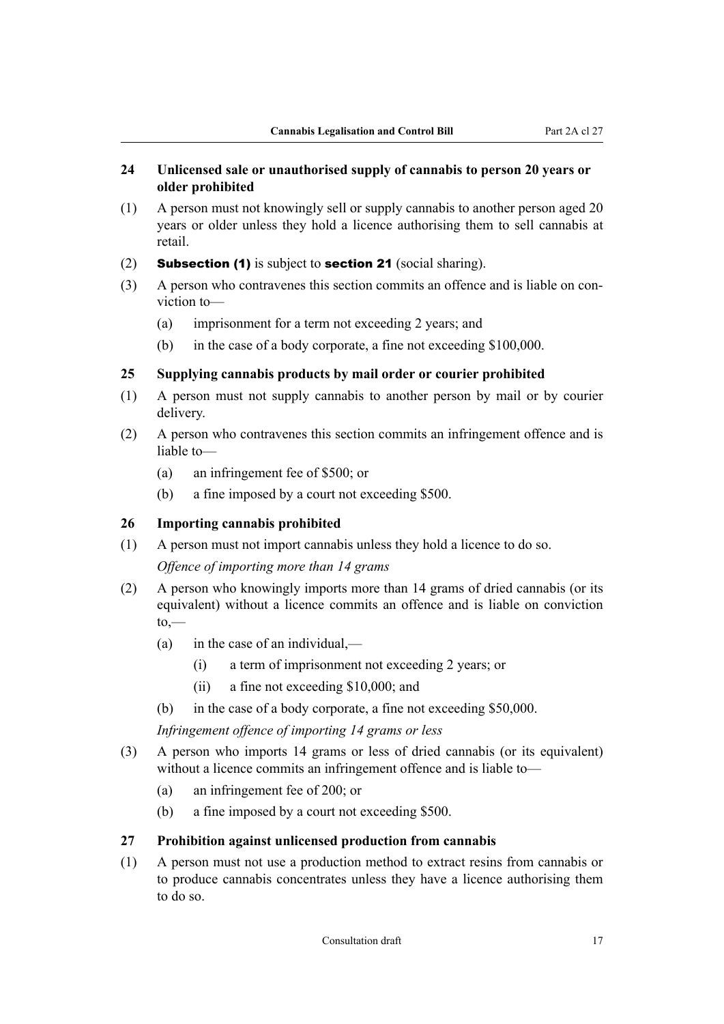#### <span id="page-18-0"></span>**24 Unlicensed sale or unauthorised supply of cannabis to person 20 years or older prohibited**

- (1) A person must not knowingly sell or supply cannabis to another person aged 20 years or older unless they hold a licence authorising them to sell cannabis at retail.
- (2) Subsection (1) is subject to section 21 (social sharing).
- (3) A person who contravenes this section commits an offence and is liable on conviction to—
	- (a) imprisonment for a term not exceeding 2 years; and
	- (b) in the case of a body corporate, a fine not exceeding \$100,000.

#### **25 Supplying cannabis products by mail order or courier prohibited**

- (1) A person must not supply cannabis to another person by mail or by courier delivery.
- (2) A person who contravenes this section commits an infringement offence and is liable to—
	- (a) an infringement fee of \$500; or
	- (b) a fine imposed by a court not exceeding \$500.

#### **26 Importing cannabis prohibited**

- (1) A person must not import cannabis unless they hold a licence to do so. *Offence of importing more than 14 grams*
- (2) A person who knowingly imports more than 14 grams of dried cannabis (or its equivalent) without a licence commits an offence and is liable on conviction  $to,$ —
	- (a) in the case of an individual,—
		- (i) a term of imprisonment not exceeding 2 years; or
		- (ii) a fine not exceeding \$10,000; and
	- (b) in the case of a body corporate, a fine not exceeding \$50,000.

*Infringement offence of importing 14 grams or less*

- (3) A person who imports 14 grams or less of dried cannabis (or its equivalent) without a licence commits an infringement offence and is liable to—
	- (a) an infringement fee of 200; or
	- (b) a fine imposed by a court not exceeding \$500.

#### **27 Prohibition against unlicensed production from cannabis**

(1) A person must not use a production method to extract resins from cannabis or to produce cannabis concentrates unless they have a licence authorising them to do so.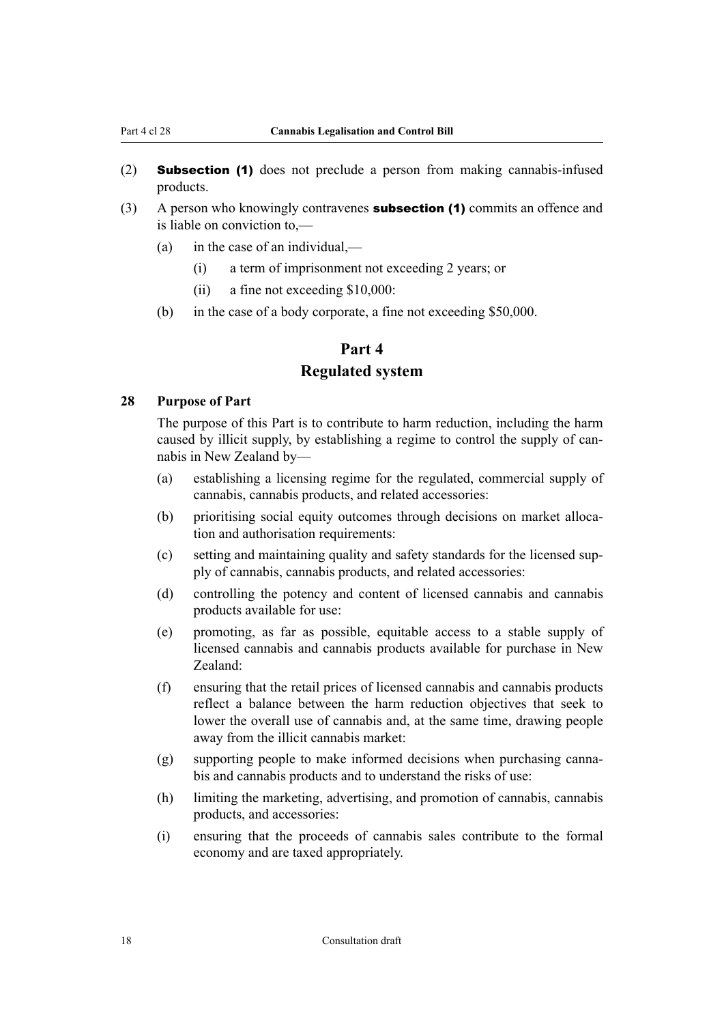- <span id="page-19-0"></span>(2) Subsection (1) does not preclude a person from making cannabis-infused products.
- (3) A person who knowingly contravenes **subsection (1)** commits an offence and is liable on conviction to,—
	- (a) in the case of an individual,—
		- (i) a term of imprisonment not exceeding 2 years; or
		- (ii) a fine not exceeding \$10,000:
	- (b) in the case of a body corporate, a fine not exceeding \$50,000.

#### **Part 4**

#### **Regulated system**

#### **28 Purpose of Part**

The purpose of this Part is to contribute to harm reduction, including the harm caused by illicit supply, by establishing a regime to control the supply of cannabis in New Zealand by—

- (a) establishing a licensing regime for the regulated, commercial supply of cannabis, cannabis products, and related accessories:
- (b) prioritising social equity outcomes through decisions on market allocation and authorisation requirements:
- (c) setting and maintaining quality and safety standards for the licensed supply of cannabis, cannabis products, and related accessories:
- (d) controlling the potency and content of licensed cannabis and cannabis products available for use:
- (e) promoting, as far as possible, equitable access to a stable supply of licensed cannabis and cannabis products available for purchase in New Zealand:
- (f) ensuring that the retail prices of licensed cannabis and cannabis products reflect a balance between the harm reduction objectives that seek to lower the overall use of cannabis and, at the same time, drawing people away from the illicit cannabis market:
- (g) supporting people to make informed decisions when purchasing cannabis and cannabis products and to understand the risks of use:
- (h) limiting the marketing, advertising, and promotion of cannabis, cannabis products, and accessories:
- (i) ensuring that the proceeds of cannabis sales contribute to the formal economy and are taxed appropriately.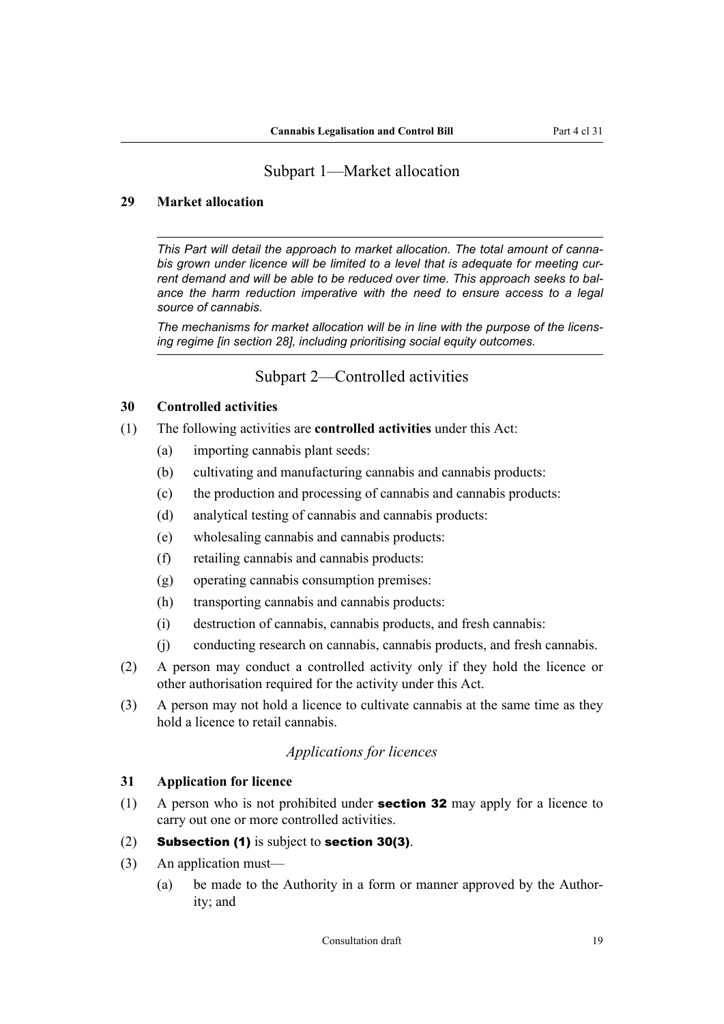### Subpart 1—Market allocation

#### <span id="page-20-0"></span>**29 Market allocation**

*This Part will detail the approach to market allocation. The total amount of cannabis grown under licence will be limited to a level that is adequate for meeting current demand and will be able to be reduced over time. This approach seeks to balance the harm reduction imperative with the need to ensure access to a legal source of cannabis.*

*The mechanisms for market allocation will be in line with the purpose of the licensing regime [in section 28], including prioritising social equity outcomes.*

### Subpart 2—Controlled activities

#### **30 Controlled activities**

- (1) The following activities are **controlled activities** under this Act:
	- (a) importing cannabis plant seeds:
	- (b) cultivating and manufacturing cannabis and cannabis products:
	- (c) the production and processing of cannabis and cannabis products:
	- (d) analytical testing of cannabis and cannabis products:
	- (e) wholesaling cannabis and cannabis products:
	- (f) retailing cannabis and cannabis products:
	- (g) operating cannabis consumption premises:
	- (h) transporting cannabis and cannabis products:
	- (i) destruction of cannabis, cannabis products, and fresh cannabis:
	- (j) conducting research on cannabis, cannabis products, and fresh cannabis.
- (2) A person may conduct a controlled activity only if they hold the licence or other authorisation required for the activity under this Act.
- (3) A person may not hold a licence to cultivate cannabis at the same time as they hold a licence to retail cannabis.

### *Applications for licences*

#### **31 Application for licence**

(1) A person who is not prohibited under section 32 may apply for a licence to carry out one or more controlled activities.

#### (2) Subsection (1) is subject to section 30(3).

- (3) An application must—
	- (a) be made to the Authority in a form or manner approved by the Authority; and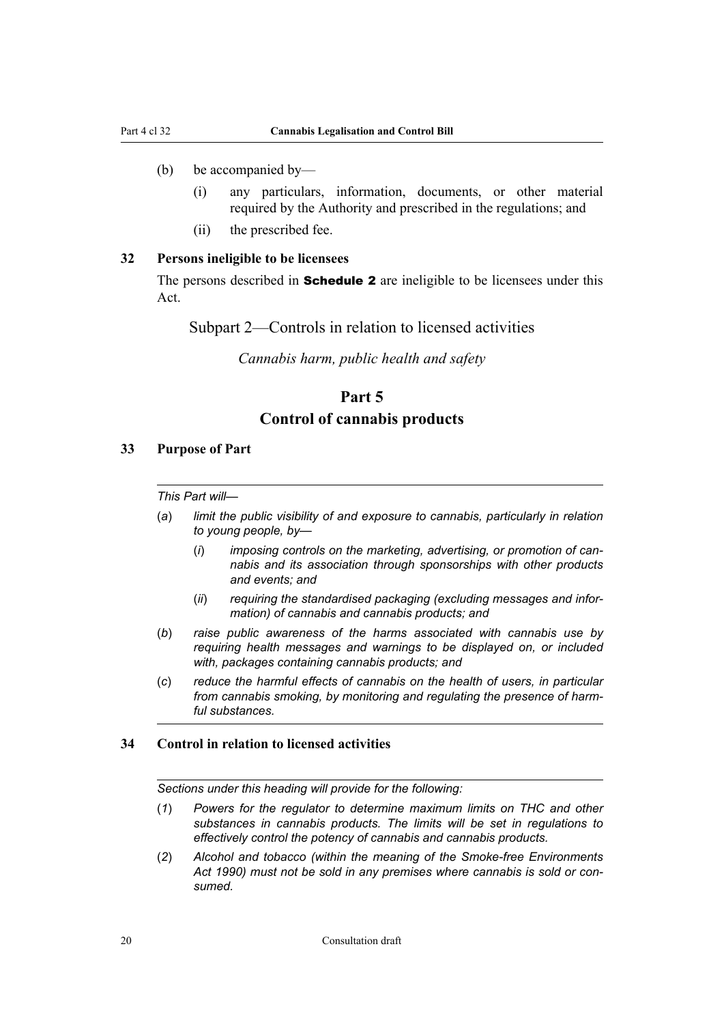- <span id="page-21-0"></span>(b) be accompanied by—
	- (i) any particulars, information, documents, or other material required by the Authority and prescribed in the regulations; and
	- (ii) the prescribed fee.

#### **32 Persons ineligible to be licensees**

The persons described in **Schedule 2** are ineligible to be licensees under this Act.

Subpart 2—Controls in relation to licensed activities

*Cannabis harm, public health and safety*

### **Part 5 Control of cannabis products**

#### **33 Purpose of Part**

*This Part will—*

- (*a*) *limit the public visibility of and exposure to cannabis, particularly in relation to young people, by—*
	- (*i*) *imposing controls on the marketing, advertising, or promotion of cannabis and its association through sponsorships with other products and events; and*
	- (*ii*) *requiring the standardised packaging (excluding messages and information) of cannabis and cannabis products; and*
- (*b*) *raise public awareness of the harms associated with cannabis use by requiring health messages and warnings to be displayed on, or included with, packages containing cannabis products; and*
- (*c*) *reduce the harmful effects of cannabis on the health of users, in particular from cannabis smoking, by monitoring and regulating the presence of harmful substances.*

#### **34 Control in relation to licensed activities**

*Sections under this heading will provide for the following:*

- (*1*) *Powers for the regulator to determine maximum limits on THC and other substances in cannabis products. The limits will be set in regulations to effectively control the potency of cannabis and cannabis products.*
- (*2*) *Alcohol and tobacco (within the meaning of the Smoke-free Environments Act 1990) must not be sold in any premises where cannabis is sold or consumed.*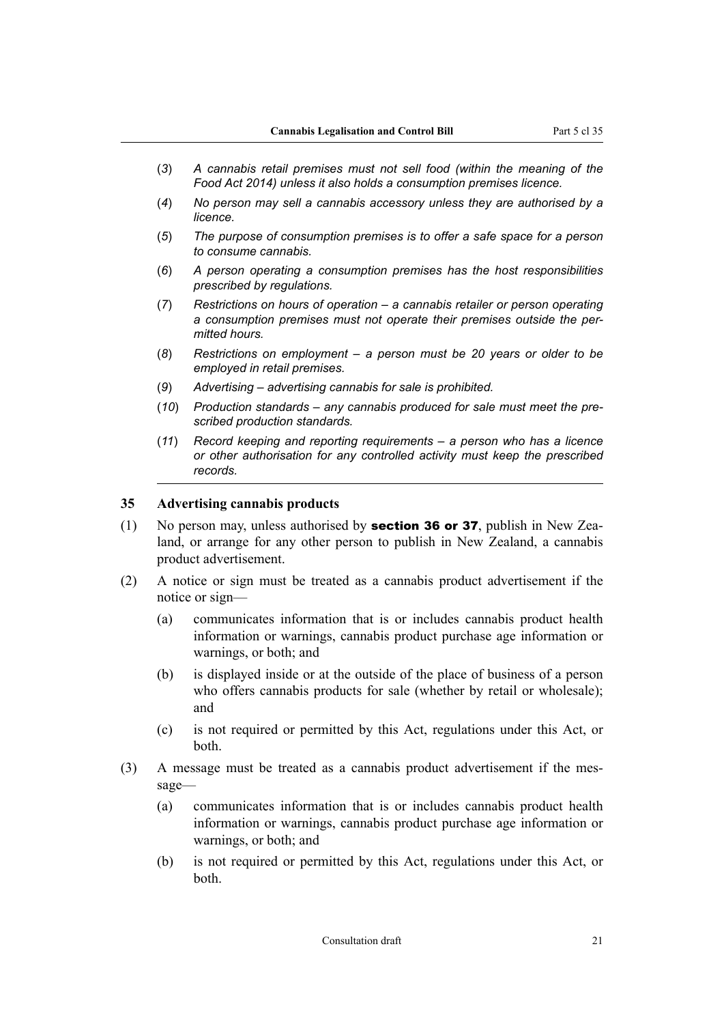- <span id="page-22-0"></span>(*3*) *A cannabis retail premises must not sell food (within the meaning of the Food Act 2014) unless it also holds a consumption premises licence.*
- (*4*) *No person may sell a cannabis accessory unless they are authorised by a licence.*
- (*5*) *The purpose of consumption premises is to offer a safe space for a person to consume cannabis.*
- (*6*) *A person operating a consumption premises has the host responsibilities prescribed by regulations.*
- (*7*) *Restrictions on hours of operation a cannabis retailer or person operating a consumption premises must not operate their premises outside the permitted hours.*
- (*8*) *Restrictions on employment a person must be 20 years or older to be employed in retail premises.*
- (*9*) *Advertising advertising cannabis for sale is prohibited.*
- (*10*) *Production standards any cannabis produced for sale must meet the prescribed production standards.*
- (*11*) *Record keeping and reporting requirements a person who has a licence or other authorisation for any controlled activity must keep the prescribed records.*

#### **35 Advertising cannabis products**

- (1) No person may, unless authorised by **section 36 or 37**, publish in New Zealand, or arrange for any other person to publish in New Zealand, a cannabis product advertisement.
- (2) A notice or sign must be treated as a cannabis product advertisement if the notice or sign—
	- (a) communicates information that is or includes cannabis product health information or warnings, cannabis product purchase age information or warnings, or both; and
	- (b) is displayed inside or at the outside of the place of business of a person who offers cannabis products for sale (whether by retail or wholesale); and
	- (c) is not required or permitted by this Act, regulations under this Act, or both.
- (3) A message must be treated as a cannabis product advertisement if the message—
	- (a) communicates information that is or includes cannabis product health information or warnings, cannabis product purchase age information or warnings, or both; and
	- (b) is not required or permitted by this Act, regulations under this Act, or both.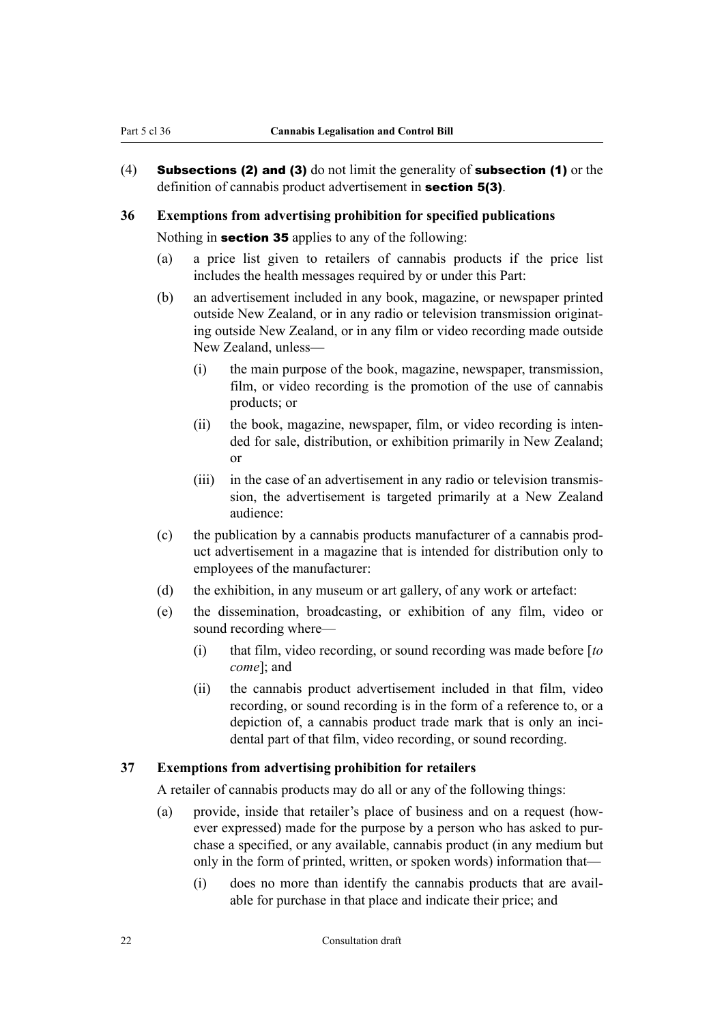- <span id="page-23-0"></span>(4) **Subsections (2) and (3)** do not limit the generality of **subsection (1)** or the definition of cannabis product advertisement in section 5(3).
- **36 Exemptions from advertising prohibition for specified publications**

Nothing in section 35 applies to any of the following:

- (a) a price list given to retailers of cannabis products if the price list includes the health messages required by or under this Part:
- (b) an advertisement included in any book, magazine, or newspaper printed outside New Zealand, or in any radio or television transmission originating outside New Zealand, or in any film or video recording made outside New Zealand, unless—
	- (i) the main purpose of the book, magazine, newspaper, transmission, film, or video recording is the promotion of the use of cannabis products; or
	- (ii) the book, magazine, newspaper, film, or video recording is intended for sale, distribution, or exhibition primarily in New Zealand; or
	- (iii) in the case of an advertisement in any radio or television transmission, the advertisement is targeted primarily at a New Zealand audience:
- (c) the publication by a cannabis products manufacturer of a cannabis product advertisement in a magazine that is intended for distribution only to employees of the manufacturer:
- (d) the exhibition, in any museum or art gallery, of any work or artefact:
- (e) the dissemination, broadcasting, or exhibition of any film, video or sound recording where—
	- (i) that film, video recording, or sound recording was made before [*to come*]; and
	- (ii) the cannabis product advertisement included in that film, video recording, or sound recording is in the form of a reference to, or a depiction of, a cannabis product trade mark that is only an incidental part of that film, video recording, or sound recording.

#### **37 Exemptions from advertising prohibition for retailers**

A retailer of cannabis products may do all or any of the following things:

- (a) provide, inside that retailer's place of business and on a request (however expressed) made for the purpose by a person who has asked to purchase a specified, or any available, cannabis product (in any medium but only in the form of printed, written, or spoken words) information that—
	- (i) does no more than identify the cannabis products that are available for purchase in that place and indicate their price; and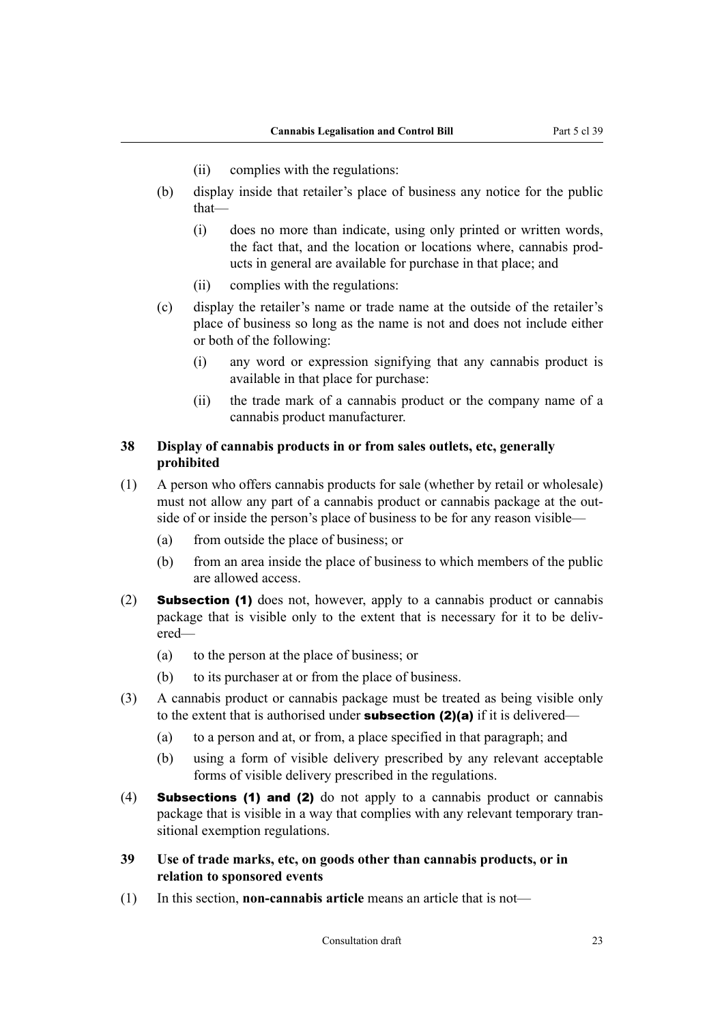- (ii) complies with the regulations:
- <span id="page-24-0"></span>(b) display inside that retailer's place of business any notice for the public that—
	- (i) does no more than indicate, using only printed or written words, the fact that, and the location or locations where, cannabis products in general are available for purchase in that place; and
	- (ii) complies with the regulations:
- (c) display the retailer's name or trade name at the outside of the retailer's place of business so long as the name is not and does not include either or both of the following:
	- (i) any word or expression signifying that any cannabis product is available in that place for purchase:
	- (ii) the trade mark of a cannabis product or the company name of a cannabis product manufacturer.

#### **38 Display of cannabis products in or from sales outlets, etc, generally prohibited**

- (1) A person who offers cannabis products for sale (whether by retail or wholesale) must not allow any part of a cannabis product or cannabis package at the outside of or inside the person's place of business to be for any reason visible—
	- (a) from outside the place of business; or
	- (b) from an area inside the place of business to which members of the public are allowed access.
- (2) Subsection (1) does not, however, apply to a cannabis product or cannabis package that is visible only to the extent that is necessary for it to be delivered—
	- (a) to the person at the place of business; or
	- (b) to its purchaser at or from the place of business.
- (3) A cannabis product or cannabis package must be treated as being visible only to the extent that is authorised under **subsection (2)(a)** if it is delivered—
	- (a) to a person and at, or from, a place specified in that paragraph; and
	- (b) using a form of visible delivery prescribed by any relevant acceptable forms of visible delivery prescribed in the regulations.
- (4) Subsections (1) and (2) do not apply to a cannabis product or cannabis package that is visible in a way that complies with any relevant temporary transitional exemption regulations.
- **39 Use of trade marks, etc, on goods other than cannabis products, or in relation to sponsored events**
- (1) In this section, **non-cannabis article** means an article that is not—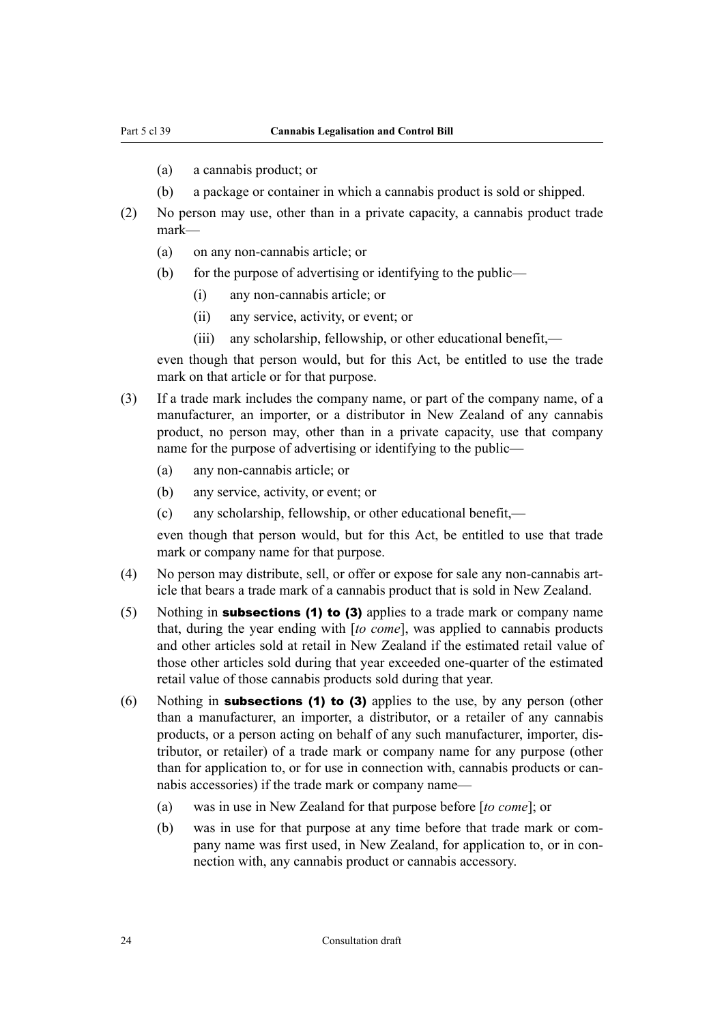- (a) a cannabis product; or
- (b) a package or container in which a cannabis product is sold or shipped.
- (2) No person may use, other than in a private capacity, a cannabis product trade mark—
	- (a) on any non-cannabis article; or
	- (b) for the purpose of advertising or identifying to the public—
		- (i) any non-cannabis article; or
		- (ii) any service, activity, or event; or
		- (iii) any scholarship, fellowship, or other educational benefit,—

even though that person would, but for this Act, be entitled to use the trade mark on that article or for that purpose.

- (3) If a trade mark includes the company name, or part of the company name, of a manufacturer, an importer, or a distributor in New Zealand of any cannabis product, no person may, other than in a private capacity, use that company name for the purpose of advertising or identifying to the public—
	- (a) any non-cannabis article; or
	- (b) any service, activity, or event; or
	- (c) any scholarship, fellowship, or other educational benefit,—

even though that person would, but for this Act, be entitled to use that trade mark or company name for that purpose.

- (4) No person may distribute, sell, or offer or expose for sale any non-cannabis article that bears a trade mark of a cannabis product that is sold in New Zealand.
- (5) Nothing in **subsections (1) to (3)** applies to a trade mark or company name that, during the year ending with [*to come*], was applied to cannabis products and other articles sold at retail in New Zealand if the estimated retail value of those other articles sold during that year exceeded one-quarter of the estimated retail value of those cannabis products sold during that year.
- (6) Nothing in **subsections (1) to (3)** applies to the use, by any person (other than a manufacturer, an importer, a distributor, or a retailer of any cannabis products, or a person acting on behalf of any such manufacturer, importer, distributor, or retailer) of a trade mark or company name for any purpose (other than for application to, or for use in connection with, cannabis products or cannabis accessories) if the trade mark or company name—
	- (a) was in use in New Zealand for that purpose before [*to come*]; or
	- (b) was in use for that purpose at any time before that trade mark or company name was first used, in New Zealand, for application to, or in connection with, any cannabis product or cannabis accessory.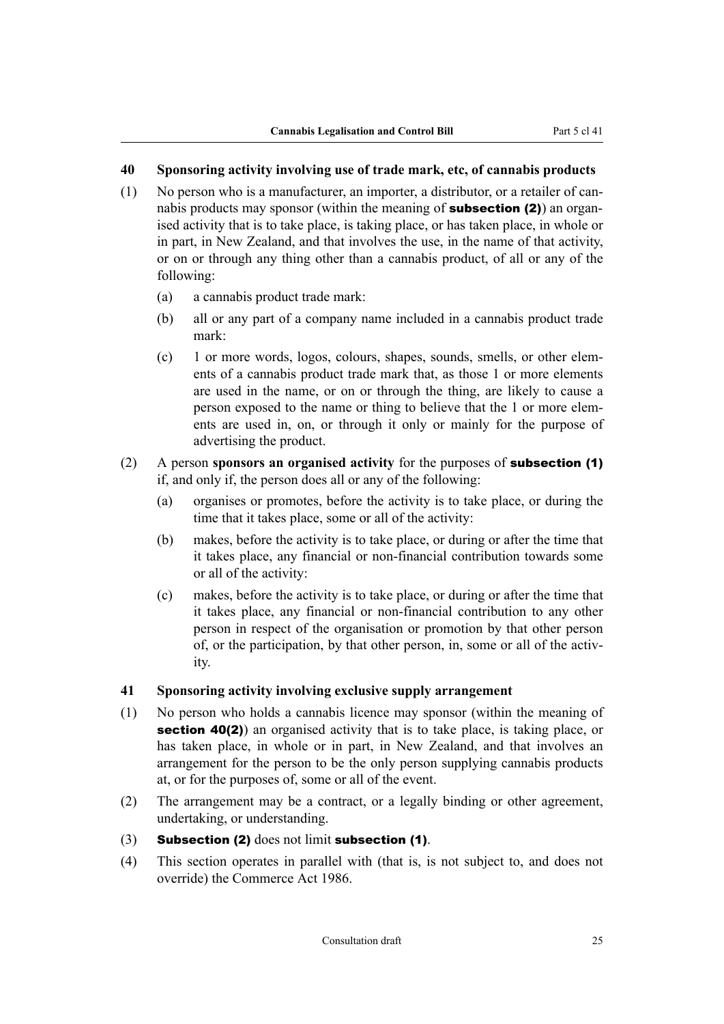#### <span id="page-26-0"></span>**40 Sponsoring activity involving use of trade mark, etc, of cannabis products**

- (1) No person who is a manufacturer, an importer, a distributor, or a retailer of cannabis products may sponsor (within the meaning of **subsection (2)**) an organised activity that is to take place, is taking place, or has taken place, in whole or in part, in New Zealand, and that involves the use, in the name of that activity, or on or through any thing other than a cannabis product, of all or any of the following:
	- (a) a cannabis product trade mark:
	- (b) all or any part of a company name included in a cannabis product trade mark:
	- (c) 1 or more words, logos, colours, shapes, sounds, smells, or other elements of a cannabis product trade mark that, as those 1 or more elements are used in the name, or on or through the thing, are likely to cause a person exposed to the name or thing to believe that the 1 or more elements are used in, on, or through it only or mainly for the purpose of advertising the product.
- (2) A person **sponsors an organised activity** for the purposes of subsection (1) if, and only if, the person does all or any of the following:
	- (a) organises or promotes, before the activity is to take place, or during the time that it takes place, some or all of the activity:
	- (b) makes, before the activity is to take place, or during or after the time that it takes place, any financial or non-financial contribution towards some or all of the activity:
	- (c) makes, before the activity is to take place, or during or after the time that it takes place, any financial or non-financial contribution to any other person in respect of the organisation or promotion by that other person of, or the participation, by that other person, in, some or all of the activity.

#### **41 Sponsoring activity involving exclusive supply arrangement**

- (1) No person who holds a cannabis licence may sponsor (within the meaning of section 40(2)) an organised activity that is to take place, is taking place, or has taken place, in whole or in part, in New Zealand, and that involves an arrangement for the person to be the only person supplying cannabis products at, or for the purposes of, some or all of the event.
- (2) The arrangement may be a contract, or a legally binding or other agreement, undertaking, or understanding.
- (3) Subsection (2) does not limit subsection (1).
- (4) This section operates in parallel with (that is, is not subject to, and does not override) the Commerce Act 1986.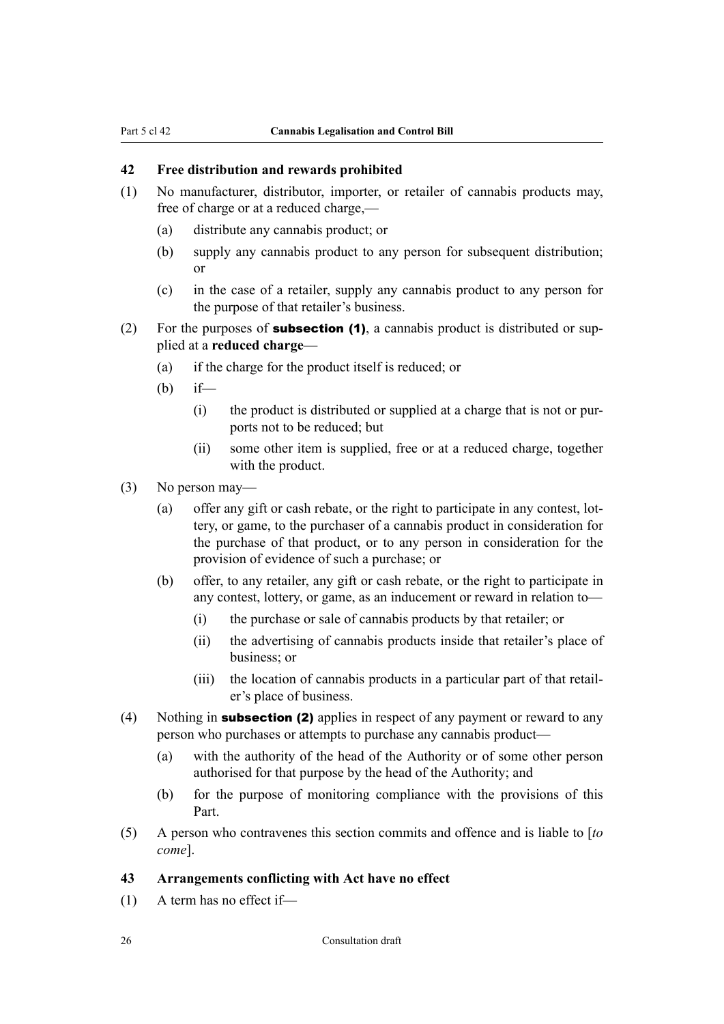#### <span id="page-27-0"></span>**42 Free distribution and rewards prohibited**

- (1) No manufacturer, distributor, importer, or retailer of cannabis products may, free of charge or at a reduced charge,—
	- (a) distribute any cannabis product; or
	- (b) supply any cannabis product to any person for subsequent distribution; or
	- (c) in the case of a retailer, supply any cannabis product to any person for the purpose of that retailer's business.
- (2) For the purposes of **subsection (1)**, a cannabis product is distributed or supplied at a **reduced charge**—
	- (a) if the charge for the product itself is reduced; or
	- (b) if—
		- (i) the product is distributed or supplied at a charge that is not or purports not to be reduced; but
		- (ii) some other item is supplied, free or at a reduced charge, together with the product.
- (3) No person may—
	- (a) offer any gift or cash rebate, or the right to participate in any contest, lottery, or game, to the purchaser of a cannabis product in consideration for the purchase of that product, or to any person in consideration for the provision of evidence of such a purchase; or
	- (b) offer, to any retailer, any gift or cash rebate, or the right to participate in any contest, lottery, or game, as an inducement or reward in relation to—
		- (i) the purchase or sale of cannabis products by that retailer; or
		- (ii) the advertising of cannabis products inside that retailer's place of business; or
		- (iii) the location of cannabis products in a particular part of that retailer's place of business.
- (4) Nothing in **subsection (2)** applies in respect of any payment or reward to any person who purchases or attempts to purchase any cannabis product—
	- (a) with the authority of the head of the Authority or of some other person authorised for that purpose by the head of the Authority; and
	- (b) for the purpose of monitoring compliance with the provisions of this Part.
- (5) A person who contravenes this section commits and offence and is liable to [*to come*].

#### **43 Arrangements conflicting with Act have no effect**

(1) A term has no effect if—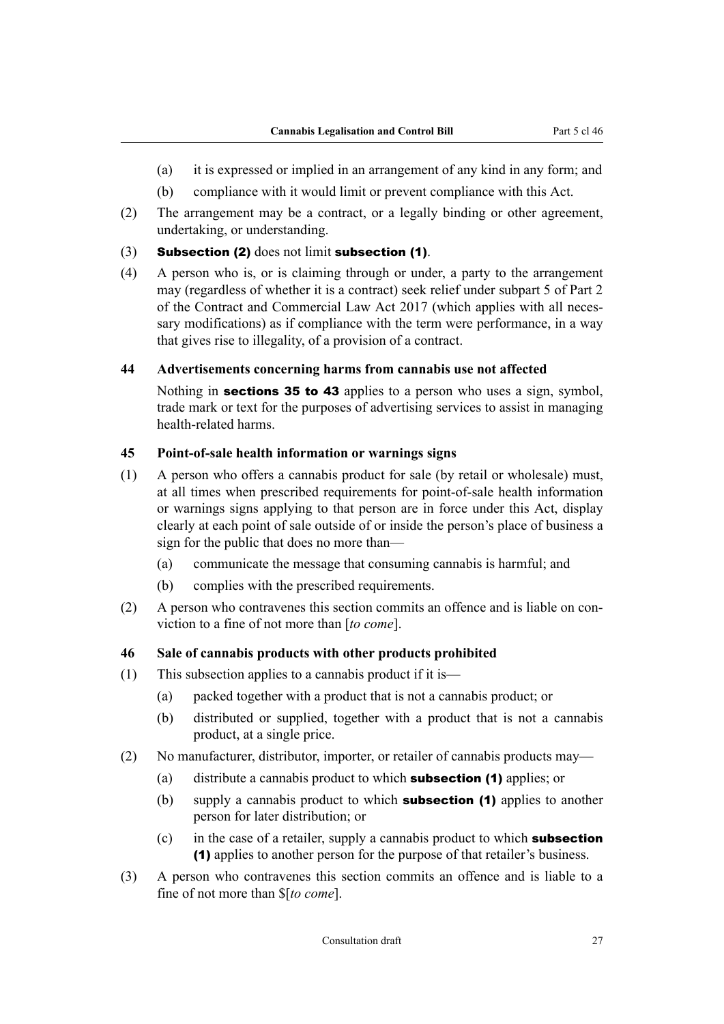- <span id="page-28-0"></span>(a) it is expressed or implied in an arrangement of any kind in any form; and
- (b) compliance with it would limit or prevent compliance with this Act.
- (2) The arrangement may be a contract, or a legally binding or other agreement, undertaking, or understanding.
- (3) Subsection (2) does not limit subsection (1).
- (4) A person who is, or is claiming through or under, a party to the arrangement may (regardless of whether it is a contract) seek relief under subpart 5 of Part 2 of the Contract and Commercial Law Act 2017 (which applies with all necessary modifications) as if compliance with the term were performance, in a way that gives rise to illegality, of a provision of a contract.

#### **44 Advertisements concerning harms from cannabis use not affected**

Nothing in sections 35 to 43 applies to a person who uses a sign, symbol, trade mark or text for the purposes of advertising services to assist in managing health-related harms.

#### **45 Point-of-sale health information or warnings signs**

- (1) A person who offers a cannabis product for sale (by retail or wholesale) must, at all times when prescribed requirements for point-of-sale health information or warnings signs applying to that person are in force under this Act, display clearly at each point of sale outside of or inside the person's place of business a sign for the public that does no more than—
	- (a) communicate the message that consuming cannabis is harmful; and
	- (b) complies with the prescribed requirements.
- (2) A person who contravenes this section commits an offence and is liable on conviction to a fine of not more than [*to come*].

### **46 Sale of cannabis products with other products prohibited**

- (1) This subsection applies to a cannabis product if it is—
	- (a) packed together with a product that is not a cannabis product; or
	- (b) distributed or supplied, together with a product that is not a cannabis product, at a single price.
- (2) No manufacturer, distributor, importer, or retailer of cannabis products may—
	- (a) distribute a cannabis product to which subsection (1) applies; or
	- (b) supply a cannabis product to which **subsection (1)** applies to another person for later distribution; or
	- $(c)$  in the case of a retailer, supply a cannabis product to which **subsection** (1) applies to another person for the purpose of that retailer's business.
- (3) A person who contravenes this section commits an offence and is liable to a fine of not more than \$[*to come*].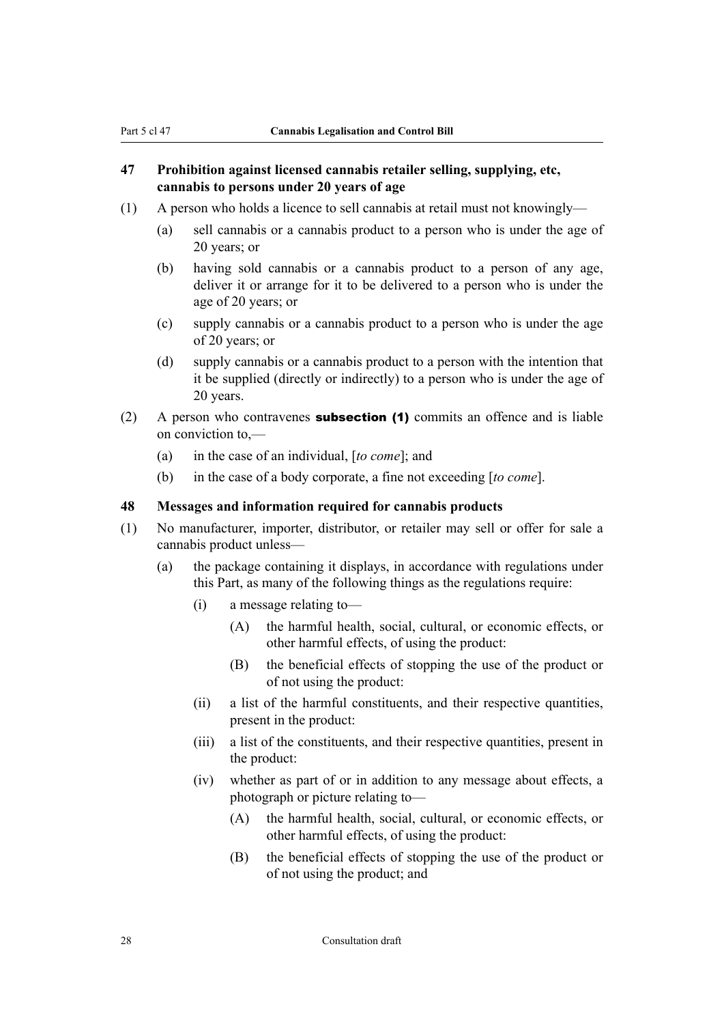#### <span id="page-29-0"></span>**47 Prohibition against licensed cannabis retailer selling, supplying, etc, cannabis to persons under 20 years of age**

- (1) A person who holds a licence to sell cannabis at retail must not knowingly—
	- (a) sell cannabis or a cannabis product to a person who is under the age of 20 years; or
	- (b) having sold cannabis or a cannabis product to a person of any age, deliver it or arrange for it to be delivered to a person who is under the age of 20 years; or
	- (c) supply cannabis or a cannabis product to a person who is under the age of 20 years; or
	- (d) supply cannabis or a cannabis product to a person with the intention that it be supplied (directly or indirectly) to a person who is under the age of 20 years.
- (2) A person who contravenes **subsection (1)** commits an offence and is liable on conviction to,—
	- (a) in the case of an individual, [*to come*]; and
	- (b) in the case of a body corporate, a fine not exceeding [*to come*].

#### **48 Messages and information required for cannabis products**

- (1) No manufacturer, importer, distributor, or retailer may sell or offer for sale a cannabis product unless—
	- (a) the package containing it displays, in accordance with regulations under this Part, as many of the following things as the regulations require:
		- (i) a message relating to—
			- (A) the harmful health, social, cultural, or economic effects, or other harmful effects, of using the product:
			- (B) the beneficial effects of stopping the use of the product or of not using the product:
		- (ii) a list of the harmful constituents, and their respective quantities, present in the product:
		- (iii) a list of the constituents, and their respective quantities, present in the product:
		- (iv) whether as part of or in addition to any message about effects, a photograph or picture relating to—
			- (A) the harmful health, social, cultural, or economic effects, or other harmful effects, of using the product:
			- (B) the beneficial effects of stopping the use of the product or of not using the product; and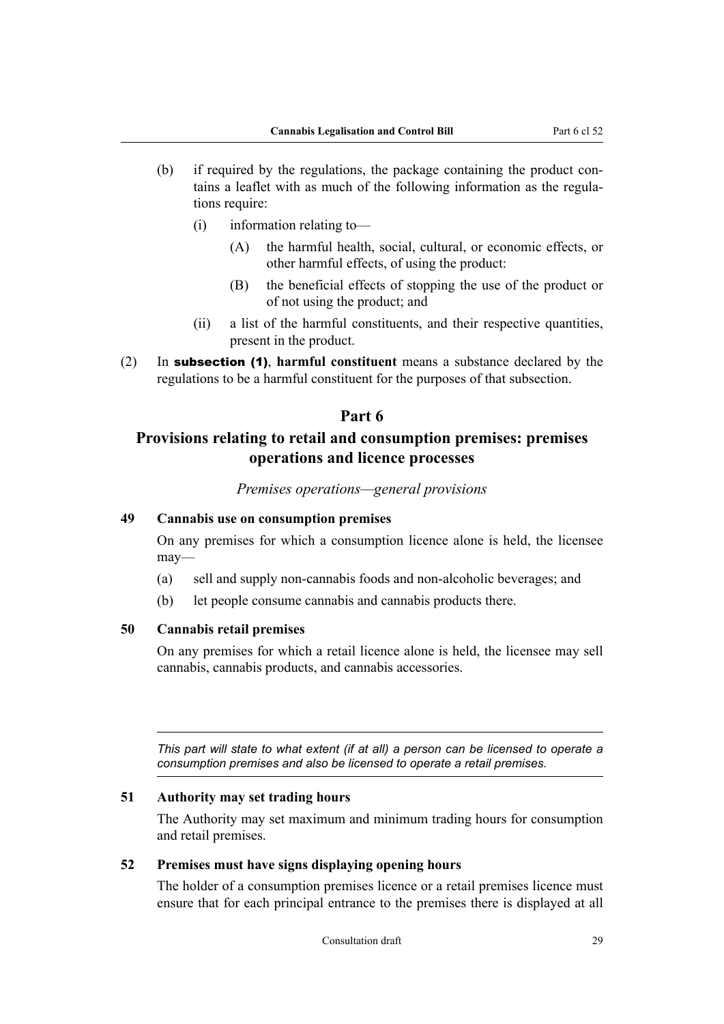- <span id="page-30-0"></span>(b) if required by the regulations, the package containing the product contains a leaflet with as much of the following information as the regulations require:
	- (i) information relating to—
		- (A) the harmful health, social, cultural, or economic effects, or other harmful effects, of using the product:
		- (B) the beneficial effects of stopping the use of the product or of not using the product; and
	- (ii) a list of the harmful constituents, and their respective quantities, present in the product.
- (2) In subsection (1), **harmful constituent** means a substance declared by the regulations to be a harmful constituent for the purposes of that subsection.

#### **Part 6**

### **Provisions relating to retail and consumption premises: premises operations and licence processes**

*Premises operations—general provisions*

#### **49 Cannabis use on consumption premises**

On any premises for which a consumption licence alone is held, the licensee may—

- (a) sell and supply non-cannabis foods and non-alcoholic beverages; and
- (b) let people consume cannabis and cannabis products there.

#### **50 Cannabis retail premises**

On any premises for which a retail licence alone is held, the licensee may sell cannabis, cannabis products, and cannabis accessories.

*This part will state to what extent (if at all) a person can be licensed to operate a consumption premises and also be licensed to operate a retail premises.*

#### **51 Authority may set trading hours**

The Authority may set maximum and minimum trading hours for consumption and retail premises.

#### **52 Premises must have signs displaying opening hours**

The holder of a consumption premises licence or a retail premises licence must ensure that for each principal entrance to the premises there is displayed at all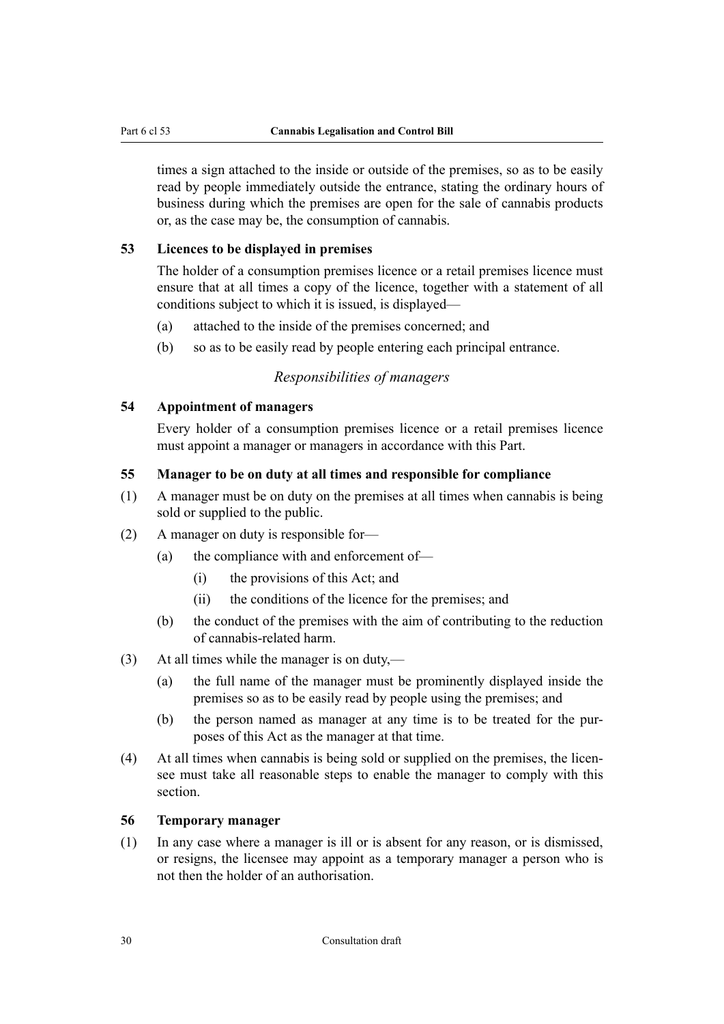<span id="page-31-0"></span>times a sign attached to the inside or outside of the premises, so as to be easily read by people immediately outside the entrance, stating the ordinary hours of business during which the premises are open for the sale of cannabis products or, as the case may be, the consumption of cannabis.

#### **53 Licences to be displayed in premises**

The holder of a consumption premises licence or a retail premises licence must ensure that at all times a copy of the licence, together with a statement of all conditions subject to which it is issued, is displayed—

- (a) attached to the inside of the premises concerned; and
- (b) so as to be easily read by people entering each principal entrance.

#### *Responsibilities of managers*

#### **54 Appointment of managers**

Every holder of a consumption premises licence or a retail premises licence must appoint a manager or managers in accordance with this Part.

#### **55 Manager to be on duty at all times and responsible for compliance**

- (1) A manager must be on duty on the premises at all times when cannabis is being sold or supplied to the public.
- (2) A manager on duty is responsible for—
	- (a) the compliance with and enforcement of—
		- (i) the provisions of this Act; and
		- (ii) the conditions of the licence for the premises; and
	- (b) the conduct of the premises with the aim of contributing to the reduction of cannabis-related harm.
- (3) At all times while the manager is on duty,—
	- (a) the full name of the manager must be prominently displayed inside the premises so as to be easily read by people using the premises; and
	- (b) the person named as manager at any time is to be treated for the purposes of this Act as the manager at that time.
- (4) At all times when cannabis is being sold or supplied on the premises, the licensee must take all reasonable steps to enable the manager to comply with this section.

#### **56 Temporary manager**

(1) In any case where a manager is ill or is absent for any reason, or is dismissed, or resigns, the licensee may appoint as a temporary manager a person who is not then the holder of an authorisation.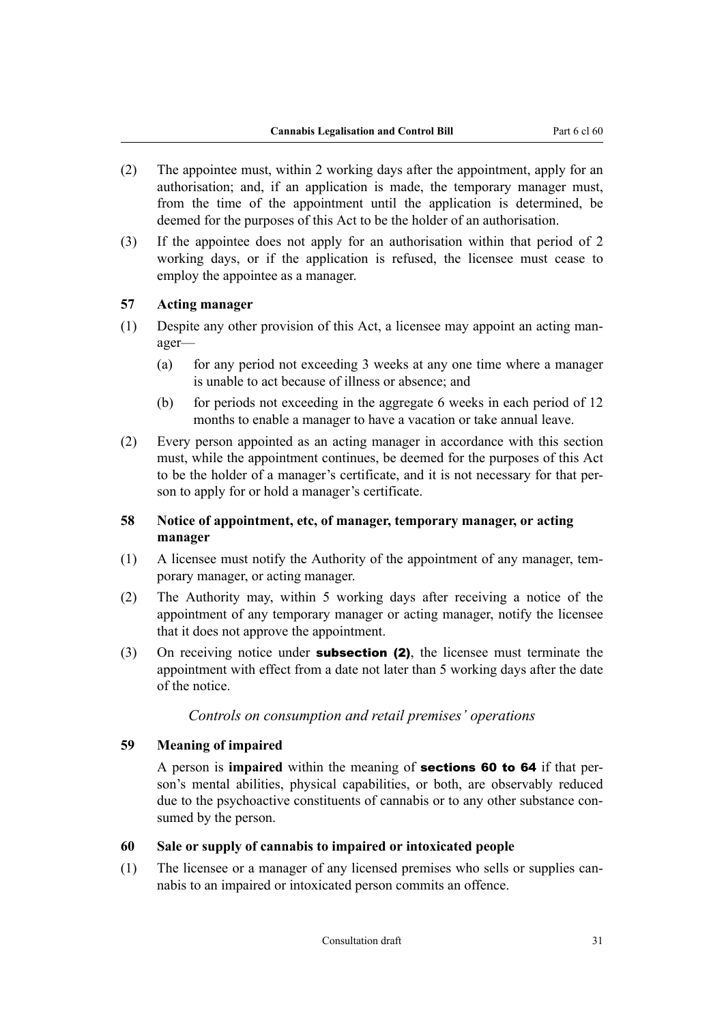- <span id="page-32-0"></span>(2) The appointee must, within 2 working days after the appointment, apply for an authorisation; and, if an application is made, the temporary manager must, from the time of the appointment until the application is determined, be deemed for the purposes of this Act to be the holder of an authorisation.
- (3) If the appointee does not apply for an authorisation within that period of 2 working days, or if the application is refused, the licensee must cease to employ the appointee as a manager.

#### **57 Acting manager**

- (1) Despite any other provision of this Act, a licensee may appoint an acting manager—
	- (a) for any period not exceeding 3 weeks at any one time where a manager is unable to act because of illness or absence; and
	- (b) for periods not exceeding in the aggregate 6 weeks in each period of 12 months to enable a manager to have a vacation or take annual leave.
- (2) Every person appointed as an acting manager in accordance with this section must, while the appointment continues, be deemed for the purposes of this Act to be the holder of a manager's certificate, and it is not necessary for that person to apply for or hold a manager's certificate.

#### **58 Notice of appointment, etc, of manager, temporary manager, or acting manager**

- (1) A licensee must notify the Authority of the appointment of any manager, temporary manager, or acting manager.
- (2) The Authority may, within 5 working days after receiving a notice of the appointment of any temporary manager or acting manager, notify the licensee that it does not approve the appointment.
- (3) On receiving notice under **subsection (2)**, the licensee must terminate the appointment with effect from a date not later than 5 working days after the date of the notice.

#### *Controls on consumption and retail premises' operations*

#### **59 Meaning of impaired**

A person is **impaired** within the meaning of sections 60 to 64 if that person's mental abilities, physical capabilities, or both, are observably reduced due to the psychoactive constituents of cannabis or to any other substance consumed by the person.

#### **60 Sale or supply of cannabis to impaired or intoxicated people**

(1) The licensee or a manager of any licensed premises who sells or supplies cannabis to an impaired or intoxicated person commits an offence.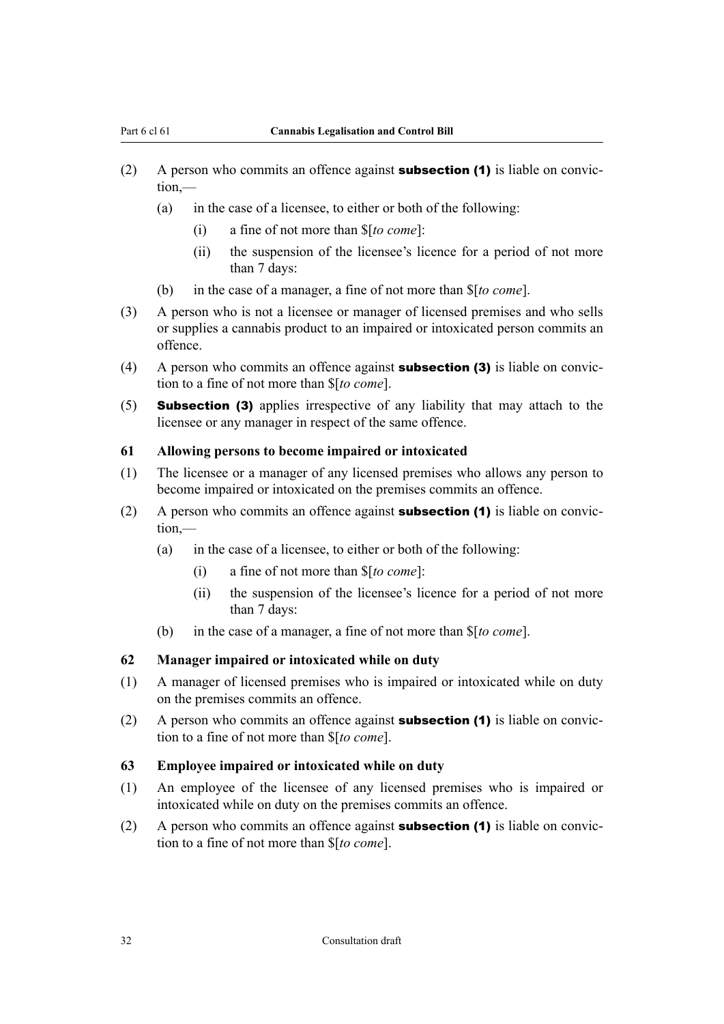- <span id="page-33-0"></span>(2) A person who commits an offence against **subsection (1)** is liable on conviction,—
	- (a) in the case of a licensee, to either or both of the following:
		- (i) a fine of not more than \$[*to come*]:
		- (ii) the suspension of the licensee's licence for a period of not more than 7 days:
	- (b) in the case of a manager, a fine of not more than \$[*to come*].
- (3) A person who is not a licensee or manager of licensed premises and who sells or supplies a cannabis product to an impaired or intoxicated person commits an offence.
- (4) A person who commits an offence against subsection (3) is liable on conviction to a fine of not more than \$[*to come*].
- (5) Subsection (3) applies irrespective of any liability that may attach to the licensee or any manager in respect of the same offence.

#### **61 Allowing persons to become impaired or intoxicated**

- (1) The licensee or a manager of any licensed premises who allows any person to become impaired or intoxicated on the premises commits an offence.
- (2) A person who commits an offence against **subsection (1)** is liable on conviction,—
	- (a) in the case of a licensee, to either or both of the following:
		- (i) a fine of not more than \$[*to come*]:
		- (ii) the suspension of the licensee's licence for a period of not more than 7 days:
	- (b) in the case of a manager, a fine of not more than \$[*to come*].

#### **62 Manager impaired or intoxicated while on duty**

- (1) A manager of licensed premises who is impaired or intoxicated while on duty on the premises commits an offence.
- (2) A person who commits an offence against subsection (1) is liable on conviction to a fine of not more than \$[*to come*].

#### **63 Employee impaired or intoxicated while on duty**

- (1) An employee of the licensee of any licensed premises who is impaired or intoxicated while on duty on the premises commits an offence.
- (2) A person who commits an offence against **subsection (1)** is liable on conviction to a fine of not more than \$[*to come*].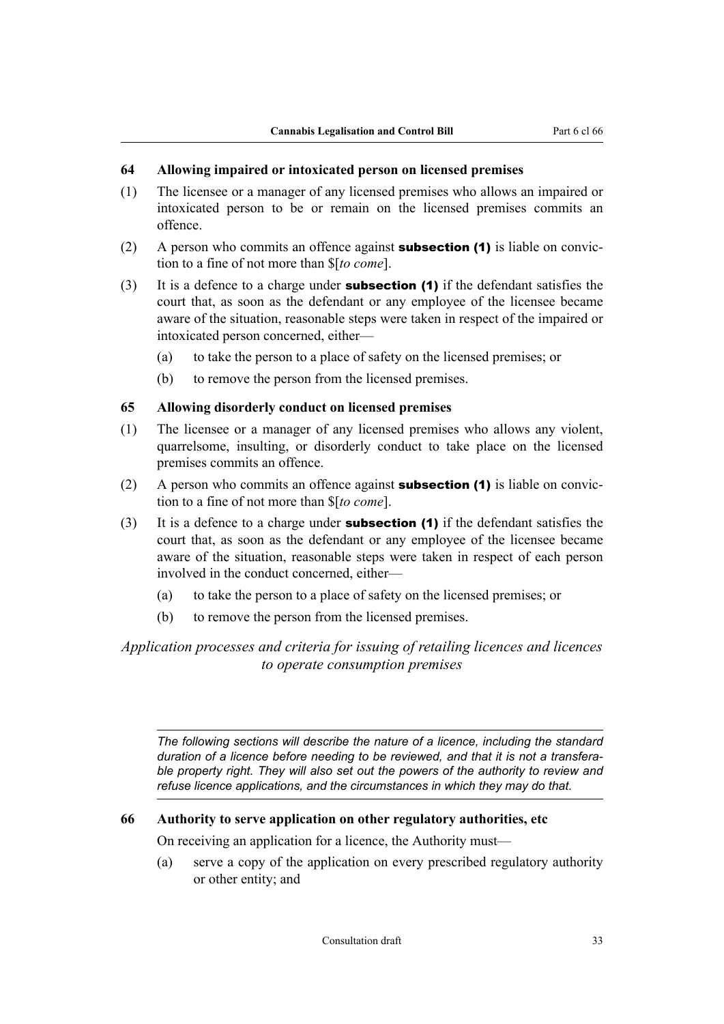#### <span id="page-34-0"></span>**64 Allowing impaired or intoxicated person on licensed premises**

- (1) The licensee or a manager of any licensed premises who allows an impaired or intoxicated person to be or remain on the licensed premises commits an offence.
- (2) A person who commits an offence against **subsection (1)** is liable on conviction to a fine of not more than \$[*to come*].
- (3) It is a defence to a charge under **subsection (1)** if the defendant satisfies the court that, as soon as the defendant or any employee of the licensee became aware of the situation, reasonable steps were taken in respect of the impaired or intoxicated person concerned, either—
	- (a) to take the person to a place of safety on the licensed premises; or
	- (b) to remove the person from the licensed premises.

#### **65 Allowing disorderly conduct on licensed premises**

- (1) The licensee or a manager of any licensed premises who allows any violent, quarrelsome, insulting, or disorderly conduct to take place on the licensed premises commits an offence.
- (2) A person who commits an offence against **subsection (1)** is liable on conviction to a fine of not more than \$[*to come*].
- (3) It is a defence to a charge under **subsection (1)** if the defendant satisfies the court that, as soon as the defendant or any employee of the licensee became aware of the situation, reasonable steps were taken in respect of each person involved in the conduct concerned, either—
	- (a) to take the person to a place of safety on the licensed premises; or
	- (b) to remove the person from the licensed premises.

*Application processes and criteria for issuing of retailing licences and licences to operate consumption premises*

*The following sections will describe the nature of a licence, including the standard duration of a licence before needing to be reviewed, and that it is not a transferable property right. They will also set out the powers of the authority to review and refuse licence applications, and the circumstances in which they may do that.*

#### **66 Authority to serve application on other regulatory authorities, etc**

On receiving an application for a licence, the Authority must—

(a) serve a copy of the application on every prescribed regulatory authority or other entity; and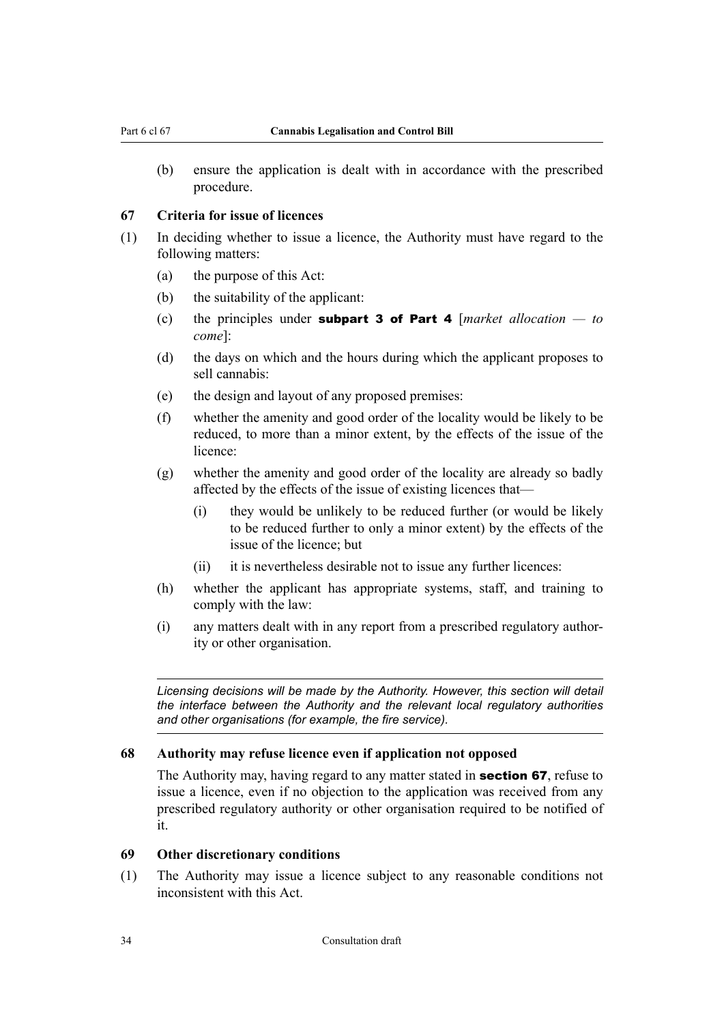<span id="page-35-0"></span>(b) ensure the application is dealt with in accordance with the prescribed procedure.

#### **67 Criteria for issue of licences**

- (1) In deciding whether to issue a licence, the Authority must have regard to the following matters:
	- (a) the purpose of this Act:
	- (b) the suitability of the applicant:
	- (c) the principles under subpart 3 of Part 4 [*market allocation — to come*]:
	- (d) the days on which and the hours during which the applicant proposes to sell cannabis:
	- (e) the design and layout of any proposed premises:
	- (f) whether the amenity and good order of the locality would be likely to be reduced, to more than a minor extent, by the effects of the issue of the licence:
	- (g) whether the amenity and good order of the locality are already so badly affected by the effects of the issue of existing licences that—
		- (i) they would be unlikely to be reduced further (or would be likely to be reduced further to only a minor extent) by the effects of the issue of the licence; but
		- (ii) it is nevertheless desirable not to issue any further licences:
	- (h) whether the applicant has appropriate systems, staff, and training to comply with the law:
	- (i) any matters dealt with in any report from a prescribed regulatory authority or other organisation.

*Licensing decisions will be made by the Authority. However, this section will detail the interface between the Authority and the relevant local regulatory authorities and other organisations (for example, the fire service).*

#### **68 Authority may refuse licence even if application not opposed**

The Authority may, having regard to any matter stated in **section 67**, refuse to issue a licence, even if no objection to the application was received from any prescribed regulatory authority or other organisation required to be notified of it.

#### **69 Other discretionary conditions**

(1) The Authority may issue a licence subject to any reasonable conditions not inconsistent with this Act.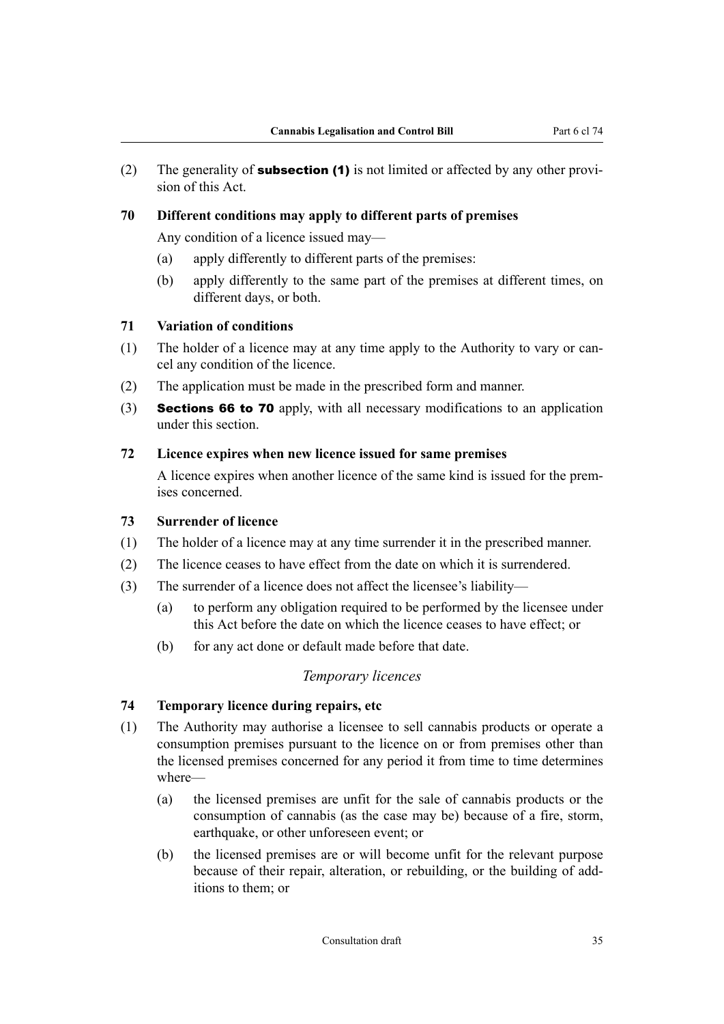<span id="page-36-0"></span>(2) The generality of **subsection (1)** is not limited or affected by any other provision of this Act.

#### **70 Different conditions may apply to different parts of premises**

Any condition of a licence issued may—

- (a) apply differently to different parts of the premises:
- (b) apply differently to the same part of the premises at different times, on different days, or both.

#### **71 Variation of conditions**

- (1) The holder of a licence may at any time apply to the Authority to vary or cancel any condition of the licence.
- (2) The application must be made in the prescribed form and manner.
- (3) Sections 66 to 70 apply, with all necessary modifications to an application under this section.

#### **72 Licence expires when new licence issued for same premises**

A licence expires when another licence of the same kind is issued for the premises concerned.

#### **73 Surrender of licence**

- (1) The holder of a licence may at any time surrender it in the prescribed manner.
- (2) The licence ceases to have effect from the date on which it is surrendered.
- (3) The surrender of a licence does not affect the licensee's liability—
	- (a) to perform any obligation required to be performed by the licensee under this Act before the date on which the licence ceases to have effect; or
	- (b) for any act done or default made before that date.

#### *Temporary licences*

#### **74 Temporary licence during repairs, etc**

- (1) The Authority may authorise a licensee to sell cannabis products or operate a consumption premises pursuant to the licence on or from premises other than the licensed premises concerned for any period it from time to time determines where—
	- (a) the licensed premises are unfit for the sale of cannabis products or the consumption of cannabis (as the case may be) because of a fire, storm, earthquake, or other unforeseen event; or
	- (b) the licensed premises are or will become unfit for the relevant purpose because of their repair, alteration, or rebuilding, or the building of additions to them; or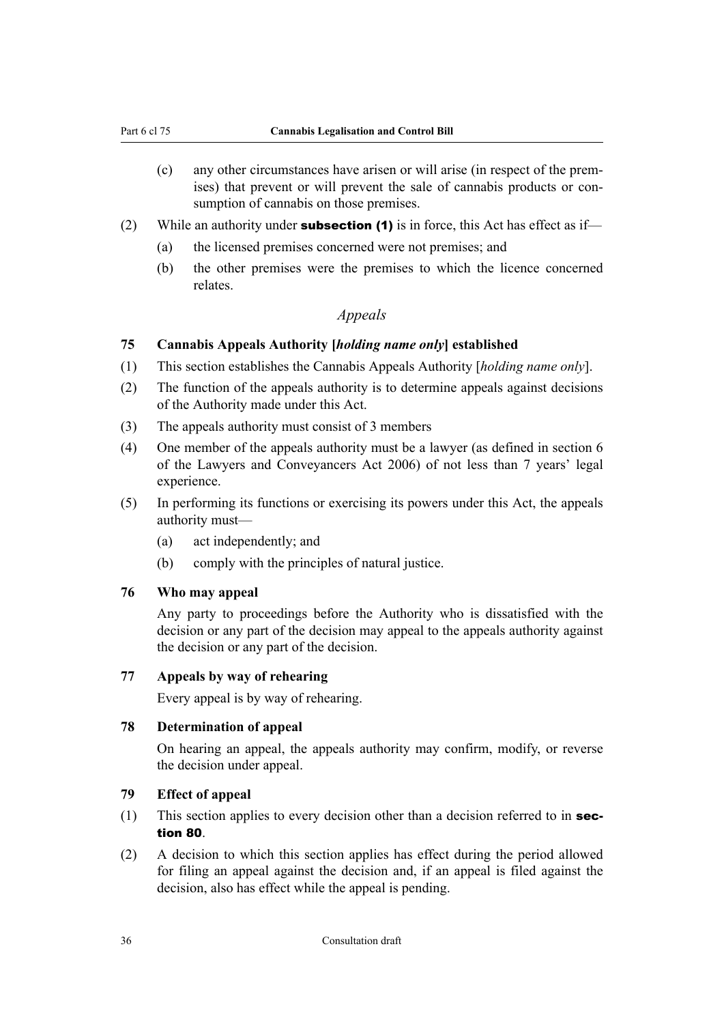- <span id="page-37-0"></span>(c) any other circumstances have arisen or will arise (in respect of the premises) that prevent or will prevent the sale of cannabis products or consumption of cannabis on those premises.
- (2) While an authority under **subsection (1)** is in force, this Act has effect as if—
	- (a) the licensed premises concerned were not premises; and
	- (b) the other premises were the premises to which the licence concerned relates.

#### *Appeals*

#### **75 Cannabis Appeals Authority [***holding name only***] established**

- (1) This section establishes the Cannabis Appeals Authority [*holding name only*].
- (2) The function of the appeals authority is to determine appeals against decisions of the Authority made under this Act.
- (3) The appeals authority must consist of 3 members
- (4) One member of the appeals authority must be a lawyer (as defined in section 6 of the Lawyers and Conveyancers Act 2006) of not less than 7 years' legal experience.
- (5) In performing its functions or exercising its powers under this Act, the appeals authority must—
	- (a) act independently; and
	- (b) comply with the principles of natural justice.

#### **76 Who may appeal**

Any party to proceedings before the Authority who is dissatisfied with the decision or any part of the decision may appeal to the appeals authority against the decision or any part of the decision.

#### **77 Appeals by way of rehearing**

Every appeal is by way of rehearing.

#### **78 Determination of appeal**

On hearing an appeal, the appeals authority may confirm, modify, or reverse the decision under appeal.

#### **79 Effect of appeal**

- (1) This section applies to every decision other than a decision referred to in section 80.
- (2) A decision to which this section applies has effect during the period allowed for filing an appeal against the decision and, if an appeal is filed against the decision, also has effect while the appeal is pending.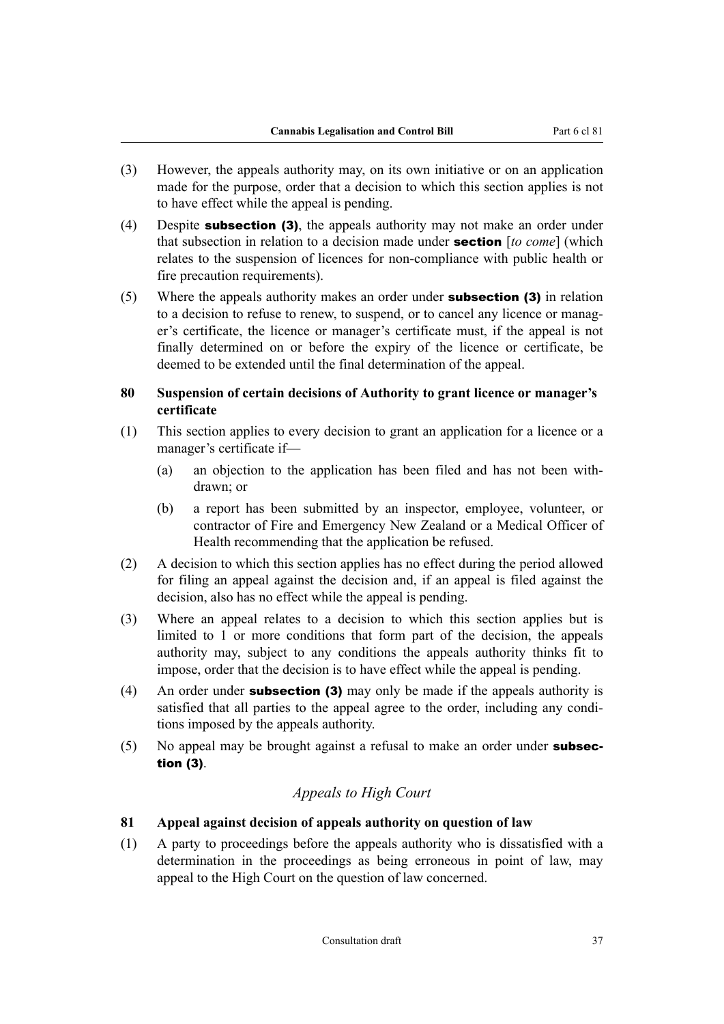- <span id="page-38-0"></span>(3) However, the appeals authority may, on its own initiative or on an application made for the purpose, order that a decision to which this section applies is not to have effect while the appeal is pending.
- (4) Despite subsection (3), the appeals authority may not make an order under that subsection in relation to a decision made under section [*to come*] (which relates to the suspension of licences for non-compliance with public health or fire precaution requirements).
- (5) Where the appeals authority makes an order under subsection (3) in relation to a decision to refuse to renew, to suspend, or to cancel any licence or manager's certificate, the licence or manager's certificate must, if the appeal is not finally determined on or before the expiry of the licence or certificate, be deemed to be extended until the final determination of the appeal.

#### **80 Suspension of certain decisions of Authority to grant licence or manager's certificate**

- (1) This section applies to every decision to grant an application for a licence or a manager's certificate if—
	- (a) an objection to the application has been filed and has not been withdrawn; or
	- (b) a report has been submitted by an inspector, employee, volunteer, or contractor of Fire and Emergency New Zealand or a Medical Officer of Health recommending that the application be refused.
- (2) A decision to which this section applies has no effect during the period allowed for filing an appeal against the decision and, if an appeal is filed against the decision, also has no effect while the appeal is pending.
- (3) Where an appeal relates to a decision to which this section applies but is limited to 1 or more conditions that form part of the decision, the appeals authority may, subject to any conditions the appeals authority thinks fit to impose, order that the decision is to have effect while the appeal is pending.
- (4) An order under **subsection (3)** may only be made if the appeals authority is satisfied that all parties to the appeal agree to the order, including any conditions imposed by the appeals authority.
- (5) No appeal may be brought against a refusal to make an order under **subsec**tion (3).

### *Appeals to High Court*

#### **81 Appeal against decision of appeals authority on question of law**

(1) A party to proceedings before the appeals authority who is dissatisfied with a determination in the proceedings as being erroneous in point of law, may appeal to the High Court on the question of law concerned.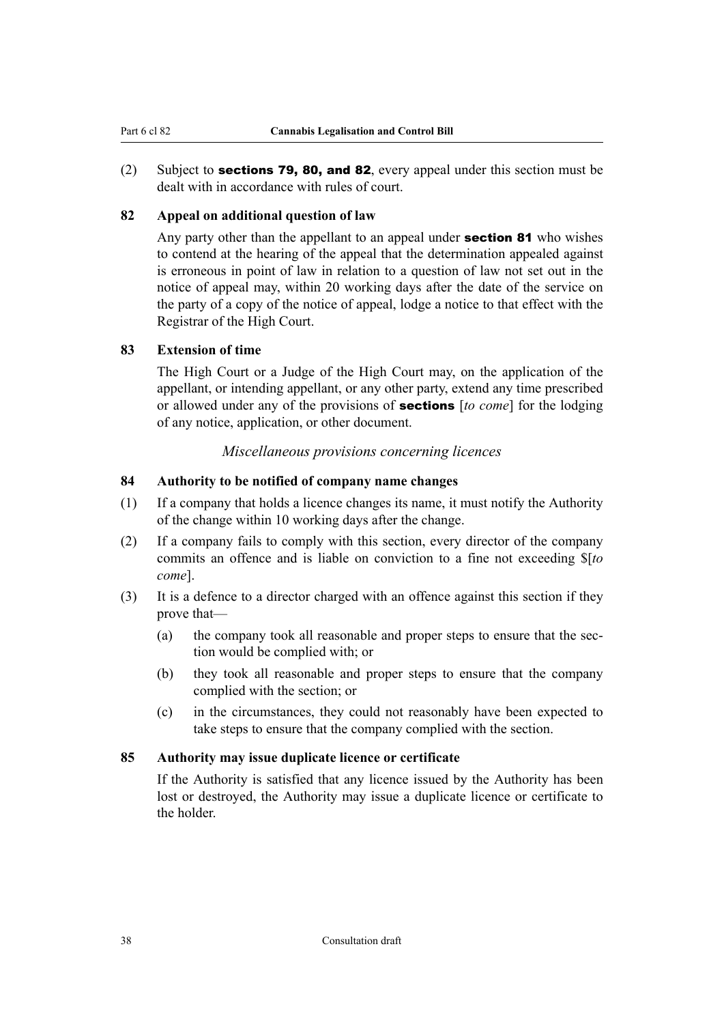<span id="page-39-0"></span>(2) Subject to **sections 79, 80, and 82**, every appeal under this section must be dealt with in accordance with rules of court.

#### **82 Appeal on additional question of law**

Any party other than the appellant to an appeal under **section 81** who wishes to contend at the hearing of the appeal that the determination appealed against is erroneous in point of law in relation to a question of law not set out in the notice of appeal may, within 20 working days after the date of the service on the party of a copy of the notice of appeal, lodge a notice to that effect with the Registrar of the High Court.

#### **83 Extension of time**

The High Court or a Judge of the High Court may, on the application of the appellant, or intending appellant, or any other party, extend any time prescribed or allowed under any of the provisions of sections [*to come*] for the lodging of any notice, application, or other document.

*Miscellaneous provisions concerning licences*

#### **84 Authority to be notified of company name changes**

- (1) If a company that holds a licence changes its name, it must notify the Authority of the change within 10 working days after the change.
- (2) If a company fails to comply with this section, every director of the company commits an offence and is liable on conviction to a fine not exceeding \$[*to come*].
- (3) It is a defence to a director charged with an offence against this section if they prove that—
	- (a) the company took all reasonable and proper steps to ensure that the section would be complied with; or
	- (b) they took all reasonable and proper steps to ensure that the company complied with the section; or
	- (c) in the circumstances, they could not reasonably have been expected to take steps to ensure that the company complied with the section.

#### **85 Authority may issue duplicate licence or certificate**

If the Authority is satisfied that any licence issued by the Authority has been lost or destroyed, the Authority may issue a duplicate licence or certificate to the holder.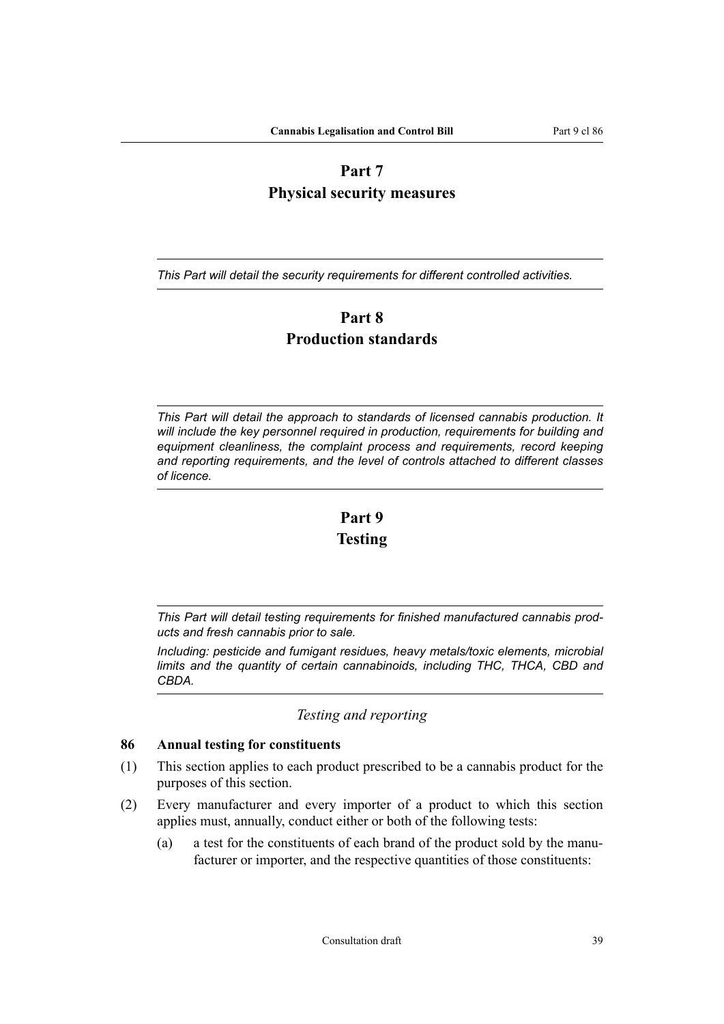### **Part 7 Physical security measures**

<span id="page-40-0"></span>*This Part will detail the security requirements for different controlled activities.*

### **Part 8 Production standards**

*This Part will detail the approach to standards of licensed cannabis production. It will include the key personnel required in production, requirements for building and equipment cleanliness, the complaint process and requirements, record keeping and reporting requirements, and the level of controls attached to different classes of licence.*

### **Part 9 Testing**

*This Part will detail testing requirements for finished manufactured cannabis products and fresh cannabis prior to sale.*

*Including: pesticide and fumigant residues, heavy metals/toxic elements, microbial limits and the quantity of certain cannabinoids, including THC, THCA, CBD and CBDA.*

*Testing and reporting*

#### **86 Annual testing for constituents**

- (1) This section applies to each product prescribed to be a cannabis product for the purposes of this section.
- (2) Every manufacturer and every importer of a product to which this section applies must, annually, conduct either or both of the following tests:
	- (a) a test for the constituents of each brand of the product sold by the manufacturer or importer, and the respective quantities of those constituents: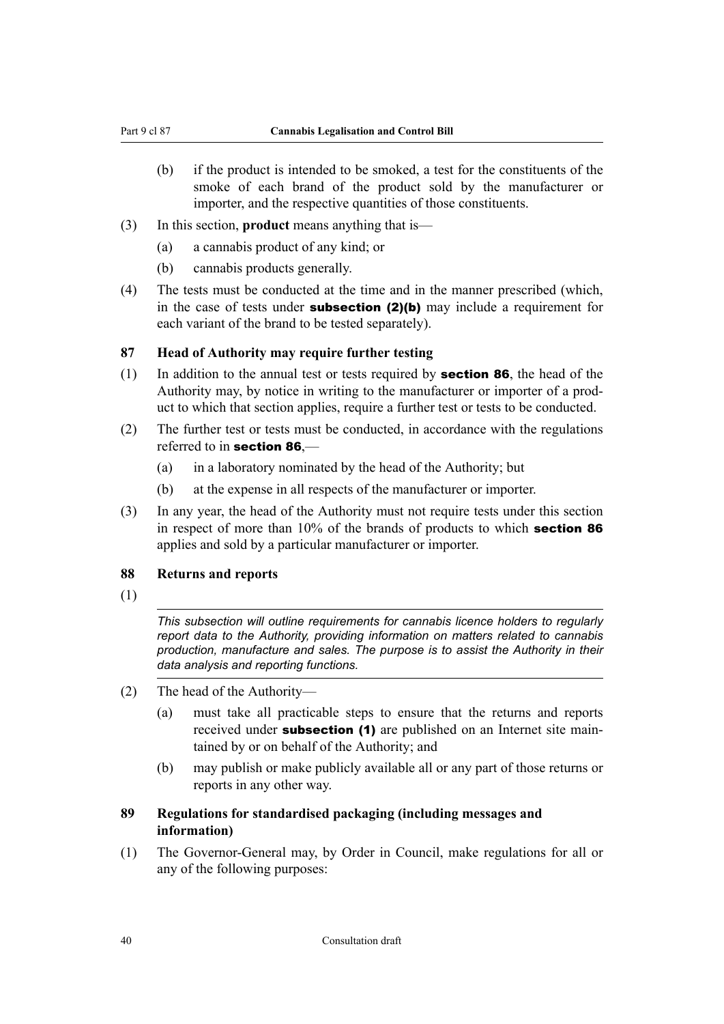- <span id="page-41-0"></span>(b) if the product is intended to be smoked, a test for the constituents of the smoke of each brand of the product sold by the manufacturer or importer, and the respective quantities of those constituents.
- (3) In this section, **product** means anything that is—
	- (a) a cannabis product of any kind; or
	- (b) cannabis products generally.
- (4) The tests must be conducted at the time and in the manner prescribed (which, in the case of tests under **subsection (2)(b)** may include a requirement for each variant of the brand to be tested separately).

#### **87 Head of Authority may require further testing**

- (1) In addition to the annual test or tests required by section 86, the head of the Authority may, by notice in writing to the manufacturer or importer of a product to which that section applies, require a further test or tests to be conducted.
- (2) The further test or tests must be conducted, in accordance with the regulations referred to in section 86,—
	- (a) in a laboratory nominated by the head of the Authority; but
	- (b) at the expense in all respects of the manufacturer or importer.
- (3) In any year, the head of the Authority must not require tests under this section in respect of more than 10% of the brands of products to which section 86 applies and sold by a particular manufacturer or importer.

#### **88 Returns and reports**

(1)

*This subsection will outline requirements for cannabis licence holders to regularly report data to the Authority, providing information on matters related to cannabis production, manufacture and sales. The purpose is to assist the Authority in their data analysis and reporting functions.*

- (2) The head of the Authority—
	- (a) must take all practicable steps to ensure that the returns and reports received under **subsection (1)** are published on an Internet site maintained by or on behalf of the Authority; and
	- (b) may publish or make publicly available all or any part of those returns or reports in any other way.
- **89 Regulations for standardised packaging (including messages and information)**
- (1) The Governor-General may, by Order in Council, make regulations for all or any of the following purposes: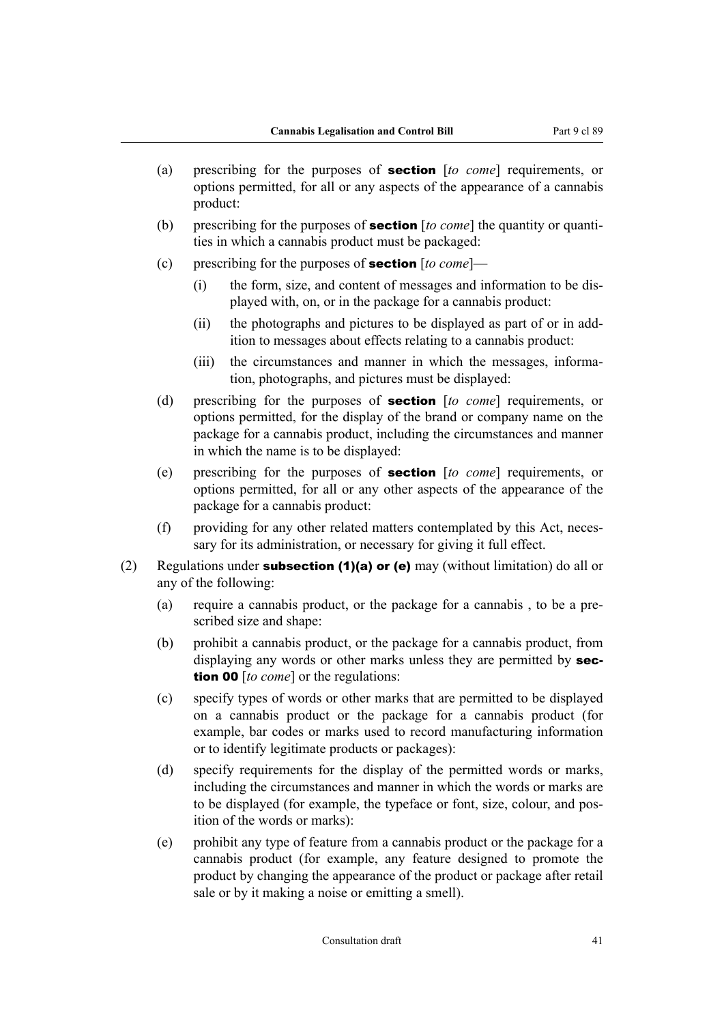- (a) prescribing for the purposes of section [*to come*] requirements, or options permitted, for all or any aspects of the appearance of a cannabis product:
- (b) prescribing for the purposes of **section** [*to come*] the quantity or quantities in which a cannabis product must be packaged:
- (c) prescribing for the purposes of section [*to come*]—
	- (i) the form, size, and content of messages and information to be displayed with, on, or in the package for a cannabis product:
	- (ii) the photographs and pictures to be displayed as part of or in addition to messages about effects relating to a cannabis product:
	- (iii) the circumstances and manner in which the messages, information, photographs, and pictures must be displayed:
- (d) prescribing for the purposes of section [*to come*] requirements, or options permitted, for the display of the brand or company name on the package for a cannabis product, including the circumstances and manner in which the name is to be displayed:
- (e) prescribing for the purposes of section [*to come*] requirements, or options permitted, for all or any other aspects of the appearance of the package for a cannabis product:
- (f) providing for any other related matters contemplated by this Act, necessary for its administration, or necessary for giving it full effect.
- (2) Regulations under **subsection (1)(a) or (e)** may (without limitation) do all or any of the following:
	- (a) require a cannabis product, or the package for a cannabis , to be a prescribed size and shape:
	- (b) prohibit a cannabis product, or the package for a cannabis product, from displaying any words or other marks unless they are permitted by **sec**tion 00 [*to come*] or the regulations:
	- (c) specify types of words or other marks that are permitted to be displayed on a cannabis product or the package for a cannabis product (for example, bar codes or marks used to record manufacturing information or to identify legitimate products or packages):
	- (d) specify requirements for the display of the permitted words or marks, including the circumstances and manner in which the words or marks are to be displayed (for example, the typeface or font, size, colour, and position of the words or marks):
	- (e) prohibit any type of feature from a cannabis product or the package for a cannabis product (for example, any feature designed to promote the product by changing the appearance of the product or package after retail sale or by it making a noise or emitting a smell).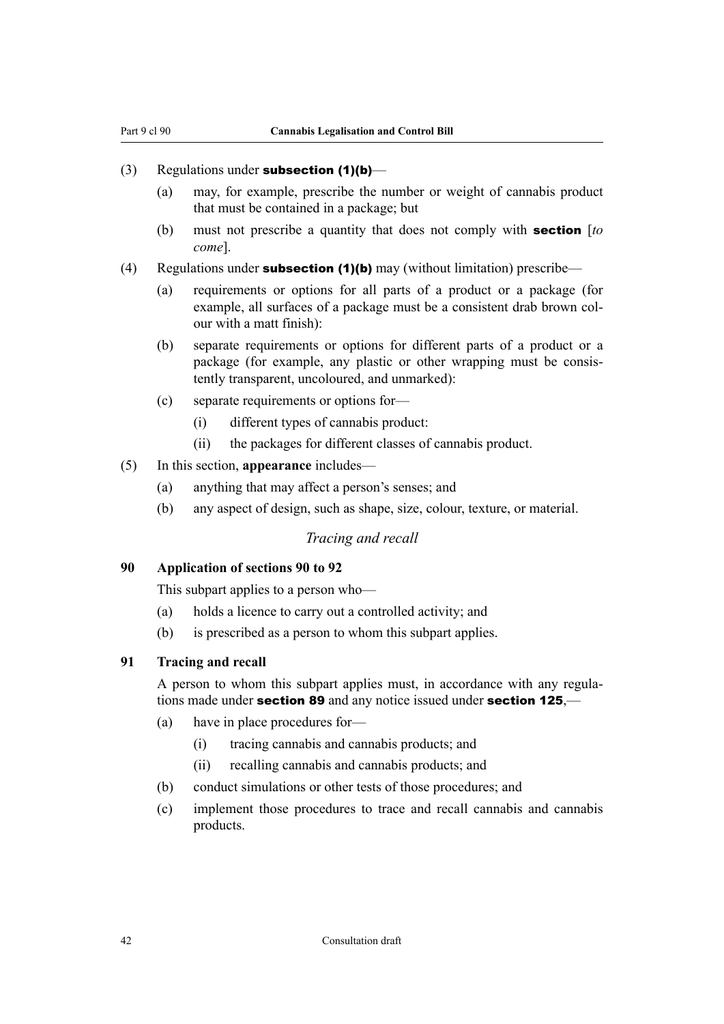#### <span id="page-43-0"></span> $(3)$  Regulations under **subsection (1)(b)**—

- (a) may, for example, prescribe the number or weight of cannabis product that must be contained in a package; but
- (b) must not prescribe a quantity that does not comply with section [*to come*].
- (4) Regulations under **subsection (1)(b)** may (without limitation) prescribe—
	- (a) requirements or options for all parts of a product or a package (for example, all surfaces of a package must be a consistent drab brown colour with a matt finish):
	- (b) separate requirements or options for different parts of a product or a package (for example, any plastic or other wrapping must be consistently transparent, uncoloured, and unmarked):
	- (c) separate requirements or options for—
		- (i) different types of cannabis product:
		- (ii) the packages for different classes of cannabis product.
- (5) In this section, **appearance** includes—
	- (a) anything that may affect a person's senses; and
	- (b) any aspect of design, such as shape, size, colour, texture, or material.

#### *Tracing and recall*

#### **90 Application of sections 90 to 92**

This subpart applies to a person who—

- (a) holds a licence to carry out a controlled activity; and
- (b) is prescribed as a person to whom this subpart applies.

#### **91 Tracing and recall**

A person to whom this subpart applies must, in accordance with any regulations made under **section 89** and any notice issued under **section 125**.—

- (a) have in place procedures for—
	- (i) tracing cannabis and cannabis products; and
	- (ii) recalling cannabis and cannabis products; and
- (b) conduct simulations or other tests of those procedures; and
- (c) implement those procedures to trace and recall cannabis and cannabis products.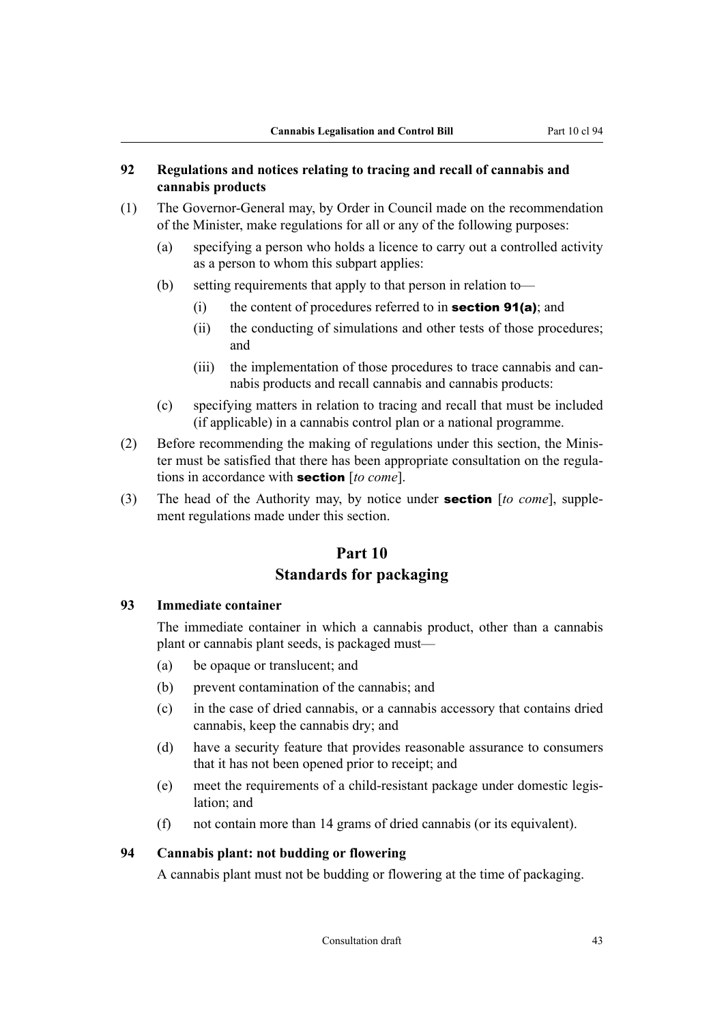#### <span id="page-44-0"></span>**92 Regulations and notices relating to tracing and recall of cannabis and cannabis products**

- (1) The Governor-General may, by Order in Council made on the recommendation of the Minister, make regulations for all or any of the following purposes:
	- (a) specifying a person who holds a licence to carry out a controlled activity as a person to whom this subpart applies:
	- (b) setting requirements that apply to that person in relation to—
		- (i) the content of procedures referred to in **section 91(a)**; and
		- (ii) the conducting of simulations and other tests of those procedures; and
		- (iii) the implementation of those procedures to trace cannabis and cannabis products and recall cannabis and cannabis products:
	- (c) specifying matters in relation to tracing and recall that must be included (if applicable) in a cannabis control plan or a national programme.
- (2) Before recommending the making of regulations under this section, the Minister must be satisfied that there has been appropriate consultation on the regulations in accordance with section [*to come*].
- (3) The head of the Authority may, by notice under section [*to come*], supplement regulations made under this section.

### **Part 10 Standards for packaging**

#### **93 Immediate container**

The immediate container in which a cannabis product, other than a cannabis plant or cannabis plant seeds, is packaged must—

- (a) be opaque or translucent; and
- (b) prevent contamination of the cannabis; and
- (c) in the case of dried cannabis, or a cannabis accessory that contains dried cannabis, keep the cannabis dry; and
- (d) have a security feature that provides reasonable assurance to consumers that it has not been opened prior to receipt; and
- (e) meet the requirements of a child-resistant package under domestic legislation; and
- (f) not contain more than 14 grams of dried cannabis (or its equivalent).

#### **94 Cannabis plant: not budding or flowering**

A cannabis plant must not be budding or flowering at the time of packaging.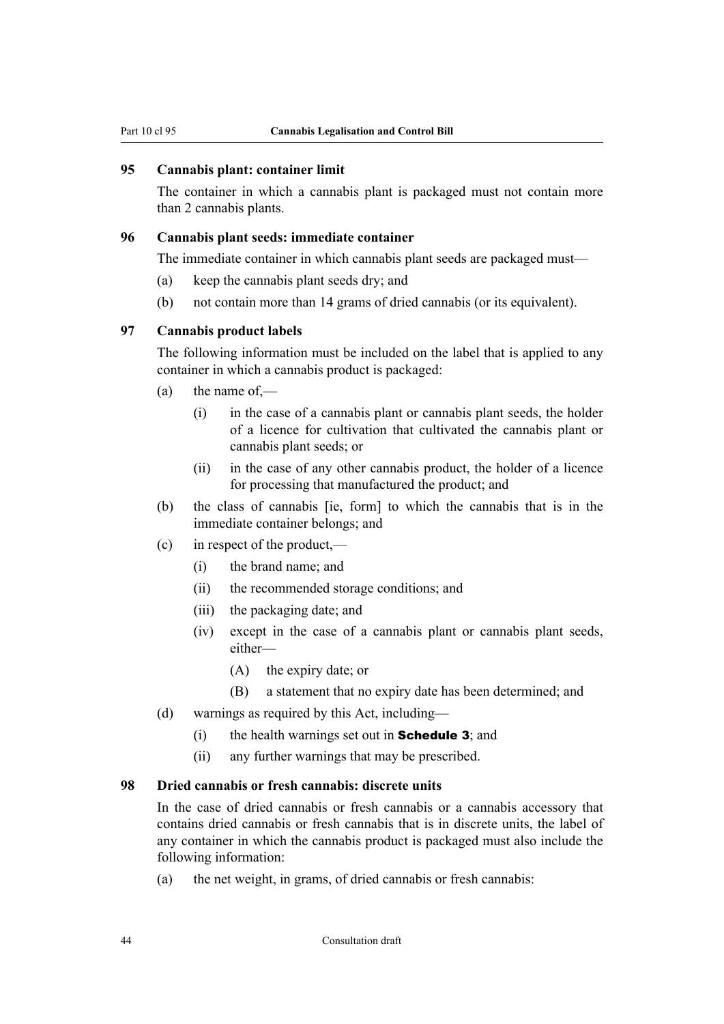#### <span id="page-45-0"></span>**95 Cannabis plant: container limit**

The container in which a cannabis plant is packaged must not contain more than 2 cannabis plants.

#### **96 Cannabis plant seeds: immediate container**

The immediate container in which cannabis plant seeds are packaged must—

- (a) keep the cannabis plant seeds dry; and
- (b) not contain more than 14 grams of dried cannabis (or its equivalent).

#### **97 Cannabis product labels**

The following information must be included on the label that is applied to any container in which a cannabis product is packaged:

- $(a)$  the name of  $\frac{1}{1}$ 
	- (i) in the case of a cannabis plant or cannabis plant seeds, the holder of a licence for cultivation that cultivated the cannabis plant or cannabis plant seeds; or
	- (ii) in the case of any other cannabis product, the holder of a licence for processing that manufactured the product; and
- (b) the class of cannabis [ie, form] to which the cannabis that is in the immediate container belongs; and
- (c) in respect of the product,—
	- (i) the brand name; and
	- (ii) the recommended storage conditions; and
	- (iii) the packaging date; and
	- (iv) except in the case of a cannabis plant or cannabis plant seeds, either—
		- (A) the expiry date; or
		- (B) a statement that no expiry date has been determined; and
- (d) warnings as required by this Act, including—
	- $(i)$  the health warnings set out in **Schedule 3**; and
	- (ii) any further warnings that may be prescribed.

#### **98 Dried cannabis or fresh cannabis: discrete units**

In the case of dried cannabis or fresh cannabis or a cannabis accessory that contains dried cannabis or fresh cannabis that is in discrete units, the label of any container in which the cannabis product is packaged must also include the following information:

(a) the net weight, in grams, of dried cannabis or fresh cannabis: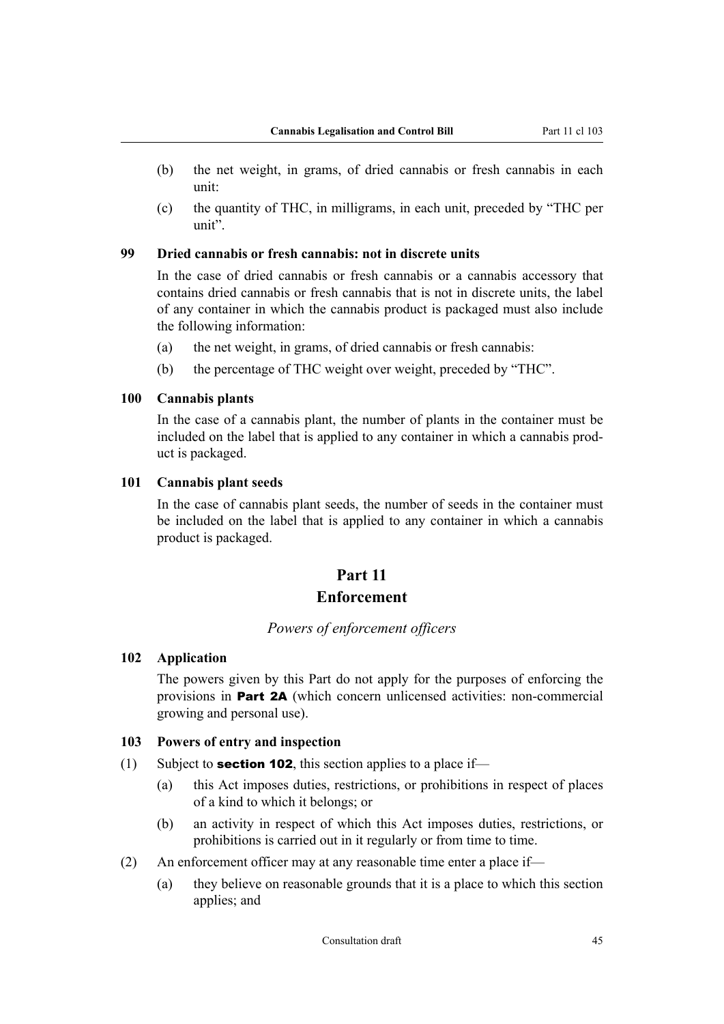- <span id="page-46-0"></span>(b) the net weight, in grams, of dried cannabis or fresh cannabis in each unit:
- (c) the quantity of THC, in milligrams, in each unit, preceded by "THC per unit".

#### **99 Dried cannabis or fresh cannabis: not in discrete units**

In the case of dried cannabis or fresh cannabis or a cannabis accessory that contains dried cannabis or fresh cannabis that is not in discrete units, the label of any container in which the cannabis product is packaged must also include the following information:

- (a) the net weight, in grams, of dried cannabis or fresh cannabis:
- (b) the percentage of THC weight over weight, preceded by "THC".

#### **100 Cannabis plants**

In the case of a cannabis plant, the number of plants in the container must be included on the label that is applied to any container in which a cannabis product is packaged.

#### **101 Cannabis plant seeds**

In the case of cannabis plant seeds, the number of seeds in the container must be included on the label that is applied to any container in which a cannabis product is packaged.

# **Part 11**

### **Enforcement**

#### *Powers of enforcement officers*

#### **102 Application**

The powers given by this Part do not apply for the purposes of enforcing the provisions in Part 2A (which concern unlicensed activities: non-commercial growing and personal use).

#### **103 Powers of entry and inspection**

- (1) Subject to **section 102**, this section applies to a place if—
	- (a) this Act imposes duties, restrictions, or prohibitions in respect of places of a kind to which it belongs; or
	- (b) an activity in respect of which this Act imposes duties, restrictions, or prohibitions is carried out in it regularly or from time to time.
- (2) An enforcement officer may at any reasonable time enter a place if—
	- (a) they believe on reasonable grounds that it is a place to which this section applies; and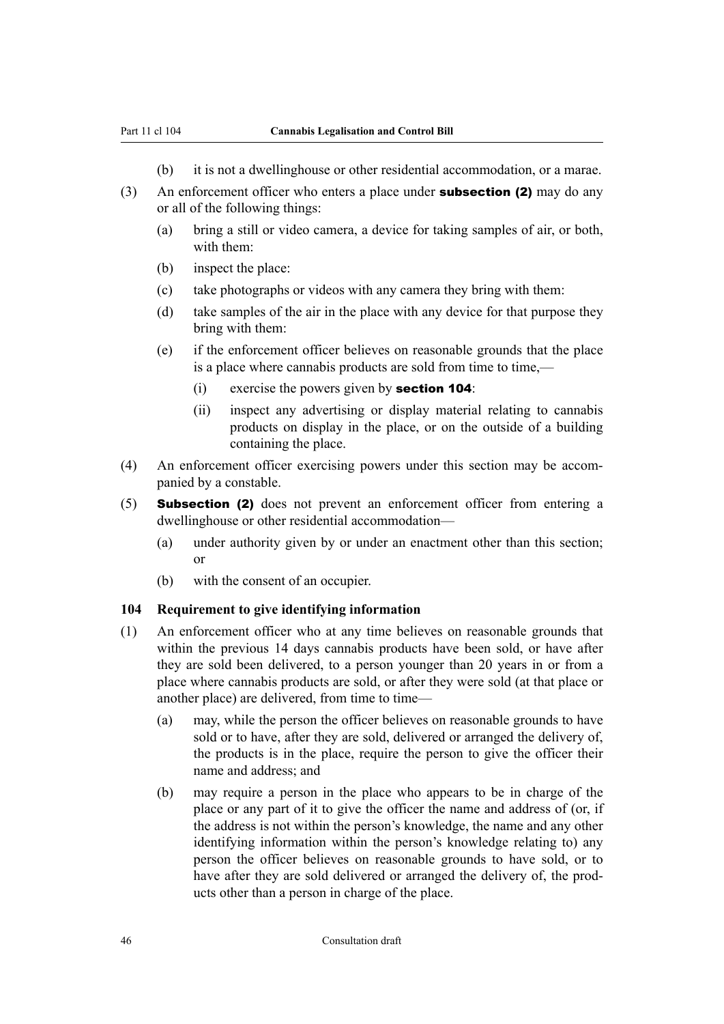- (b) it is not a dwellinghouse or other residential accommodation, or a marae.
- <span id="page-47-0"></span>(3) An enforcement officer who enters a place under **subsection (2)** may do any or all of the following things:
	- (a) bring a still or video camera, a device for taking samples of air, or both, with them:
	- (b) inspect the place:
	- (c) take photographs or videos with any camera they bring with them:
	- (d) take samples of the air in the place with any device for that purpose they bring with them:
	- (e) if the enforcement officer believes on reasonable grounds that the place is a place where cannabis products are sold from time to time,—
		- (i) exercise the powers given by **section 104**:
		- (ii) inspect any advertising or display material relating to cannabis products on display in the place, or on the outside of a building containing the place.
- (4) An enforcement officer exercising powers under this section may be accompanied by a constable.
- (5) Subsection (2) does not prevent an enforcement officer from entering a dwellinghouse or other residential accommodation—
	- (a) under authority given by or under an enactment other than this section; or
	- (b) with the consent of an occupier.

#### **104 Requirement to give identifying information**

- (1) An enforcement officer who at any time believes on reasonable grounds that within the previous 14 days cannabis products have been sold, or have after they are sold been delivered, to a person younger than 20 years in or from a place where cannabis products are sold, or after they were sold (at that place or another place) are delivered, from time to time—
	- (a) may, while the person the officer believes on reasonable grounds to have sold or to have, after they are sold, delivered or arranged the delivery of, the products is in the place, require the person to give the officer their name and address; and
	- (b) may require a person in the place who appears to be in charge of the place or any part of it to give the officer the name and address of (or, if the address is not within the person's knowledge, the name and any other identifying information within the person's knowledge relating to) any person the officer believes on reasonable grounds to have sold, or to have after they are sold delivered or arranged the delivery of, the products other than a person in charge of the place.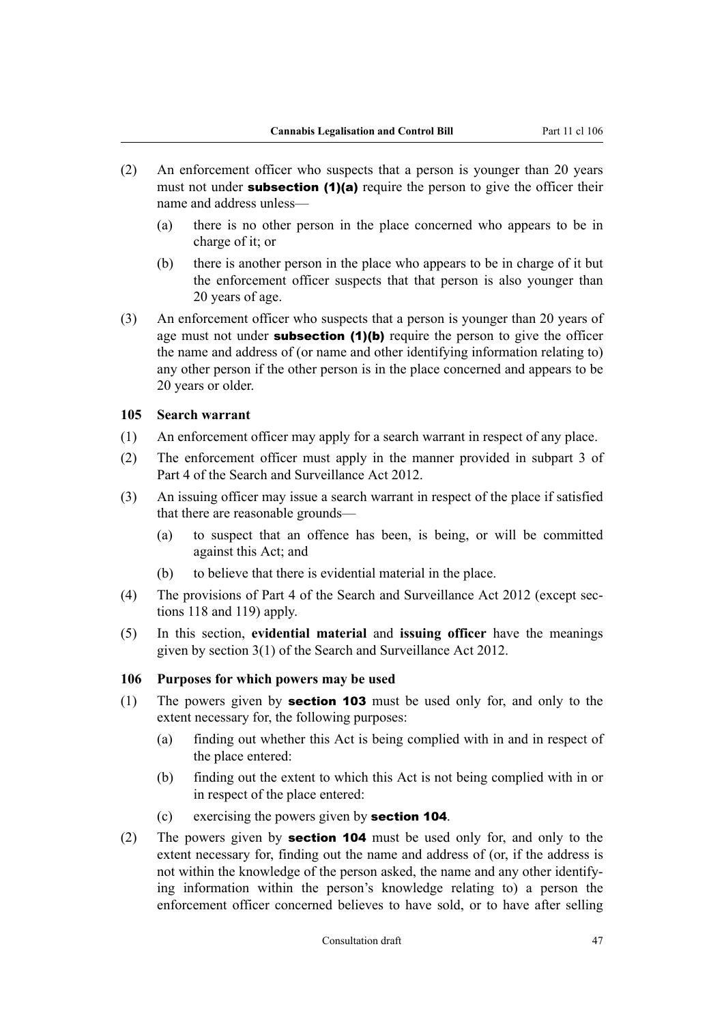- <span id="page-48-0"></span>(2) An enforcement officer who suspects that a person is younger than 20 years must not under **subsection**  $(1)(a)$  require the person to give the officer their name and address unless—
	- (a) there is no other person in the place concerned who appears to be in charge of it; or
	- (b) there is another person in the place who appears to be in charge of it but the enforcement officer suspects that that person is also younger than 20 years of age.
- (3) An enforcement officer who suspects that a person is younger than 20 years of age must not under **subsection**  $(1)(b)$  require the person to give the officer the name and address of (or name and other identifying information relating to) any other person if the other person is in the place concerned and appears to be 20 years or older.

#### **105 Search warrant**

- (1) An enforcement officer may apply for a search warrant in respect of any place.
- (2) The enforcement officer must apply in the manner provided in subpart 3 of Part 4 of the Search and Surveillance Act 2012.
- (3) An issuing officer may issue a search warrant in respect of the place if satisfied that there are reasonable grounds—
	- (a) to suspect that an offence has been, is being, or will be committed against this Act; and
	- (b) to believe that there is evidential material in the place.
- (4) The provisions of Part 4 of the Search and Surveillance Act 2012 (except sections 118 and 119) apply.
- (5) In this section, **evidential material** and **issuing officer** have the meanings given by section 3(1) of the Search and Surveillance Act 2012.

#### **106 Purposes for which powers may be used**

- (1) The powers given by section 103 must be used only for, and only to the extent necessary for, the following purposes:
	- (a) finding out whether this Act is being complied with in and in respect of the place entered:
	- (b) finding out the extent to which this Act is not being complied with in or in respect of the place entered:
	- (c) exercising the powers given by section 104.
- (2) The powers given by section 104 must be used only for, and only to the extent necessary for, finding out the name and address of (or, if the address is not within the knowledge of the person asked, the name and any other identifying information within the person's knowledge relating to) a person the enforcement officer concerned believes to have sold, or to have after selling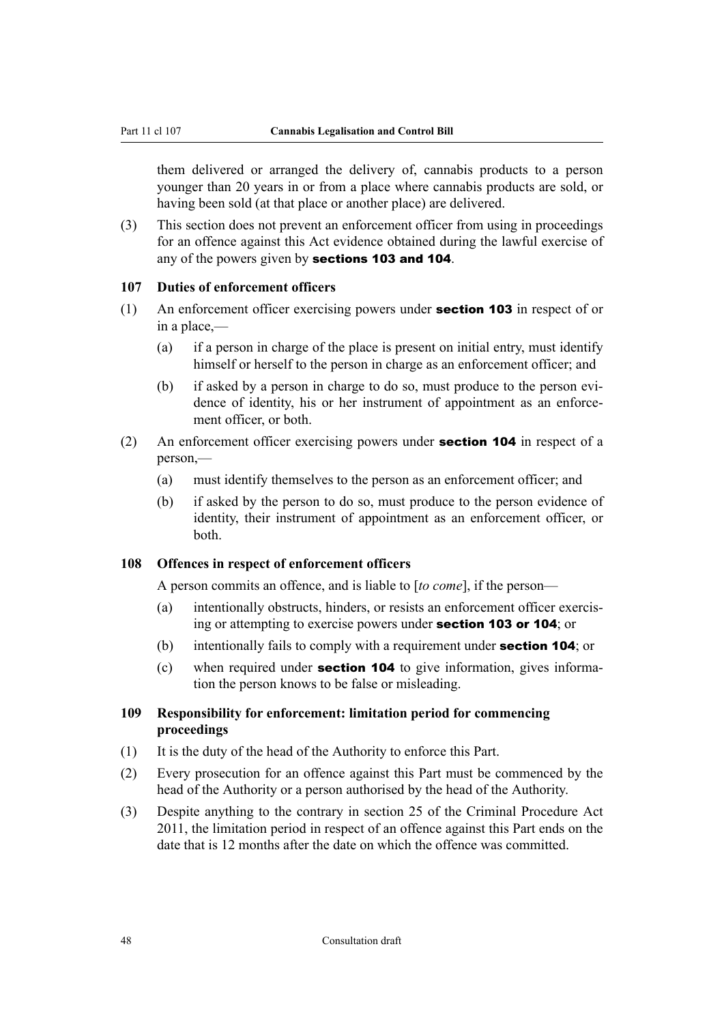<span id="page-49-0"></span>them delivered or arranged the delivery of, cannabis products to a person younger than 20 years in or from a place where cannabis products are sold, or having been sold (at that place or another place) are delivered.

(3) This section does not prevent an enforcement officer from using in proceedings for an offence against this Act evidence obtained during the lawful exercise of any of the powers given by **sections 103 and 104**.

#### **107 Duties of enforcement officers**

- (1) An enforcement officer exercising powers under section 103 in respect of or in a place,—
	- (a) if a person in charge of the place is present on initial entry, must identify himself or herself to the person in charge as an enforcement officer; and
	- (b) if asked by a person in charge to do so, must produce to the person evidence of identity, his or her instrument of appointment as an enforcement officer, or both.
- (2) An enforcement officer exercising powers under section 104 in respect of a person,—
	- (a) must identify themselves to the person as an enforcement officer; and
	- (b) if asked by the person to do so, must produce to the person evidence of identity, their instrument of appointment as an enforcement officer, or both.

#### **108 Offences in respect of enforcement officers**

A person commits an offence, and is liable to [*to come*], if the person—

- (a) intentionally obstructs, hinders, or resists an enforcement officer exercising or attempting to exercise powers under section 103 or 104; or
- (b) intentionally fails to comply with a requirement under **section 104**; or
- (c) when required under section 104 to give information, gives information the person knows to be false or misleading.

#### **109 Responsibility for enforcement: limitation period for commencing proceedings**

- (1) It is the duty of the head of the Authority to enforce this Part.
- (2) Every prosecution for an offence against this Part must be commenced by the head of the Authority or a person authorised by the head of the Authority.
- (3) Despite anything to the contrary in section 25 of the Criminal Procedure Act 2011, the limitation period in respect of an offence against this Part ends on the date that is 12 months after the date on which the offence was committed.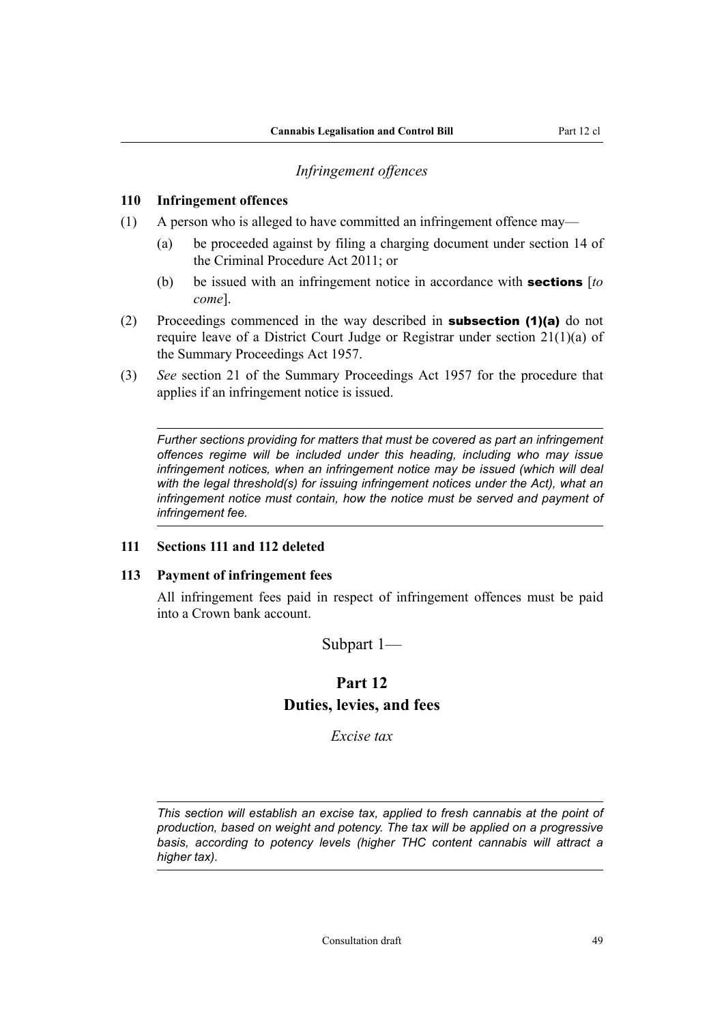#### *Infringement offences*

#### <span id="page-50-0"></span>**110 Infringement offences**

- (1) A person who is alleged to have committed an infringement offence may—
	- (a) be proceeded against by filing a charging document under section 14 of the Criminal Procedure Act 2011; or
	- (b) be issued with an infringement notice in accordance with sections [*to come*].
- (2) Proceedings commenced in the way described in **subsection (1)(a)** do not require leave of a District Court Judge or Registrar under section 21(1)(a) of the Summary Proceedings Act 1957.
- (3) *See* section 21 of the Summary Proceedings Act 1957 for the procedure that applies if an infringement notice is issued.

*Further sections providing for matters that must be covered as part an infringement offences regime will be included under this heading, including who may issue infringement notices, when an infringement notice may be issued (which will deal with the legal threshold(s) for issuing infringement notices under the Act), what an infringement notice must contain, how the notice must be served and payment of infringement fee.*

#### **111 Sections 111 and 112 deleted**

#### **113 Payment of infringement fees**

All infringement fees paid in respect of infringement offences must be paid into a Crown bank account.

Subpart 1—

### **Part 12 Duties, levies, and fees**

*Excise tax*

*This section will establish an excise tax, applied to fresh cannabis at the point of production, based on weight and potency. The tax will be applied on a progressive basis, according to potency levels (higher THC content cannabis will attract a higher tax).*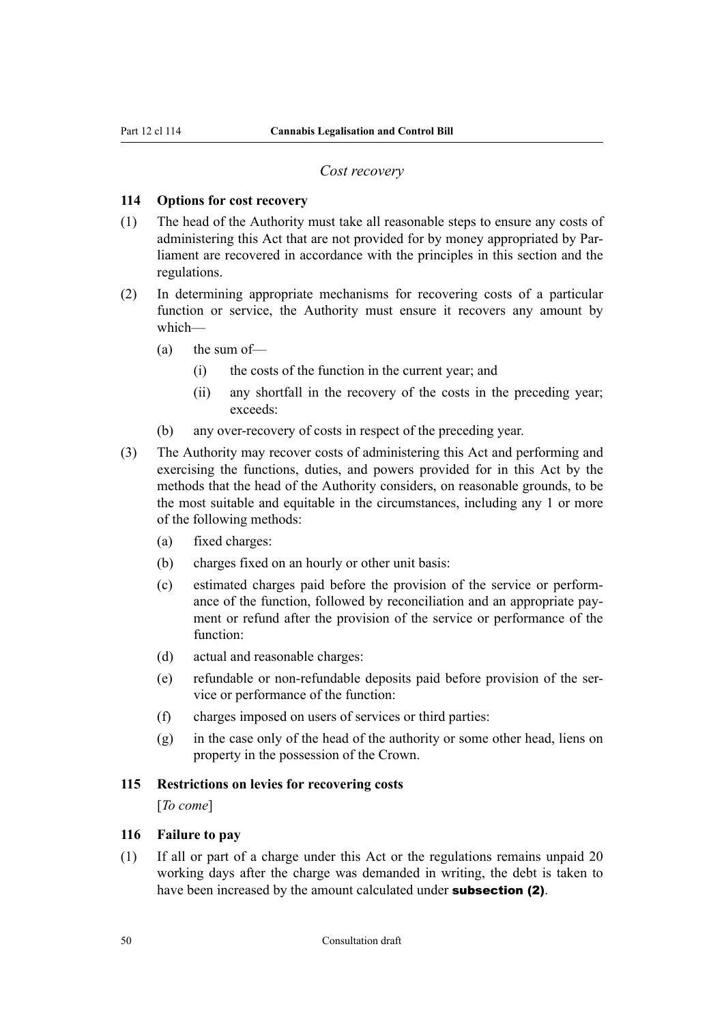#### *Cost recovery*

#### <span id="page-51-0"></span>**114 Options for cost recovery**

- (1) The head of the Authority must take all reasonable steps to ensure any costs of administering this Act that are not provided for by money appropriated by Parliament are recovered in accordance with the principles in this section and the regulations.
- (2) In determining appropriate mechanisms for recovering costs of a particular function or service, the Authority must ensure it recovers any amount by which—
	- (a) the sum of—
		- (i) the costs of the function in the current year; and
		- (ii) any shortfall in the recovery of the costs in the preceding year; exceeds:
	- (b) any over-recovery of costs in respect of the preceding year.
- (3) The Authority may recover costs of administering this Act and performing and exercising the functions, duties, and powers provided for in this Act by the methods that the head of the Authority considers, on reasonable grounds, to be the most suitable and equitable in the circumstances, including any 1 or more of the following methods:
	- (a) fixed charges:
	- (b) charges fixed on an hourly or other unit basis:
	- (c) estimated charges paid before the provision of the service or performance of the function, followed by reconciliation and an appropriate payment or refund after the provision of the service or performance of the function:
	- (d) actual and reasonable charges:
	- (e) refundable or non-refundable deposits paid before provision of the service or performance of the function:
	- (f) charges imposed on users of services or third parties:
	- (g) in the case only of the head of the authority or some other head, liens on property in the possession of the Crown.

#### **115 Restrictions on levies for recovering costs**

[*To come*]

#### **116 Failure to pay**

(1) If all or part of a charge under this Act or the regulations remains unpaid 20 working days after the charge was demanded in writing, the debt is taken to have been increased by the amount calculated under **subsection (2)**.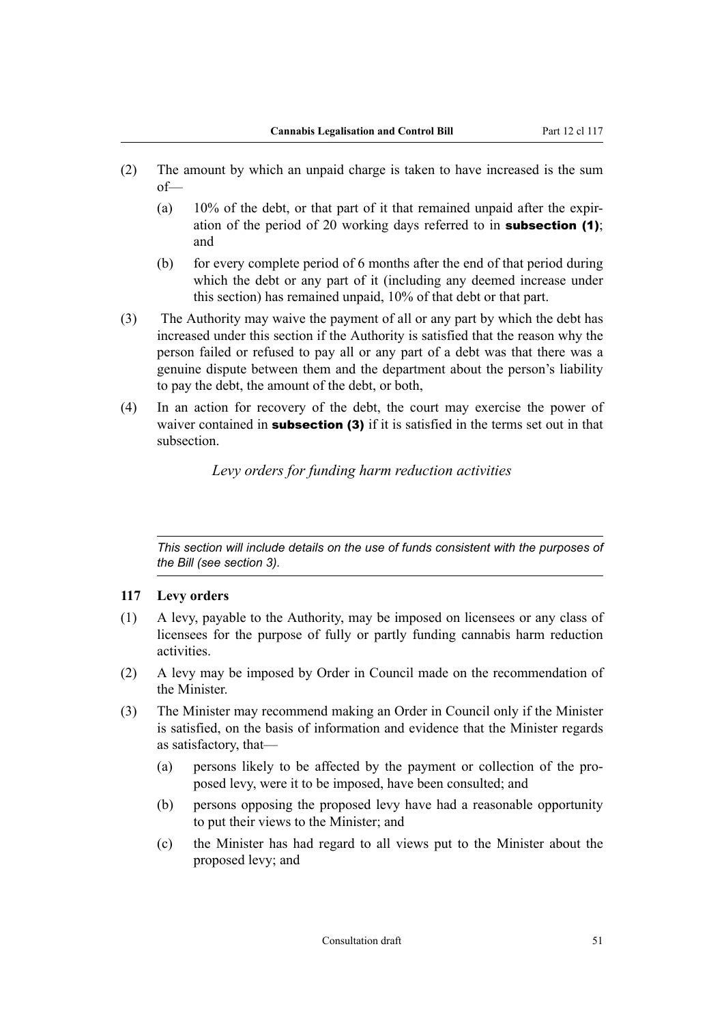- <span id="page-52-0"></span>(2) The amount by which an unpaid charge is taken to have increased is the sum of—
	- (a) 10% of the debt, or that part of it that remained unpaid after the expiration of the period of 20 working days referred to in subsection (1); and
	- (b) for every complete period of 6 months after the end of that period during which the debt or any part of it (including any deemed increase under this section) has remained unpaid, 10% of that debt or that part.
- (3) The Authority may waive the payment of all or any part by which the debt has increased under this section if the Authority is satisfied that the reason why the person failed or refused to pay all or any part of a debt was that there was a genuine dispute between them and the department about the person's liability to pay the debt, the amount of the debt, or both,
- (4) In an action for recovery of the debt, the court may exercise the power of waiver contained in **subsection** (3) if it is satisfied in the terms set out in that subsection.

*Levy orders for funding harm reduction activities*

*This section will include details on the use of funds consistent with the purposes of the Bill (see section 3).*

#### **117 Levy orders**

- (1) A levy, payable to the Authority, may be imposed on licensees or any class of licensees for the purpose of fully or partly funding cannabis harm reduction activities.
- (2) A levy may be imposed by Order in Council made on the recommendation of the Minister.
- (3) The Minister may recommend making an Order in Council only if the Minister is satisfied, on the basis of information and evidence that the Minister regards as satisfactory, that—
	- (a) persons likely to be affected by the payment or collection of the proposed levy, were it to be imposed, have been consulted; and
	- (b) persons opposing the proposed levy have had a reasonable opportunity to put their views to the Minister; and
	- (c) the Minister has had regard to all views put to the Minister about the proposed levy; and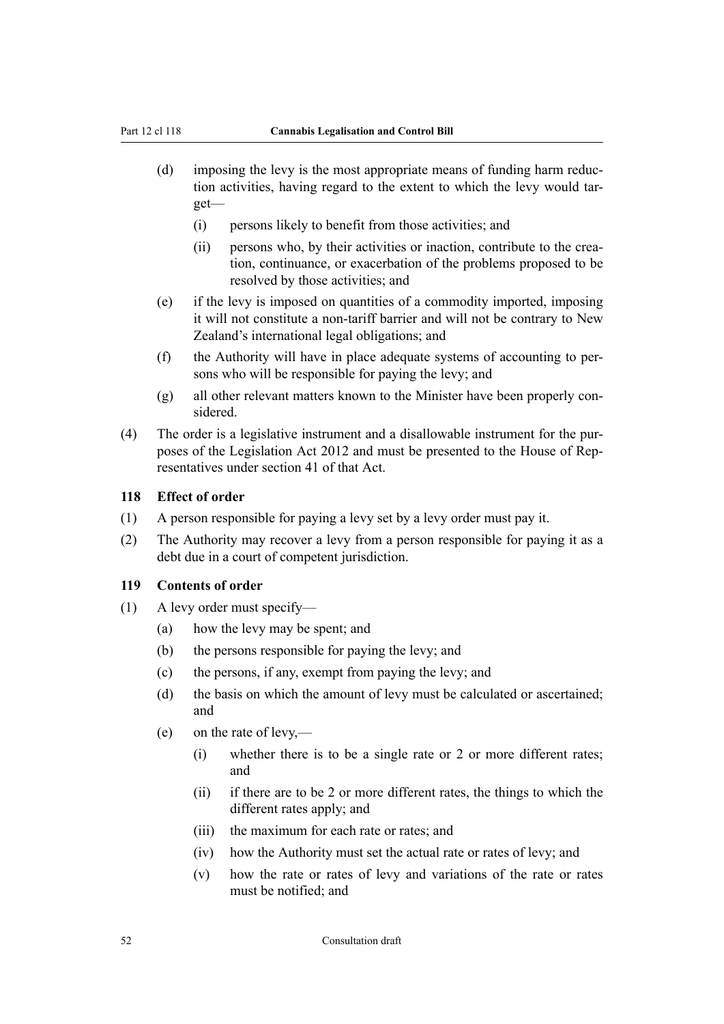- <span id="page-53-0"></span>(d) imposing the levy is the most appropriate means of funding harm reduction activities, having regard to the extent to which the levy would target—
	- (i) persons likely to benefit from those activities; and
	- (ii) persons who, by their activities or inaction, contribute to the creation, continuance, or exacerbation of the problems proposed to be resolved by those activities; and
- (e) if the levy is imposed on quantities of a commodity imported, imposing it will not constitute a non-tariff barrier and will not be contrary to New Zealand's international legal obligations; and
- (f) the Authority will have in place adequate systems of accounting to persons who will be responsible for paying the levy; and
- (g) all other relevant matters known to the Minister have been properly considered.
- (4) The order is a legislative instrument and a disallowable instrument for the purposes of the Legislation Act 2012 and must be presented to the House of Representatives under section 41 of that Act.

#### **118 Effect of order**

- (1) A person responsible for paying a levy set by a levy order must pay it.
- (2) The Authority may recover a levy from a person responsible for paying it as a debt due in a court of competent jurisdiction.

#### **119 Contents of order**

- (1) A levy order must specify—
	- (a) how the levy may be spent; and
	- (b) the persons responsible for paying the levy; and
	- (c) the persons, if any, exempt from paying the levy; and
	- (d) the basis on which the amount of levy must be calculated or ascertained; and
	- (e) on the rate of levy,—
		- (i) whether there is to be a single rate or 2 or more different rates; and
		- (ii) if there are to be 2 or more different rates, the things to which the different rates apply; and
		- (iii) the maximum for each rate or rates; and
		- (iv) how the Authority must set the actual rate or rates of levy; and
		- (v) how the rate or rates of levy and variations of the rate or rates must be notified; and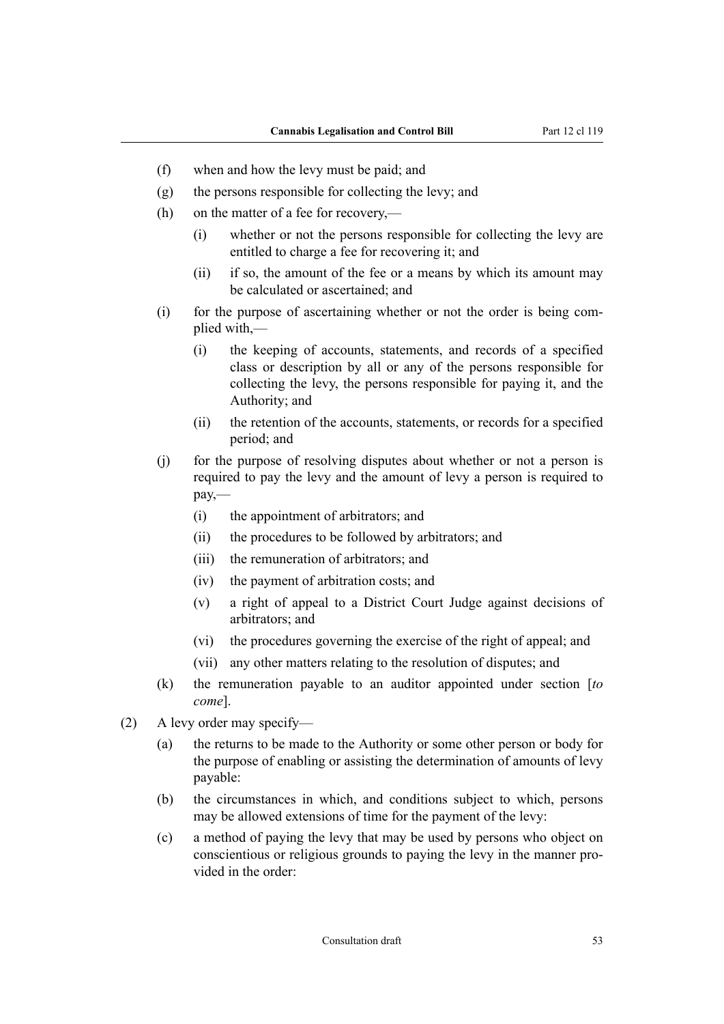- (f) when and how the levy must be paid; and
- (g) the persons responsible for collecting the levy; and
- (h) on the matter of a fee for recovery,—
	- (i) whether or not the persons responsible for collecting the levy are entitled to charge a fee for recovering it; and
	- (ii) if so, the amount of the fee or a means by which its amount may be calculated or ascertained; and
- (i) for the purpose of ascertaining whether or not the order is being complied with,—
	- (i) the keeping of accounts, statements, and records of a specified class or description by all or any of the persons responsible for collecting the levy, the persons responsible for paying it, and the Authority; and
	- (ii) the retention of the accounts, statements, or records for a specified period; and
- (j) for the purpose of resolving disputes about whether or not a person is required to pay the levy and the amount of levy a person is required to pay,—
	- (i) the appointment of arbitrators; and
	- (ii) the procedures to be followed by arbitrators; and
	- (iii) the remuneration of arbitrators; and
	- (iv) the payment of arbitration costs; and
	- (v) a right of appeal to a District Court Judge against decisions of arbitrators; and
	- (vi) the procedures governing the exercise of the right of appeal; and
	- (vii) any other matters relating to the resolution of disputes; and
- (k) the remuneration payable to an auditor appointed under section [*to come*].
- (2) A levy order may specify—
	- (a) the returns to be made to the Authority or some other person or body for the purpose of enabling or assisting the determination of amounts of levy payable:
	- (b) the circumstances in which, and conditions subject to which, persons may be allowed extensions of time for the payment of the levy:
	- (c) a method of paying the levy that may be used by persons who object on conscientious or religious grounds to paying the levy in the manner provided in the order: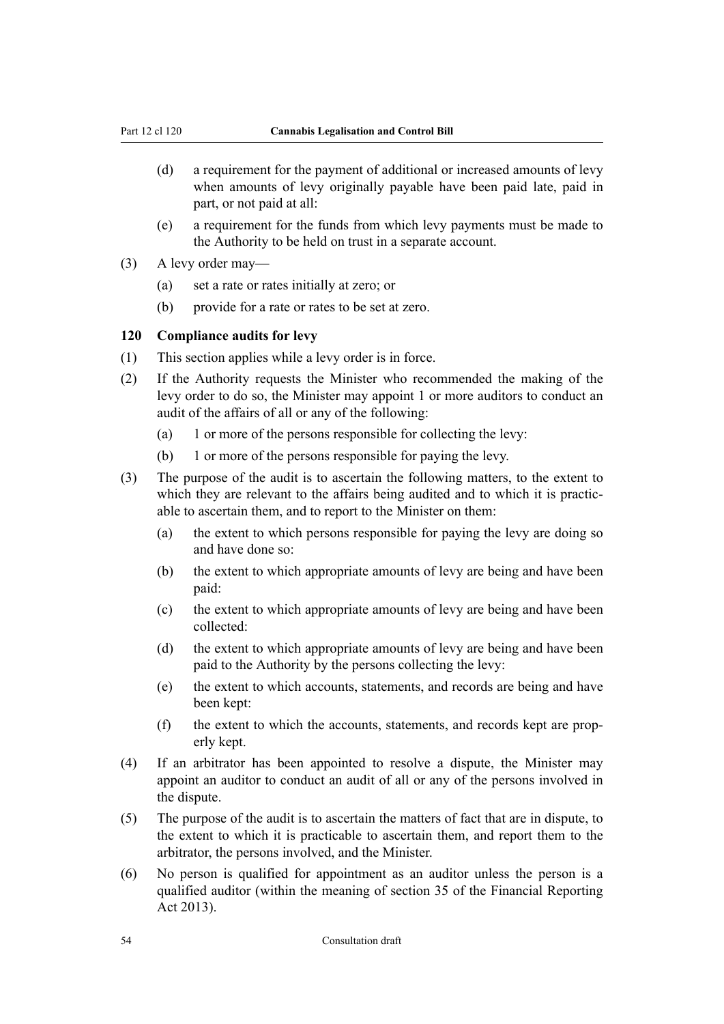- <span id="page-55-0"></span>(d) a requirement for the payment of additional or increased amounts of levy when amounts of levy originally payable have been paid late, paid in part, or not paid at all:
- (e) a requirement for the funds from which levy payments must be made to the Authority to be held on trust in a separate account.
- (3) A levy order may—
	- (a) set a rate or rates initially at zero; or
	- (b) provide for a rate or rates to be set at zero.

#### **120 Compliance audits for levy**

- (1) This section applies while a levy order is in force.
- (2) If the Authority requests the Minister who recommended the making of the levy order to do so, the Minister may appoint 1 or more auditors to conduct an audit of the affairs of all or any of the following:
	- (a) 1 or more of the persons responsible for collecting the levy:
	- (b) 1 or more of the persons responsible for paying the levy.
- (3) The purpose of the audit is to ascertain the following matters, to the extent to which they are relevant to the affairs being audited and to which it is practicable to ascertain them, and to report to the Minister on them:
	- (a) the extent to which persons responsible for paying the levy are doing so and have done so:
	- (b) the extent to which appropriate amounts of levy are being and have been paid:
	- (c) the extent to which appropriate amounts of levy are being and have been collected:
	- (d) the extent to which appropriate amounts of levy are being and have been paid to the Authority by the persons collecting the levy:
	- (e) the extent to which accounts, statements, and records are being and have been kept:
	- (f) the extent to which the accounts, statements, and records kept are properly kept.
- (4) If an arbitrator has been appointed to resolve a dispute, the Minister may appoint an auditor to conduct an audit of all or any of the persons involved in the dispute.
- (5) The purpose of the audit is to ascertain the matters of fact that are in dispute, to the extent to which it is practicable to ascertain them, and report them to the arbitrator, the persons involved, and the Minister.
- (6) No person is qualified for appointment as an auditor unless the person is a qualified auditor (within the meaning of section 35 of the Financial Reporting Act 2013).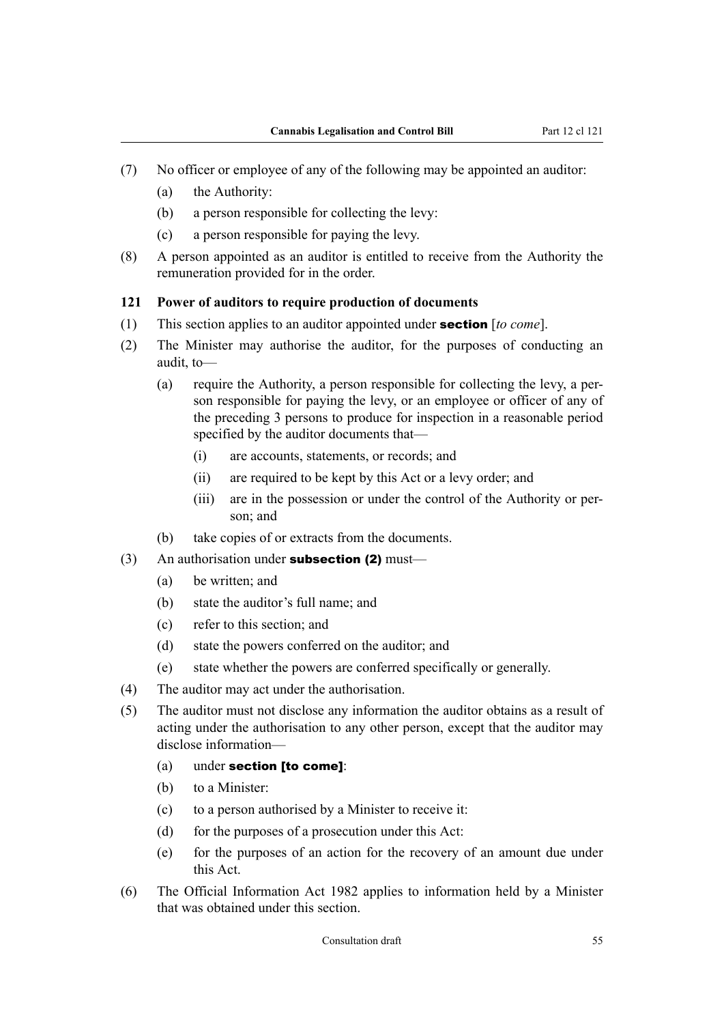- <span id="page-56-0"></span>(7) No officer or employee of any of the following may be appointed an auditor:
	- (a) the Authority:
	- (b) a person responsible for collecting the levy:
	- (c) a person responsible for paying the levy.
- (8) A person appointed as an auditor is entitled to receive from the Authority the remuneration provided for in the order.

#### **121 Power of auditors to require production of documents**

- (1) This section applies to an auditor appointed under section [*to come*].
- (2) The Minister may authorise the auditor, for the purposes of conducting an audit, to—
	- (a) require the Authority, a person responsible for collecting the levy, a person responsible for paying the levy, or an employee or officer of any of the preceding 3 persons to produce for inspection in a reasonable period specified by the auditor documents that—
		- (i) are accounts, statements, or records; and
		- (ii) are required to be kept by this Act or a levy order; and
		- (iii) are in the possession or under the control of the Authority or person; and
	- (b) take copies of or extracts from the documents.
- $(3)$  An authorisation under **subsection (2)** must—
	- (a) be written; and
	- (b) state the auditor's full name; and
	- (c) refer to this section; and
	- (d) state the powers conferred on the auditor; and
	- (e) state whether the powers are conferred specifically or generally.
- (4) The auditor may act under the authorisation.
- (5) The auditor must not disclose any information the auditor obtains as a result of acting under the authorisation to any other person, except that the auditor may disclose information—
	- (a) under section [to come]:
	- (b) to a Minister:
	- (c) to a person authorised by a Minister to receive it:
	- (d) for the purposes of a prosecution under this Act:
	- (e) for the purposes of an action for the recovery of an amount due under this Act.
- (6) The Official Information Act 1982 applies to information held by a Minister that was obtained under this section.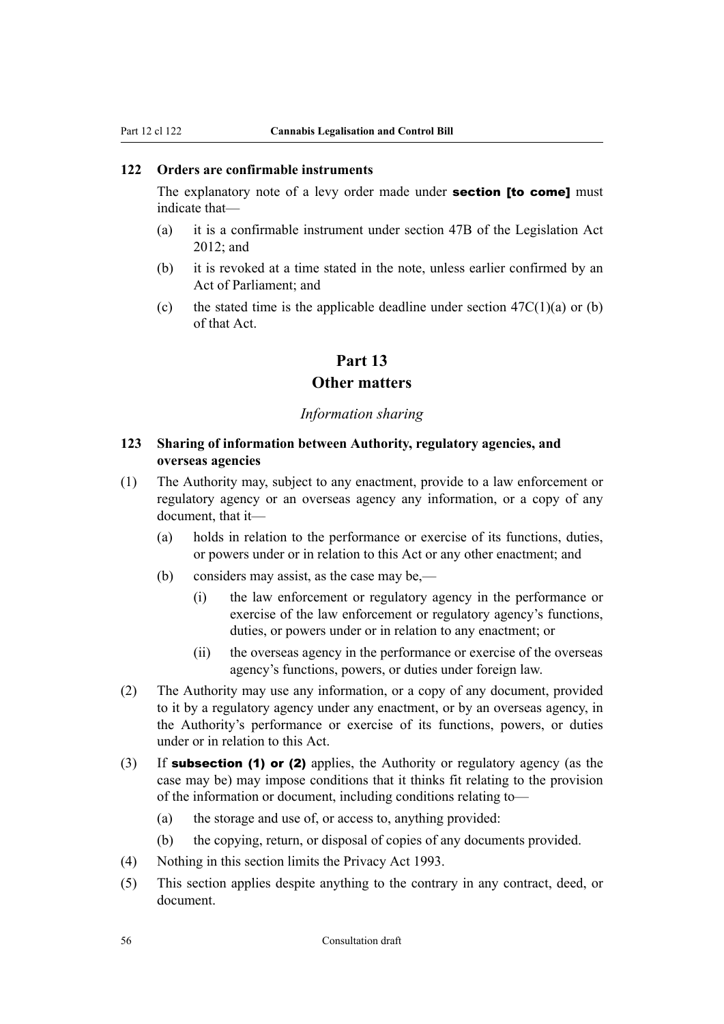#### <span id="page-57-0"></span>**122 Orders are confirmable instruments**

The explanatory note of a levy order made under **section [to come]** must indicate that—

- (a) it is a confirmable instrument under section 47B of the Legislation Act 2012; and
- (b) it is revoked at a time stated in the note, unless earlier confirmed by an Act of Parliament; and
- (c) the stated time is the applicable deadline under section  $47C(1)(a)$  or (b) of that Act.

#### **Part 13**

#### **Other matters**

#### *Information sharing*

#### **123 Sharing of information between Authority, regulatory agencies, and overseas agencies**

- (1) The Authority may, subject to any enactment, provide to a law enforcement or regulatory agency or an overseas agency any information, or a copy of any document, that it—
	- (a) holds in relation to the performance or exercise of its functions, duties, or powers under or in relation to this Act or any other enactment; and
	- (b) considers may assist, as the case may be,—
		- (i) the law enforcement or regulatory agency in the performance or exercise of the law enforcement or regulatory agency's functions, duties, or powers under or in relation to any enactment; or
		- (ii) the overseas agency in the performance or exercise of the overseas agency's functions, powers, or duties under foreign law.
- (2) The Authority may use any information, or a copy of any document, provided to it by a regulatory agency under any enactment, or by an overseas agency, in the Authority's performance or exercise of its functions, powers, or duties under or in relation to this Act.
- (3) If subsection (1) or (2) applies, the Authority or regulatory agency (as the case may be) may impose conditions that it thinks fit relating to the provision of the information or document, including conditions relating to—
	- (a) the storage and use of, or access to, anything provided:
	- (b) the copying, return, or disposal of copies of any documents provided.
- (4) Nothing in this section limits the Privacy Act 1993.
- (5) This section applies despite anything to the contrary in any contract, deed, or document.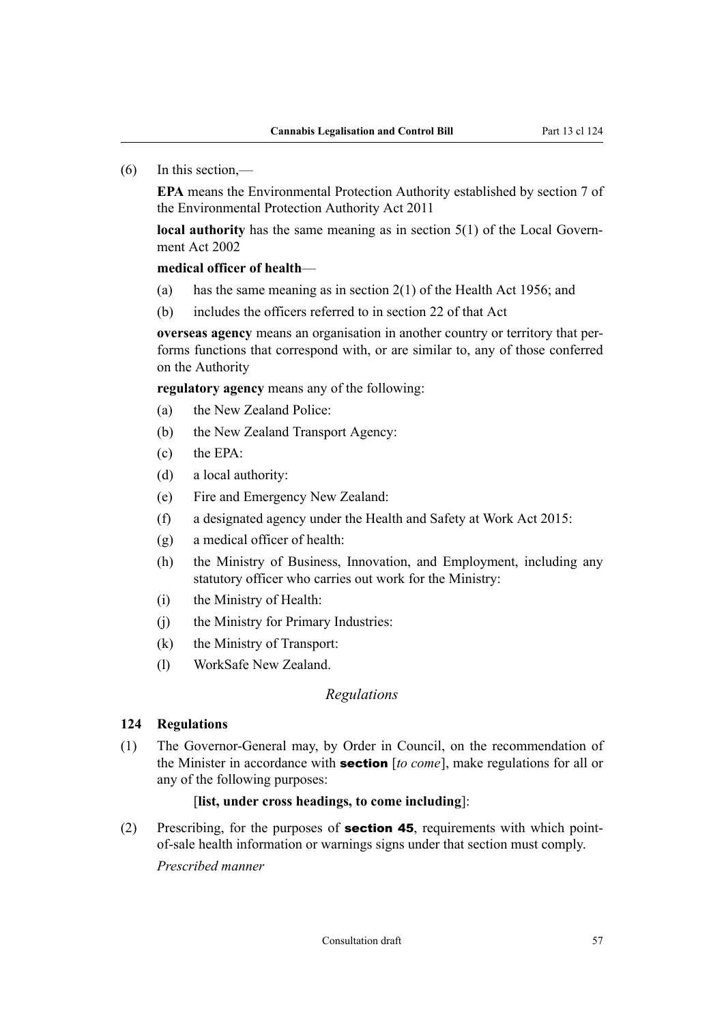#### <span id="page-58-0"></span>(6) In this section,—

**EPA** means the Environmental Protection Authority established by section 7 of the Environmental Protection Authority Act 2011

**local authority** has the same meaning as in section 5(1) of the Local Government Act 2002

#### **medical officer of health**—

- (a) has the same meaning as in section 2(1) of the Health Act 1956; and
- (b) includes the officers referred to in section 22 of that Act

**overseas agency** means an organisation in another country or territory that performs functions that correspond with, or are similar to, any of those conferred on the Authority

**regulatory agency** means any of the following:

- (a) the New Zealand Police:
- (b) the New Zealand Transport Agency:
- (c) the EPA:
- (d) a local authority:
- (e) Fire and Emergency New Zealand:
- (f) a designated agency under the Health and Safety at Work Act 2015:
- (g) a medical officer of health:
- (h) the Ministry of Business, Innovation, and Employment, including any statutory officer who carries out work for the Ministry:
- (i) the Ministry of Health:
- (j) the Ministry for Primary Industries:
- (k) the Ministry of Transport:
- (l) WorkSafe New Zealand.

#### *Regulations*

#### **124 Regulations**

(1) The Governor-General may, by Order in Council, on the recommendation of the Minister in accordance with section [*to come*], make regulations for all or any of the following purposes:

#### [**list, under cross headings, to come including**]:

(2) Prescribing, for the purposes of section 45, requirements with which pointof-sale health information or warnings signs under that section must comply.

*Prescribed manner*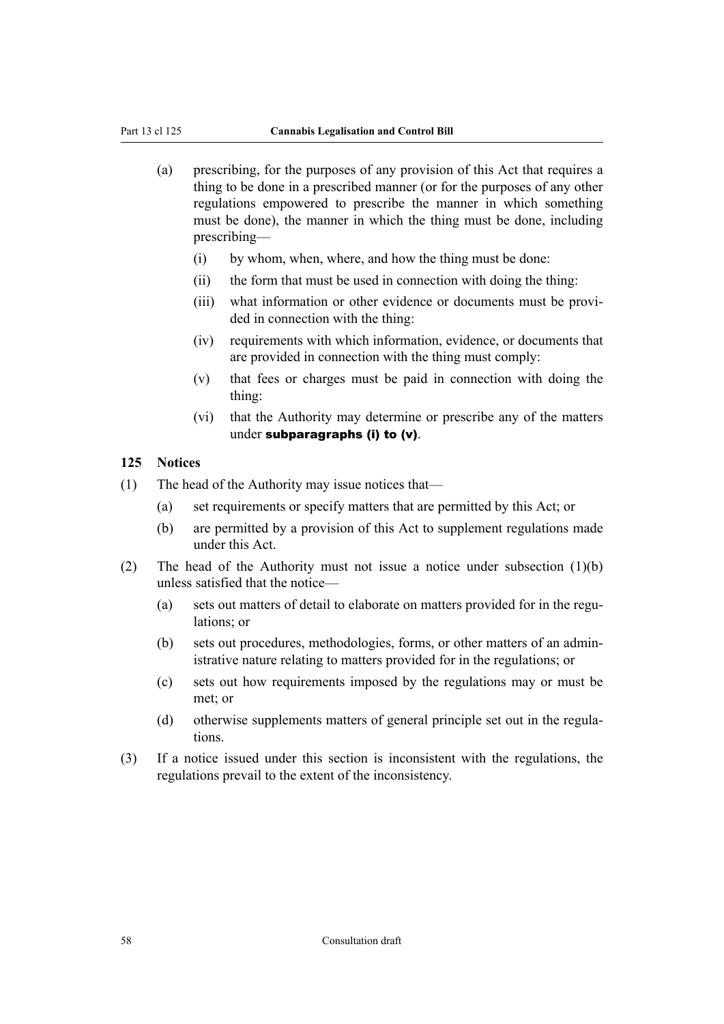- <span id="page-59-0"></span>(a) prescribing, for the purposes of any provision of this Act that requires a thing to be done in a prescribed manner (or for the purposes of any other regulations empowered to prescribe the manner in which something must be done), the manner in which the thing must be done, including prescribing—
	- (i) by whom, when, where, and how the thing must be done:
	- (ii) the form that must be used in connection with doing the thing:
	- (iii) what information or other evidence or documents must be provided in connection with the thing:
	- (iv) requirements with which information, evidence, or documents that are provided in connection with the thing must comply:
	- (v) that fees or charges must be paid in connection with doing the thing:
	- (vi) that the Authority may determine or prescribe any of the matters under subparagraphs (i) to (v).

#### **125 Notices**

- (1) The head of the Authority may issue notices that—
	- (a) set requirements or specify matters that are permitted by this Act; or
	- (b) are permitted by a provision of this Act to supplement regulations made under this Act.
- (2) The head of the Authority must not issue a notice under subsection (1)(b) unless satisfied that the notice—
	- (a) sets out matters of detail to elaborate on matters provided for in the regulations; or
	- (b) sets out procedures, methodologies, forms, or other matters of an administrative nature relating to matters provided for in the regulations; or
	- (c) sets out how requirements imposed by the regulations may or must be met; or
	- (d) otherwise supplements matters of general principle set out in the regulations.
- (3) If a notice issued under this section is inconsistent with the regulations, the regulations prevail to the extent of the inconsistency.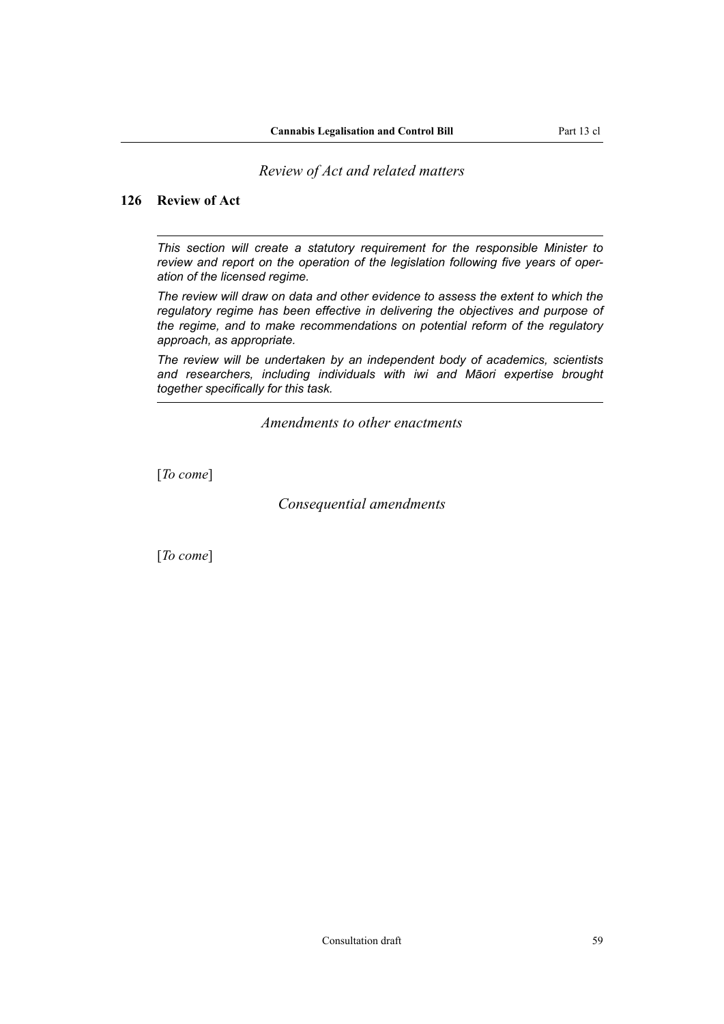*Review of Act and related matters*

#### <span id="page-60-0"></span>**126 Review of Act**

*This section will create a statutory requirement for the responsible Minister to review and report on the operation of the legislation following five years of operation of the licensed regime.*

*The review will draw on data and other evidence to assess the extent to which the regulatory regime has been effective in delivering the objectives and purpose of the regime, and to make recommendations on potential reform of the regulatory approach, as appropriate.*

*The review will be undertaken by an independent body of academics, scientists and researchers, including individuals with iwi and Māori expertise brought together specifically for this task.*

*Amendments to other enactments*

[*To come*]

*Consequential amendments*

[*To come*]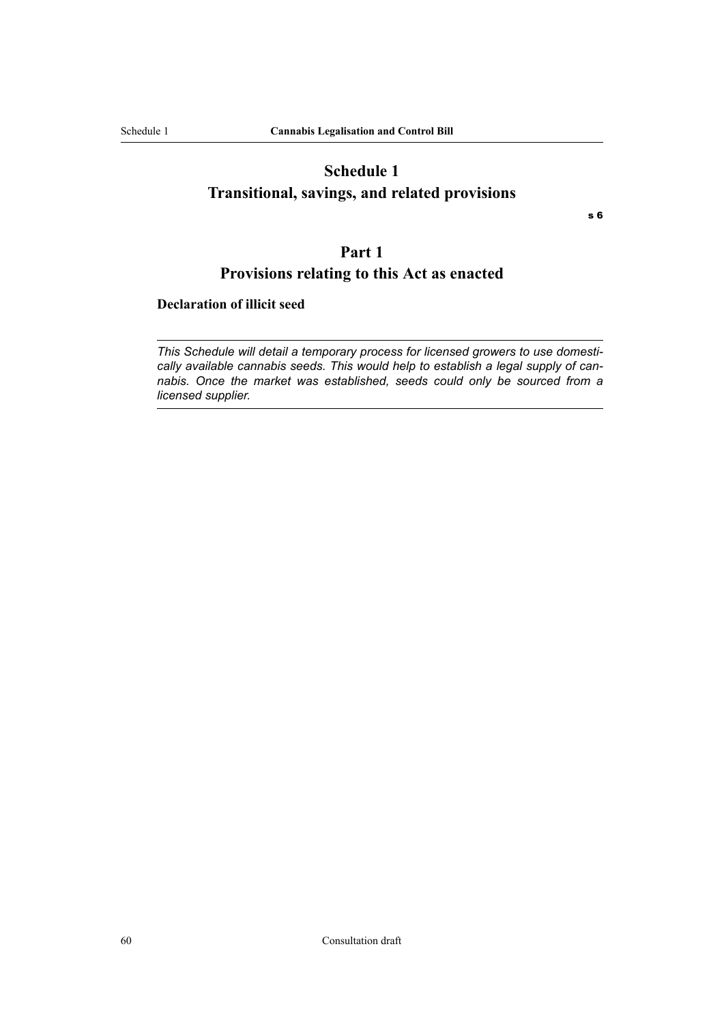### <span id="page-61-0"></span>**Schedule 1 Transitional, savings, and related provisions**

s 6

### **Part 1**

### **Provisions relating to this Act as enacted**

**Declaration of illicit seed**

*This Schedule will detail a temporary process for licensed growers to use domestically available cannabis seeds. This would help to establish a legal supply of cannabis. Once the market was established, seeds could only be sourced from a licensed supplier.*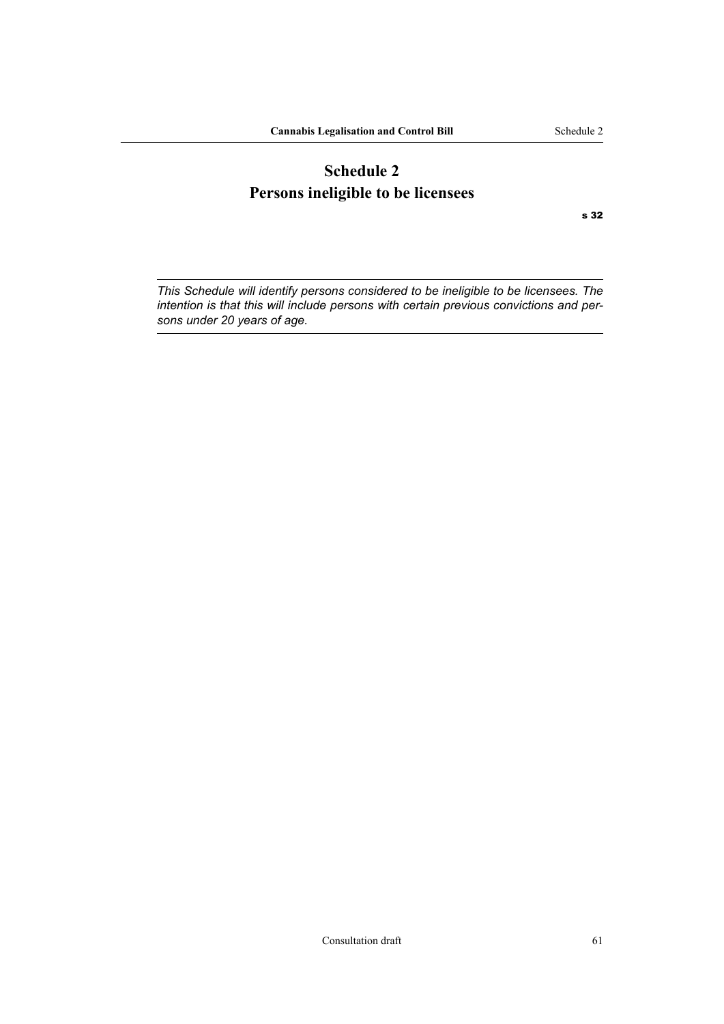### <span id="page-62-0"></span>**Schedule 2 Persons ineligible to be licensees**

s 32

*This Schedule will identify persons considered to be ineligible to be licensees. The intention is that this will include persons with certain previous convictions and persons under 20 years of age.*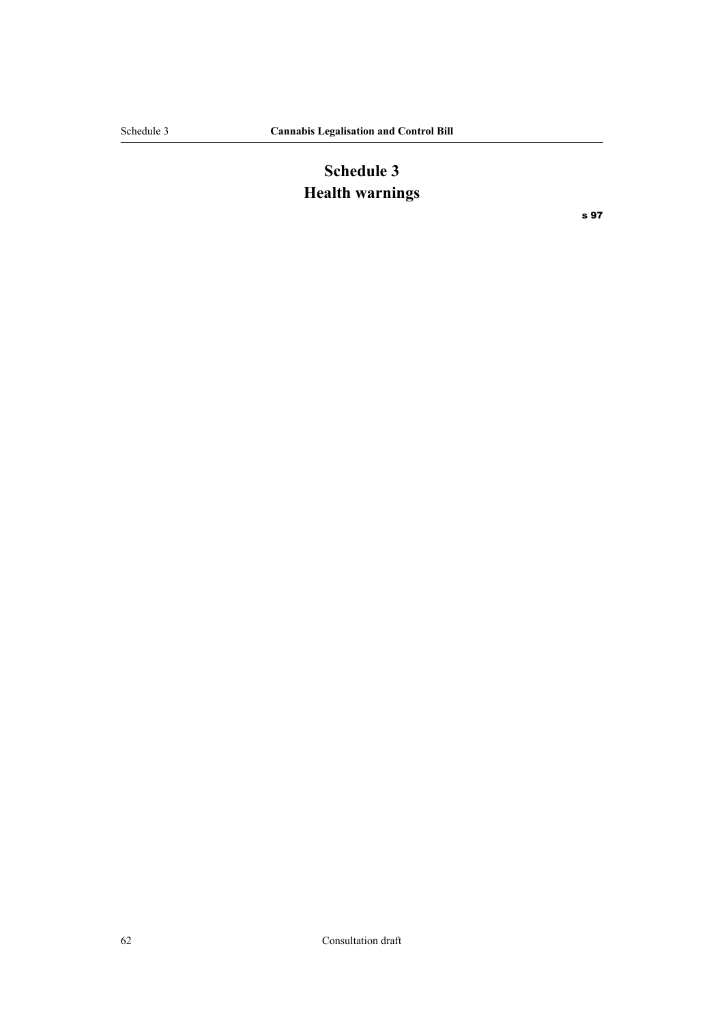### <span id="page-63-0"></span>**Schedule 3 Health warnings**